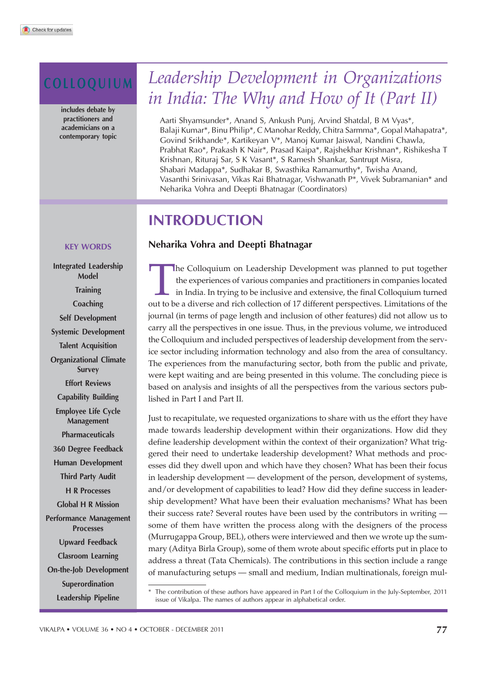includes debate by practitioners and academicians on a contemporary topic

# COLLOQUIUM *Leadership Development in Organizations in India: The Why and How of It (Part II)*

Aarti Shyamsunder\*, Anand S, Ankush Punj, Arvind Shatdal, B M Vyas\*, Balaji Kumar\*, Binu Philip\*, C Manohar Reddy, Chitra Sarmma\*, Gopal Mahapatra\*, Govind Srikhande\*, Kartikeyan V\*, Manoj Kumar Jaiswal, Nandini Chawla, Prabhat Rao\*, Prakash K Nair\*, Prasad Kaipa\*, Rajshekhar Krishnan\*, Rishikesha T Krishnan, Rituraj Sar, S K Vasant\*, S Ramesh Shankar, Santrupt Misra, Shabari Madappa\*, Sudhakar B, Swasthika Ramamurthy\*, Twisha Anand, Vasanthi Srinivasan, Vikas Rai Bhatnagar, Vishwanath P\*, Vivek Subramanian\* and Neharika Vohra and Deepti Bhatnagar (Coordinators)

# INTRODUCTION

# Neharika Vohra and Deepti Bhatnagar

The Colloquium on Leadership Development was planned to put together<br>the experiences of various companies and practitioners in companies located<br>in India. In trying to be inclusive and extensive, the final Colloquium turne he Colloquium on Leadership Development was planned to put together the experiences of various companies and practitioners in companies located in India. In trying to be inclusive and extensive, the final Colloquium turned journal (in terms of page length and inclusion of other features) did not allow us to carry all the perspectives in one issue. Thus, in the previous volume, we introduced the Colloquium and included perspectives of leadership development from the service sector including information technology and also from the area of consultancy. The experiences from the manufacturing sector, both from the public and private, were kept waiting and are being presented in this volume. The concluding piece is based on analysis and insights of all the perspectives from the various sectors published in Part I and Part II.

Just to recapitulate, we requested organizations to share with us the effort they have made towards leadership development within their organizations. How did they define leadership development within the context of their organization? What triggered their need to undertake leadership development? What methods and processes did they dwell upon and which have they chosen? What has been their focus in leadership development — development of the person, development of systems, and/or development of capabilities to lead? How did they define success in leadership development? What have been their evaluation mechanisms? What has been their success rate? Several routes have been used by the contributors in writing some of them have written the process along with the designers of the process (Murrugappa Group, BEL), others were interviewed and then we wrote up the summary (Aditya Birla Group), some of them wrote about specific efforts put in place to address a threat (Tata Chemicals). The contributions in this section include a range of manufacturing setups — small and medium, Indian multinationals, foreign mul-

# KEY WORDS

Integrated Leadership Model **Training Coaching** Self Development Systemic Development Talent Acquisition Organizational Climate Survey Effort Reviews Capability Building Employee Life Cycle Management Pharmaceuticals 360 Degree Feedback Human Development Third Party Audit H R Processes Global H R Mission Performance Management Processes Upward Feedback Clasroom Learning On-the-Job Development Superordination Leadership Pipeline

<sup>\*</sup> The contribution of these authors have appeared in Part I of the Colloquium in the July-September, 2011 issue of Vikalpa. The names of authors appear in alphabetical order.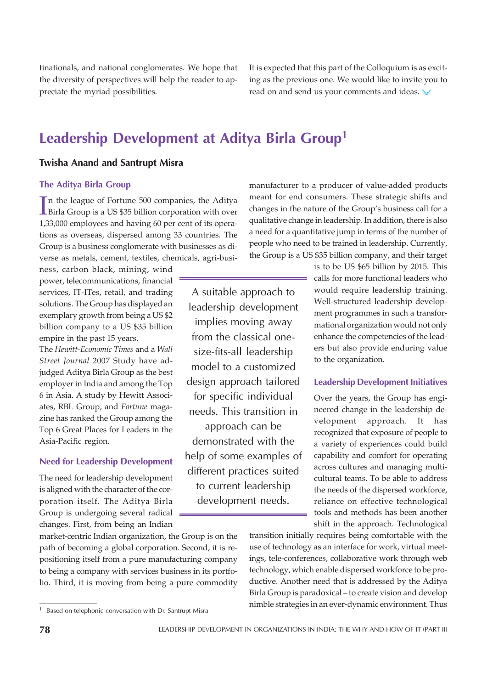tinationals, and national conglomerates. We hope that the diversity of perspectives will help the reader to appreciate the myriad possibilities.

It is expected that this part of the Colloquium is as exciting as the previous one. We would like to invite you to read on and send us your comments and ideas.

# Leadership Development at Aditya Birla Group<sup>1</sup>

# Twisha Anand and Santrupt Misra

# The Aditya Birla Group

In the league of Fortune 500 companies, the Aditya<br>Birla Group is a US \$35 billion corporation with over n the league of Fortune 500 companies, the Aditya 1,33,000 employees and having 60 per cent of its operations as overseas, dispersed among 33 countries. The Group is a business conglomerate with businesses as diverse as metals, cement, textiles, chemicals, agri-busi-

ness, carbon black, mining, wind power, telecommunications, financial services, IT-ITes, retail, and trading solutions. The Group has displayed an exemplary growth from being a US \$2 billion company to a US \$35 billion empire in the past 15 years.

The *Hewitt-Economic Times* and a *Wall Street Journal* 2007 Study have adjudged Aditya Birla Group as the best employer in India and among the Top 6 in Asia. A study by Hewitt Associates, RBL Group, and *Fortune* magazine has ranked the Group among the Top 6 Great Places for Leaders in the Asia-Pacific region.

## Need for Leadership Development

The need for leadership development is aligned with the character of the corporation itself. The Aditya Birla Group is undergoing several radical changes. First, from being an Indian

market-centric Indian organization, the Group is on the path of becoming a global corporation. Second, it is repositioning itself from a pure manufacturing company to being a company with services business in its portfolio. Third, it is moving from being a pure commodity

<sup>1</sup> Based on telephonic conversation with Dr. Santrupt Misra

A suitable approach to leadership development implies moving away from the classical onesize-fits-all leadership model to a customized design approach tailored for specific individual needs. This transition in approach can be demonstrated with the help of some examples of different practices suited to current leadership development needs.

manufacturer to a producer of value-added products meant for end consumers. These strategic shifts and changes in the nature of the Group's business call for a qualitative change in leadership. In addition, there is also a need for a quantitative jump in terms of the number of people who need to be trained in leadership. Currently, the Group is a US \$35 billion company, and their target

> is to be US \$65 billion by 2015. This calls for more functional leaders who would require leadership training. Well-structured leadership development programmes in such a transformational organization would not only enhance the competencies of the leaders but also provide enduring value to the organization.

#### Leadership Development Initiatives

Over the years, the Group has engineered change in the leadership development approach. It has recognized that exposure of people to a variety of experiences could build capability and comfort for operating across cultures and managing multicultural teams. To be able to address the needs of the dispersed workforce, reliance on effective technological tools and methods has been another shift in the approach. Technological

transition initially requires being comfortable with the use of technology as an interface for work, virtual meetings, tele-conferences, collaborative work through web technology, which enable dispersed workforce to be productive. Another need that is addressed by the Aditya Birla Group is paradoxical – to create vision and develop nimble strategies in an ever-dynamic environment. Thus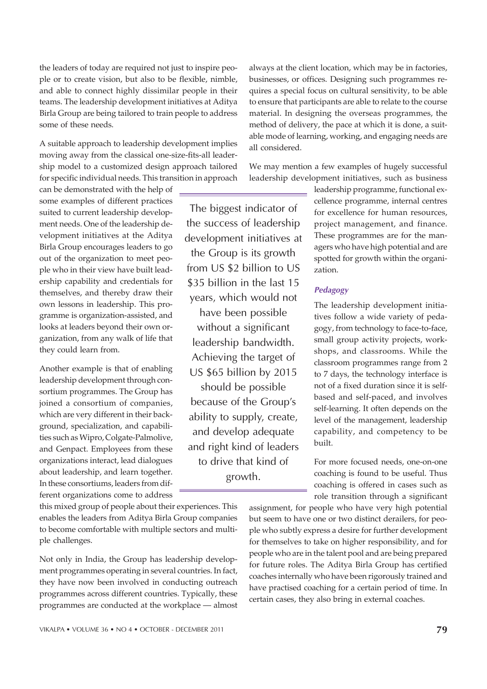the leaders of today are required not just to inspire people or to create vision, but also to be flexible, nimble, and able to connect highly dissimilar people in their teams. The leadership development initiatives at Aditya Birla Group are being tailored to train people to address some of these needs.

A suitable approach to leadership development implies moving away from the classical one-size-fits-all leadership model to a customized design approach tailored for specific individual needs. This transition in approach

can be demonstrated with the help of some examples of different practices suited to current leadership development needs. One of the leadership development initiatives at the Aditya Birla Group encourages leaders to go out of the organization to meet people who in their view have built leadership capability and credentials for themselves, and thereby draw their own lessons in leadership. This programme is organization-assisted, and looks at leaders beyond their own organization, from any walk of life that they could learn from.

Another example is that of enabling leadership development through consortium programmes. The Group has joined a consortium of companies, which are very different in their background, specialization, and capabilities such as Wipro, Colgate-Palmolive, and Genpact. Employees from these organizations interact, lead dialogues about leadership, and learn together. In these consortiums, leaders from different organizations come to address

this mixed group of people about their experiences. This enables the leaders from Aditya Birla Group companies to become comfortable with multiple sectors and multiple challenges.

Not only in India, the Group has leadership development programmes operating in several countries. In fact, they have now been involved in conducting outreach programmes across different countries. Typically, these programmes are conducted at the workplace — almost

always at the client location, which may be in factories, businesses, or offices. Designing such programmes requires a special focus on cultural sensitivity, to be able to ensure that participants are able to relate to the course material. In designing the overseas programmes, the method of delivery, the pace at which it is done, a suitable mode of learning, working, and engaging needs are all considered.

We may mention a few examples of hugely successful leadership development initiatives, such as business

The biggest indicator of the success of leadership development initiatives at

the Group is its growth from US \$2 billion to US \$35 billion in the last 15 years, which would not have been possible without a significant leadership bandwidth. Achieving the target of US \$65 billion by 2015 should be possible because of the Group's ability to supply, create, and develop adequate and right kind of leaders to drive that kind of growth.

leadership programme, functional excellence programme, internal centres for excellence for human resources, project management, and finance. These programmes are for the managers who have high potential and are spotted for growth within the organization.

# Pedagogy

The leadership development initiatives follow a wide variety of pedagogy, from technology to face-to-face, small group activity projects, workshops, and classrooms. While the classroom programmes range from 2 to 7 days, the technology interface is not of a fixed duration since it is selfbased and self-paced, and involves self-learning. It often depends on the level of the management, leadership capability, and competency to be built.

For more focused needs, one-on-one coaching is found to be useful. Thus coaching is offered in cases such as role transition through a significant

assignment, for people who have very high potential but seem to have one or two distinct derailers, for people who subtly express a desire for further development for themselves to take on higher responsibility, and for people who are in the talent pool and are being prepared for future roles. The Aditya Birla Group has certified coaches internally who have been rigorously trained and have practised coaching for a certain period of time. In certain cases, they also bring in external coaches.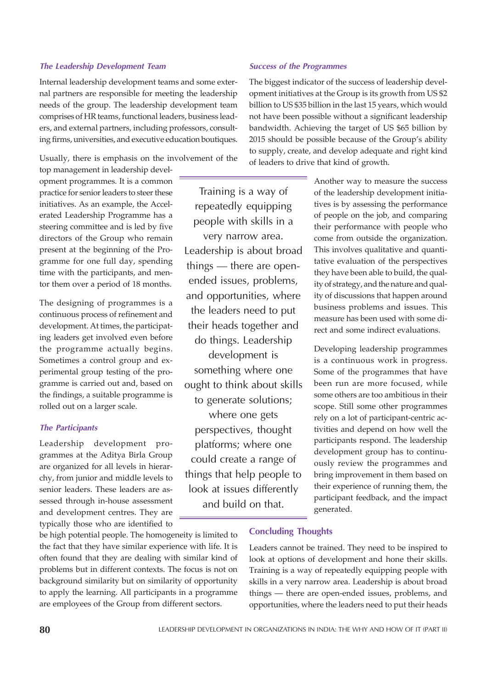#### The Leadership Development Team

Internal leadership development teams and some external partners are responsible for meeting the leadership needs of the group. The leadership development team comprises of HR teams, functional leaders, business leaders, and external partners, including professors, consulting firms, universities, and executive education boutiques.

Usually, there is emphasis on the involvement of the

top management in leadership development programmes. It is a common practice for senior leaders to steer these initiatives. As an example, the Accelerated Leadership Programme has a steering committee and is led by five directors of the Group who remain present at the beginning of the Programme for one full day, spending time with the participants, and mentor them over a period of 18 months.

The designing of programmes is a continuous process of refinement and development. At times, the participating leaders get involved even before the programme actually begins. Sometimes a control group and experimental group testing of the programme is carried out and, based on the findings, a suitable programme is rolled out on a larger scale.

# The Participants

Leadership development programmes at the Aditya Birla Group are organized for all levels in hierarchy, from junior and middle levels to senior leaders. These leaders are assessed through in-house assessment and development centres. They are typically those who are identified to

be high potential people. The homogeneity is limited to the fact that they have similar experience with life. It is often found that they are dealing with similar kind of problems but in different contexts. The focus is not on background similarity but on similarity of opportunity to apply the learning. All participants in a programme are employees of the Group from different sectors.

# Training is a way of repeatedly equipping people with skills in a very narrow area. Leadership is about broad things — there are openended issues, problems, and opportunities, where the leaders need to put their heads together and do things. Leadership development is something where one ought to think about skills to generate solutions; where one gets perspectives, thought platforms; where one could create a range of things that help people to look at issues differently and build on that.

#### Success of the Programmes

The biggest indicator of the success of leadership development initiatives at the Group is its growth from US \$2 billion to US \$35 billion in the last 15 years, which would not have been possible without a significant leadership bandwidth. Achieving the target of US \$65 billion by 2015 should be possible because of the Group's ability to supply, create, and develop adequate and right kind of leaders to drive that kind of growth.

> Another way to measure the success of the leadership development initiatives is by assessing the performance of people on the job, and comparing their performance with people who come from outside the organization. This involves qualitative and quantitative evaluation of the perspectives they have been able to build, the quality of strategy, and the nature and quality of discussions that happen around business problems and issues. This measure has been used with some direct and some indirect evaluations.

> Developing leadership programmes is a continuous work in progress. Some of the programmes that have been run are more focused, while some others are too ambitious in their scope. Still some other programmes rely on a lot of participant-centric activities and depend on how well the participants respond. The leadership development group has to continuously review the programmes and bring improvement in them based on their experience of running them, the participant feedback, and the impact generated.

## Concluding Thoughts

Leaders cannot be trained. They need to be inspired to look at options of development and hone their skills. Training is a way of repeatedly equipping people with skills in a very narrow area. Leadership is about broad things — there are open-ended issues, problems, and opportunities, where the leaders need to put their heads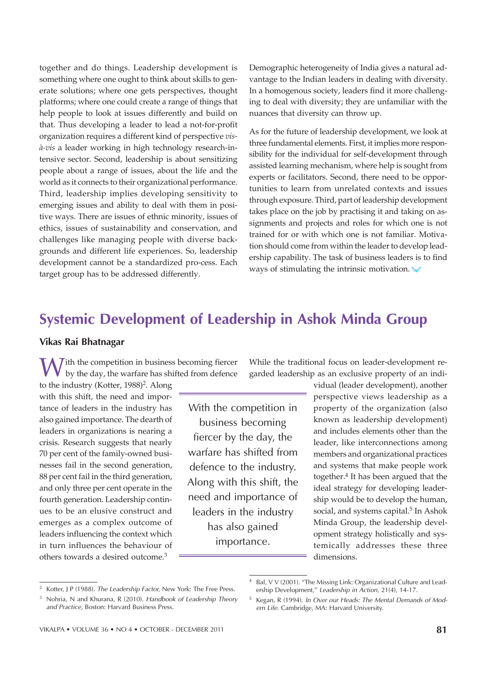together and do things. Leadership development is something where one ought to think about skills to generate solutions; where one gets perspectives, thought platforms; where one could create a range of things that help people to look at issues differently and build on that. Thus developing a leader to lead a not-for-profit organization requires a different kind of perspective *visà-vis* a leader working in high technology research-intensive sector. Second, leadership is about sensitizing people about a range of issues, about the life and the world as it connects to their organizational performance. Third, leadership implies developing sensitivity to emerging issues and ability to deal with them in positive ways. There are issues of ethnic minority, issues of ethics, issues of sustainability and conservation, and challenges like managing people with diverse backgrounds and different life experiences. So, leadership development cannot be a standardized pro-cess. Each target group has to be addressed differently.

Demographic heterogeneity of India gives a natural advantage to the Indian leaders in dealing with diversity. In a homogenous society, leaders find it more challenging to deal with diversity; they are unfamiliar with the nuances that diversity can throw up.

As for the future of leadership development, we look at three fundamental elements. First, it implies more responsibility for the individual for self-development through assisted learning mechanism, where help is sought from experts or facilitators. Second, there need to be opportunities to learn from unrelated contexts and issues through exposure. Third, part of leadership development takes place on the job by practising it and taking on assignments and projects and roles for which one is not trained for or with which one is not familiar. Motivation should come from within the leader to develop leadership capability. The task of business leaders is to find ways of stimulating the intrinsic motivation.

# Systemic Development of Leadership in Ashok Minda Group

# Vikas Rai Bhatnagar

 $\sum$  ith the competition in business becoming fiercer by the day, the warfare has shifted from defence

to the industry (Kotter, 1988)<sup>2</sup>. Along with this shift, the need and importance of leaders in the industry has also gained importance. The dearth of leaders in organizations is nearing a crisis. Research suggests that nearly 70 per cent of the family-owned businesses fail in the second generation, 88 per cent fail in the third generation, and only three per cent operate in the fourth generation. Leadership continues to be an elusive construct and emerges as a complex outcome of leaders influencing the context which in turn influences the behaviour of others towards a desired outcome.<sup>3</sup>

With the competition in business becoming fiercer by the day, the warfare has shifted from defence to the industry. Along with this shift, the need and importance of leaders in the industry has also gained importance.

While the traditional focus on leader-development regarded leadership as an exclusive property of an indi-

> vidual (leader development), another perspective views leadership as a property of the organization (also known as leadership development) and includes elements other than the leader, like interconnections among members and organizational practices and systems that make people work together.<sup>4</sup> It has been argued that the ideal strategy for developing leadership would be to develop the human, social, and systems capital.<sup>5</sup> In Ashok Minda Group, the leadership development strategy holistically and systemically addresses these three dimensions.

<sup>2</sup> Kotter, J P (1988). *The Leadership Factor,* New York: The Free Press.

<sup>3</sup> Nohria, N and Khurana, R (2010). *Handbook of Leadership Theory and Practice,* Boston: Harvard Business Press.

Bal, V V (2001). "The Missing Link: Organizational Culture and Leadership Development," *Leadership in Action*, 21(4), 14-17.

<sup>5</sup> Kegan, R (1994). *In Over our Heads: The Mental Demands of Modern Life.* Cambridge, MA: Harvard University.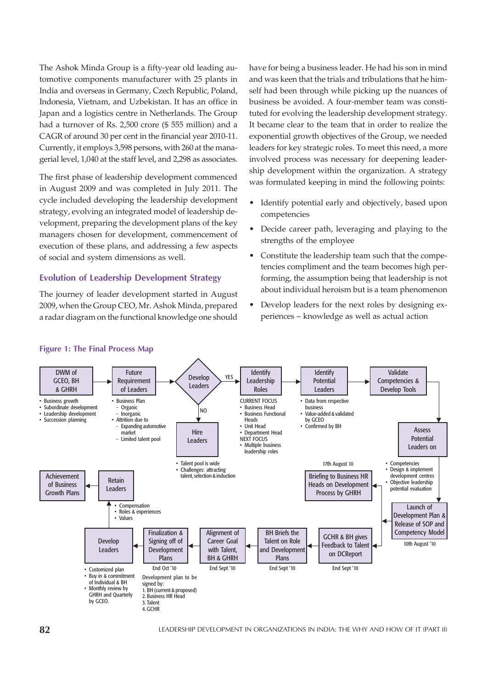The Ashok Minda Group is a fifty-year old leading automotive components manufacturer with 25 plants in India and overseas in Germany, Czech Republic, Poland, Indonesia, Vietnam, and Uzbekistan. It has an office in Japan and a logistics centre in Netherlands. The Group had a turnover of Rs. 2,500 crore (\$ 555 million) and a CAGR of around 30 per cent in the financial year 2010-11. Currently, it employs 3,598 persons, with 260 at the managerial level, 1,040 at the staff level, and 2,298 as associates.

The first phase of leadership development commenced in August 2009 and was completed in July 2011. The cycle included developing the leadership development strategy, evolving an integrated model of leadership development, preparing the development plans of the key managers chosen for development, commencement of execution of these plans, and addressing a few aspects of social and system dimensions as well.

# Evolution of Leadership Development Strategy

The journey of leader development started in August 2009, when the Group CEO, Mr. Ashok Minda, prepared a radar diagram on the functional knowledge one should have for being a business leader. He had his son in mind and was keen that the trials and tribulations that he himself had been through while picking up the nuances of business be avoided. A four-member team was constituted for evolving the leadership development strategy. It became clear to the team that in order to realize the exponential growth objectives of the Group, we needed leaders for key strategic roles. To meet this need, a more involved process was necessary for deepening leadership development within the organization. A strategy was formulated keeping in mind the following points:

- Identify potential early and objectively, based upon competencies
- Decide career path, leveraging and playing to the strengths of the employee
- Constitute the leadership team such that the competencies compliment and the team becomes high performing, the assumption being that leadership is not about individual heroism but is a team phenomenon
- Develop leaders for the next roles by designing experiences – knowledge as well as actual action



#### Figure 1: The Final Process Map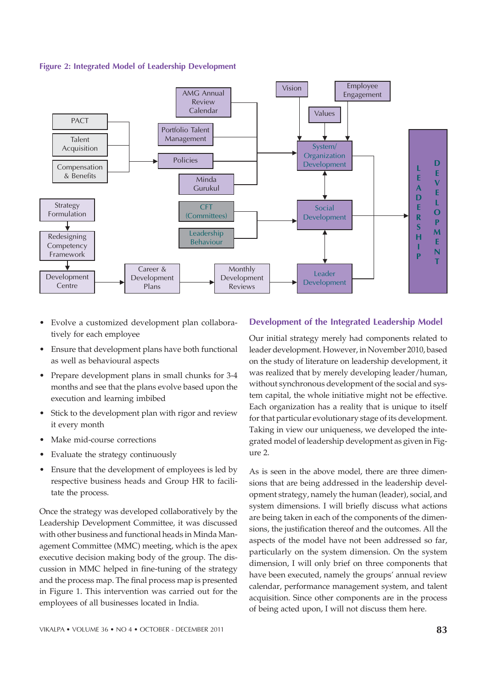



- Evolve a customized development plan collaboratively for each employee
- Ensure that development plans have both functional as well as behavioural aspects
- Prepare development plans in small chunks for 3-4 months and see that the plans evolve based upon the execution and learning imbibed
- Stick to the development plan with rigor and review it every month
- Make mid-course corrections
- Evaluate the strategy continuously
- Ensure that the development of employees is led by respective business heads and Group HR to facilitate the process.

Once the strategy was developed collaboratively by the Leadership Development Committee, it was discussed with other business and functional heads in Minda Management Committee (MMC) meeting, which is the apex executive decision making body of the group. The discussion in MMC helped in fine-tuning of the strategy and the process map. The final process map is presented in Figure 1. This intervention was carried out for the employees of all businesses located in India.

# Development of the Integrated Leadership Model

Our initial strategy merely had components related to leader development. However, in November 2010, based on the study of literature on leadership development, it was realized that by merely developing leader/human, without synchronous development of the social and system capital, the whole initiative might not be effective. Each organization has a reality that is unique to itself for that particular evolutionary stage of its development. Taking in view our uniqueness, we developed the integrated model of leadership development as given in Figure 2.

As is seen in the above model, there are three dimensions that are being addressed in the leadership development strategy, namely the human (leader), social, and system dimensions. I will briefly discuss what actions are being taken in each of the components of the dimensions, the justification thereof and the outcomes. All the aspects of the model have not been addressed so far, particularly on the system dimension. On the system dimension, I will only brief on three components that have been executed, namely the groups' annual review calendar, performance management system, and talent acquisition. Since other components are in the process of being acted upon, I will not discuss them here.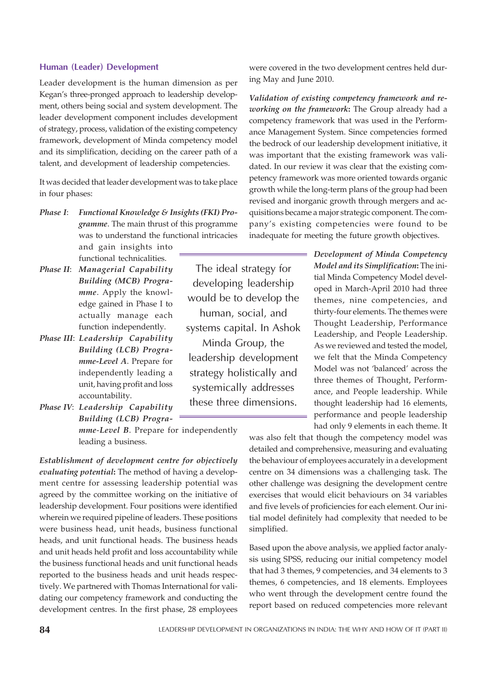## Human (Leader) Development

Leader development is the human dimension as per Kegan's three-pronged approach to leadership development, others being social and system development. The leader development component includes development of strategy, process, validation of the existing competency framework, development of Minda competency model and its simplification, deciding on the career path of a talent, and development of leadership competencies.

It was decided that leader development was to take place in four phases:

*Phase I*: *Functional Knowledge & Insights (FKI) Programme*. The main thrust of this programme was to understand the functional intricacies

and gain insights into functional technicalities.

- *Phase II*: *Managerial Capability Building (MCB) Programme*. Apply the knowledge gained in Phase I to actually manage each function independently.
- *Phase III*: *Leadership Capability Building (LCB) Programme-Level A*. Prepare for independently leading a unit, having profit and loss accountability.
- *Phase IV*: *Leadership Capability Building (LCB) Progra-*

*mme*-*Level B*. Prepare for independently leading a business.

*Establishment of development centre for objectively evaluating potential***:** The method of having a development centre for assessing leadership potential was agreed by the committee working on the initiative of leadership development. Four positions were identified wherein we required pipeline of leaders. These positions were business head, unit heads, business functional heads, and unit functional heads. The business heads and unit heads held profit and loss accountability while the business functional heads and unit functional heads reported to the business heads and unit heads respectively. We partnered with Thomas International for validating our competency framework and conducting the development centres. In the first phase, 28 employees

The ideal strategy for developing leadership would be to develop the human, social, and systems capital. In Ashok Minda Group, the leadership development strategy holistically and systemically addresses these three dimensions.

were covered in the two development centres held during May and June 2010.

*Validation of existing competency framework and reworking on the framework***:** The Group already had a competency framework that was used in the Performance Management System. Since competencies formed the bedrock of our leadership development initiative, it was important that the existing framework was validated. In our review it was clear that the existing competency framework was more oriented towards organic growth while the long-term plans of the group had been revised and inorganic growth through mergers and acquisitions became a major strategic component. The company's existing competencies were found to be inadequate for meeting the future growth objectives.

> *Development of Minda Competency Model and its Simplification***:** The initial Minda Competency Model developed in March-April 2010 had three themes, nine competencies, and thirty-four elements. The themes were Thought Leadership, Performance Leadership, and People Leadership. As we reviewed and tested the model, we felt that the Minda Competency Model was not 'balanced' across the three themes of Thought, Performance, and People leadership. While thought leadership had 16 elements, performance and people leadership had only 9 elements in each theme. It

was also felt that though the competency model was detailed and comprehensive, measuring and evaluating the behaviour of employees accurately in a development centre on 34 dimensions was a challenging task. The other challenge was designing the development centre exercises that would elicit behaviours on 34 variables and five levels of proficiencies for each element. Our initial model definitely had complexity that needed to be simplified.

Based upon the above analysis, we applied factor analysis using SPSS, reducing our initial competency model that had 3 themes, 9 competencies, and 34 elements to 3 themes, 6 competencies, and 18 elements. Employees who went through the development centre found the report based on reduced competencies more relevant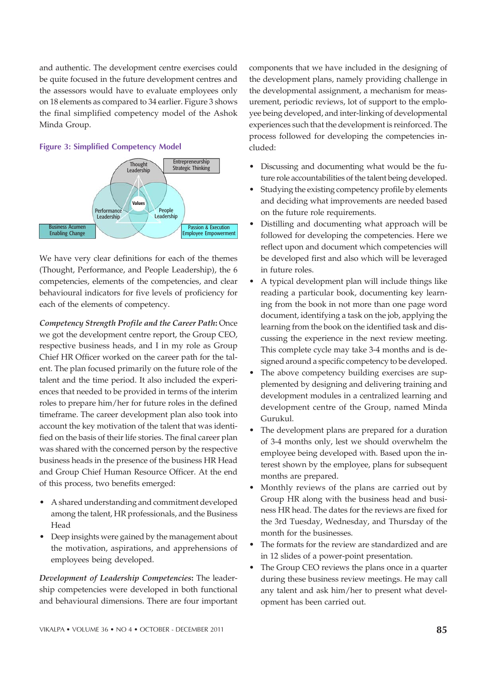and authentic. The development centre exercises could be quite focused in the future development centres and the assessors would have to evaluate employees only on 18 elements as compared to 34 earlier. Figure 3 shows the final simplified competency model of the Ashok Minda Group.

# **Thought** Leadership **Performance** People Value Entrepreneurship Strategic Thinking

#### Figure 3: Simplified Competency Model

**Leadership** 

Business Acumen Enabling Change

We have very clear definitions for each of the themes (Thought, Performance, and People Leadership), the 6 competencies, elements of the competencies, and clear behavioural indicators for five levels of proficiency for each of the elements of competency.

**Leadership** 

Passion & Execution Employee Empowerment

*Competency Strength Profile and the Career Path***:** Once we got the development centre report, the Group CEO, respective business heads, and I in my role as Group Chief HR Officer worked on the career path for the talent. The plan focused primarily on the future role of the talent and the time period. It also included the experiences that needed to be provided in terms of the interim roles to prepare him/her for future roles in the defined timeframe. The career development plan also took into account the key motivation of the talent that was identified on the basis of their life stories. The final career plan was shared with the concerned person by the respective business heads in the presence of the business HR Head and Group Chief Human Resource Officer. At the end of this process, two benefits emerged:

- A shared understanding and commitment developed among the talent, HR professionals, and the Business Head
- Deep insights were gained by the management about the motivation, aspirations, and apprehensions of employees being developed.

*Development of Leadership Competencies***:** The leadership competencies were developed in both functional and behavioural dimensions. There are four important components that we have included in the designing of the development plans, namely providing challenge in the developmental assignment, a mechanism for measurement, periodic reviews, lot of support to the employee being developed, and inter-linking of developmental experiences such that the development is reinforced. The process followed for developing the competencies included:

- Discussing and documenting what would be the future role accountabilities of the talent being developed.
- Studying the existing competency profile by elements and deciding what improvements are needed based on the future role requirements.
- Distilling and documenting what approach will be followed for developing the competencies. Here we reflect upon and document which competencies will be developed first and also which will be leveraged in future roles.
- A typical development plan will include things like reading a particular book, documenting key learning from the book in not more than one page word document, identifying a task on the job, applying the learning from the book on the identified task and discussing the experience in the next review meeting. This complete cycle may take 3-4 months and is designed around a specific competency to be developed.
- The above competency building exercises are supplemented by designing and delivering training and development modules in a centralized learning and development centre of the Group, named Minda Gurukul.
- The development plans are prepared for a duration of 3-4 months only, lest we should overwhelm the employee being developed with. Based upon the interest shown by the employee, plans for subsequent months are prepared.
- Monthly reviews of the plans are carried out by Group HR along with the business head and business HR head. The dates for the reviews are fixed for the 3rd Tuesday, Wednesday, and Thursday of the month for the businesses.
- The formats for the review are standardized and are in 12 slides of a power-point presentation.
- The Group CEO reviews the plans once in a quarter during these business review meetings. He may call any talent and ask him/her to present what development has been carried out.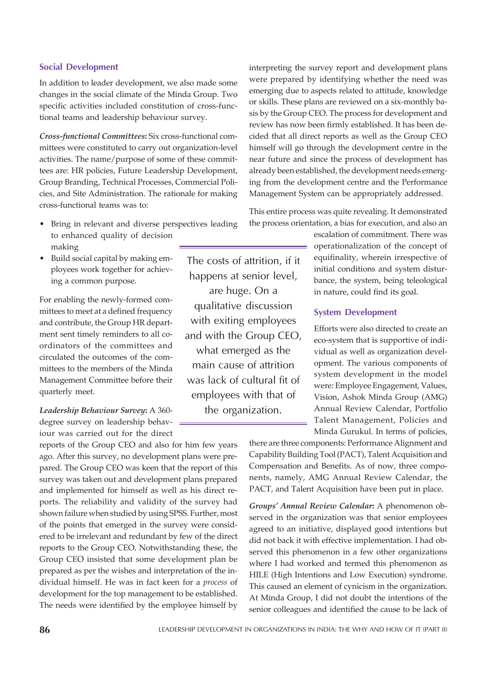# Social Development

In addition to leader development, we also made some changes in the social climate of the Minda Group. Two specific activities included constitution of cross-functional teams and leadership behaviour survey.

*Cross-functional Committees***:** Six cross-functional committees were constituted to carry out organization-level activities. The name/purpose of some of these committees are: HR policies, Future Leadership Development, Group Branding, Technical Processes, Commercial Policies, and Site Administration. The rationale for making cross-functional teams was to:

- Bring in relevant and diverse perspectives leading to enhanced quality of decision making
- Build social capital by making employees work together for achieving a common purpose.

For enabling the newly-formed committees to meet at a defined frequency and contribute, the Group HR department sent timely reminders to all coordinators of the committees and circulated the outcomes of the committees to the members of the Minda Management Committee before their quarterly meet.

*Leadership Behaviour Survey***:** A 360 degree survey on leadership behaviour was carried out for the direct

reports of the Group CEO and also for him few years ago. After this survey, no development plans were prepared. The Group CEO was keen that the report of this survey was taken out and development plans prepared and implemented for himself as well as his direct reports. The reliability and validity of the survey had shown failure when studied by using SPSS. Further, most of the points that emerged in the survey were considered to be irrelevant and redundant by few of the direct reports to the Group CEO. Notwithstanding these, the Group CEO insisted that some development plan be prepared as per the wishes and interpretation of the individual himself. He was in fact keen for a *process* of development for the top management to be established. The needs were identified by the employee himself by

The costs of attrition, if it happens at senior level, are huge. On a qualitative discussion with exiting employees and with the Group CEO, what emerged as the main cause of attrition was lack of cultural fit of employees with that of the organization.

interpreting the survey report and development plans were prepared by identifying whether the need was emerging due to aspects related to attitude, knowledge or skills. These plans are reviewed on a six-monthly basis by the Group CEO. The process for development and review has now been firmly established. It has been decided that all direct reports as well as the Group CEO himself will go through the development centre in the near future and since the process of development has already been established, the development needs emerging from the development centre and the Performance Management System can be appropriately addressed.

This entire process was quite revealing. It demonstrated the process orientation, a bias for execution, and also an

> escalation of commitment. There was operationalization of the concept of equifinality, wherein irrespective of initial conditions and system disturbance, the system, being teleological in nature, could find its goal.

# System Development

Efforts were also directed to create an eco-system that is supportive of individual as well as organization development. The various components of system development in the model were: Employee Engagement, Values, Vision, Ashok Minda Group (AMG) Annual Review Calendar, Portfolio Talent Management, Policies and Minda Gurukul. In terms of policies,

there are three components: Performance Alignment and Capability Building Tool (PACT), Talent Acquisition and Compensation and Benefits. As of now, three components, namely, AMG Annual Review Calendar, the PACT, and Talent Acquisition have been put in place.

*Groups' Annual Review Calendar***:** A phenomenon observed in the organization was that senior employees agreed to an initiative, displayed good intentions but did not back it with effective implementation. I had observed this phenomenon in a few other organizations where I had worked and termed this phenomenon as HILE (High Intentions and Low Execution) syndrome. This caused an element of cynicism in the organization. At Minda Group, I did not doubt the intentions of the senior colleagues and identified the cause to be lack of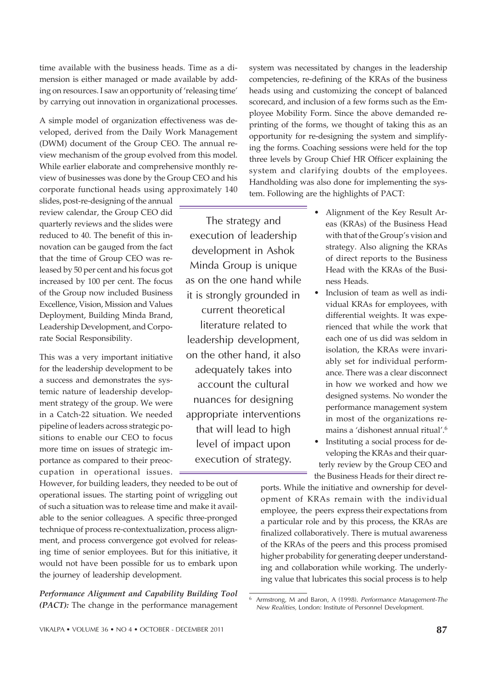time available with the business heads. Time as a dimension is either managed or made available by adding on resources. I saw an opportunity of 'releasing time' by carrying out innovation in organizational processes.

A simple model of organization effectiveness was developed, derived from the Daily Work Management (DWM) document of the Group CEO. The annual review mechanism of the group evolved from this model. While earlier elaborate and comprehensive monthly review of businesses was done by the Group CEO and his corporate functional heads using approximately 140

slides, post-re-designing of the annual review calendar, the Group CEO did quarterly reviews and the slides were reduced to 40. The benefit of this innovation can be gauged from the fact that the time of Group CEO was released by 50 per cent and his focus got increased by 100 per cent. The focus of the Group now included Business Excellence, Vision, Mission and Values Deployment, Building Minda Brand, Leadership Development, and Corporate Social Responsibility.

This was a very important initiative for the leadership development to be a success and demonstrates the systemic nature of leadership development strategy of the group. We were in a Catch-22 situation. We needed pipeline of leaders across strategic positions to enable our CEO to focus more time on issues of strategic importance as compared to their preoccupation in operational issues.

However, for building leaders, they needed to be out of operational issues. The starting point of wriggling out of such a situation was to release time and make it available to the senior colleagues. A specific three-pronged technique of process re-contextualization, process alignment, and process convergence got evolved for releasing time of senior employees. But for this initiative, it would not have been possible for us to embark upon the journey of leadership development.

*Performance Alignment and Capability Building Tool (PACT):* The change in the performance management

The strategy and execution of leadership development in Ashok Minda Group is unique as on the one hand while it is strongly grounded in current theoretical literature related to leadership development, on the other hand, it also adequately takes into account the cultural nuances for designing appropriate interventions that will lead to high level of impact upon execution of strategy.

system was necessitated by changes in the leadership competencies, re-defining of the KRAs of the business heads using and customizing the concept of balanced scorecard, and inclusion of a few forms such as the Employee Mobility Form. Since the above demanded reprinting of the forms, we thought of taking this as an opportunity for re-designing the system and simplifying the forms. Coaching sessions were held for the top three levels by Group Chief HR Officer explaining the system and clarifying doubts of the employees. Handholding was also done for implementing the system. Following are the highlights of PACT:

- Alignment of the Key Result Areas (KRAs) of the Business Head with that of the Group's vision and strategy. Also aligning the KRAs of direct reports to the Business Head with the KRAs of the Business Heads.
- Inclusion of team as well as individual KRAs for employees, with differential weights. It was experienced that while the work that each one of us did was seldom in isolation, the KRAs were invariably set for individual performance. There was a clear disconnect in how we worked and how we designed systems. No wonder the performance management system in most of the organizations remains a 'dishonest annual ritual'.<sup>6</sup>
- Instituting a social process for developing the KRAs and their quarterly review by the Group CEO and the Business Heads for their direct re-

ports. While the initiative and ownership for development of KRAs remain with the individual employee, the peers express their expectations from a particular role and by this process, the KRAs are finalized collaboratively. There is mutual awareness of the KRAs of the peers and this process promised higher probability for generating deeper understanding and collaboration while working. The underlying value that lubricates this social process is to help

<sup>6</sup> Armstrong, M and Baron, A (1998). *Performance Management-The New Realities,* London: Institute of Personnel Development.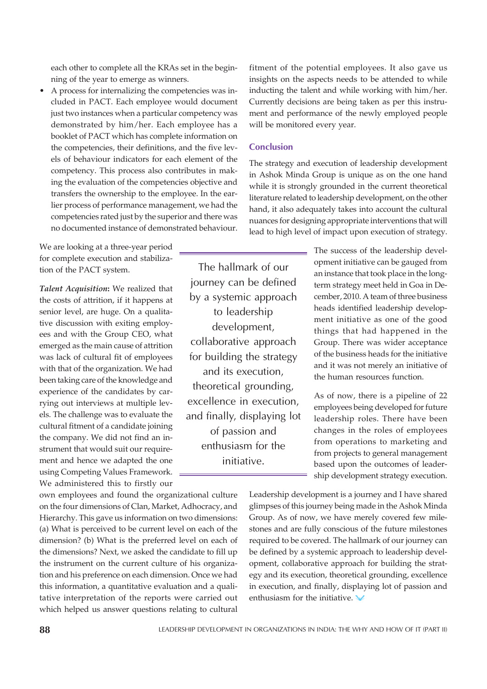each other to complete all the KRAs set in the beginning of the year to emerge as winners.

A process for internalizing the competencies was included in PACT. Each employee would document just two instances when a particular competency was demonstrated by him/her. Each employee has a booklet of PACT which has complete information on the competencies, their definitions, and the five levels of behaviour indicators for each element of the competency. This process also contributes in making the evaluation of the competencies objective and transfers the ownership to the employee. In the earlier process of performance management, we had the competencies rated just by the superior and there was no documented instance of demonstrated behaviour.

We are looking at a three-year period for complete execution and stabilization of the PACT system.

*Talent Acquisition***:** We realized that the costs of attrition, if it happens at senior level, are huge. On a qualitative discussion with exiting employees and with the Group CEO, what emerged as the main cause of attrition was lack of cultural fit of employees with that of the organization. We had been taking care of the knowledge and experience of the candidates by carrying out interviews at multiple levels. The challenge was to evaluate the cultural fitment of a candidate joining the company. We did not find an instrument that would suit our requirement and hence we adapted the one using Competing Values Framework. We administered this to firstly our

own employees and found the organizational culture on the four dimensions of Clan, Market, Adhocracy, and Hierarchy. This gave us information on two dimensions: (a) What is perceived to be current level on each of the dimension? (b) What is the preferred level on each of the dimensions? Next, we asked the candidate to fill up the instrument on the current culture of his organization and his preference on each dimension. Once we had this information, a quantitative evaluation and a qualitative interpretation of the reports were carried out which helped us answer questions relating to cultural fitment of the potential employees. It also gave us insights on the aspects needs to be attended to while inducting the talent and while working with him/her. Currently decisions are being taken as per this instrument and performance of the newly employed people will be monitored every year.

# **Conclusion**

The strategy and execution of leadership development in Ashok Minda Group is unique as on the one hand while it is strongly grounded in the current theoretical literature related to leadership development, on the other hand, it also adequately takes into account the cultural nuances for designing appropriate interventions that will lead to high level of impact upon execution of strategy.

The hallmark of our journey can be defined by a systemic approach to leadership development, collaborative approach for building the strategy and its execution, theoretical grounding, excellence in execution, and finally, displaying lot of passion and enthusiasm for the initiative.

The success of the leadership development initiative can be gauged from an instance that took place in the longterm strategy meet held in Goa in December, 2010. A team of three business heads identified leadership development initiative as one of the good things that had happened in the Group. There was wider acceptance of the business heads for the initiative and it was not merely an initiative of the human resources function.

As of now, there is a pipeline of 22 employees being developed for future leadership roles. There have been changes in the roles of employees from operations to marketing and from projects to general management based upon the outcomes of leadership development strategy execution.

Leadership development is a journey and I have shared glimpses of this journey being made in the Ashok Minda Group. As of now, we have merely covered few milestones and are fully conscious of the future milestones required to be covered. The hallmark of our journey can be defined by a systemic approach to leadership development, collaborative approach for building the strategy and its execution, theoretical grounding, excellence in execution, and finally, displaying lot of passion and enthusiasm for the initiative.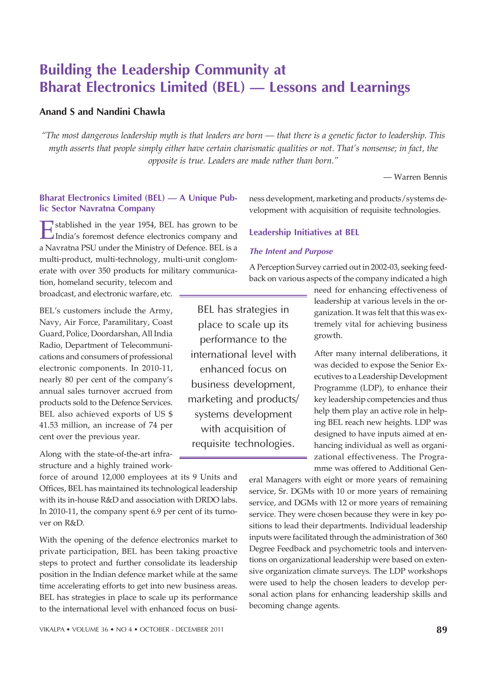# Building the Leadership Community at Bharat Electronics Limited (BEL) — Lessons and Learnings

# Anand S and Nandini Chawla

*"The most dangerous leadership myth is that leaders are born — that there is a genetic factor to leadership. This myth asserts that people simply either have certain charismatic qualities or not. That's nonsense; in fact, the opposite is true. Leaders are made rather than born."*

— Warren Bennis

# Bharat Electronics Limited (BEL) — A Unique Public Sector Navratna Company

Established in the year 1954, BEL has grown to be<br>India's foremost defence electronics company and India's foremost defence electronics company and a Navratna PSU under the Ministry of Defence. BEL is a multi-product, multi-technology, multi-unit conglomerate with over 350 products for military communica-

tion, homeland security, telecom and broadcast, and electronic warfare, etc.

BEL's customers include the Army, Navy, Air Force, Paramilitary, Coast Guard, Police, Doordarshan, All India Radio, Department of Telecommunications and consumers of professional electronic components. In 2010-11, nearly 80 per cent of the company's annual sales turnover accrued from products sold to the Defence Services. BEL also achieved exports of US \$ 41.53 million, an increase of 74 per cent over the previous year.

Along with the state-of-the-art infrastructure and a highly trained work-

force of around 12,000 employees at its 9 Units and Offices, BEL has maintained its technological leadership with its in-house R&D and association with DRDO labs. In 2010-11, the company spent 6.9 per cent of its turnover on R&D.

With the opening of the defence electronics market to private participation, BEL has been taking proactive steps to protect and further consolidate its leadership position in the Indian defence market while at the same time accelerating efforts to get into new business areas. BEL has strategies in place to scale up its performance to the international level with enhanced focus on busi-

ness development, marketing and products/systems development with acquisition of requisite technologies.

# Leadership Initiatives at BEL

# The Intent and Purpose

A Perception Survey carried out in 2002-03, seeking feedback on various aspects of the company indicated a high

BEL has strategies in place to scale up its performance to the international level with enhanced focus on business development, marketing and products/ systems development with acquisition of requisite technologies.

need for enhancing effectiveness of leadership at various levels in the organization. It was felt that this was extremely vital for achieving business growth.

After many internal deliberations, it was decided to expose the Senior Executives to a Leadership Development Programme (LDP), to enhance their key leadership competencies and thus help them play an active role in helping BEL reach new heights. LDP was designed to have inputs aimed at enhancing individual as well as organizational effectiveness. The Programme was offered to Additional Gen-

eral Managers with eight or more years of remaining service, Sr. DGMs with 10 or more years of remaining service, and DGMs with 12 or more years of remaining service. They were chosen because they were in key positions to lead their departments. Individual leadership inputs were facilitated through the administration of 360 Degree Feedback and psychometric tools and interventions on organizational leadership were based on extensive organization climate surveys. The LDP workshops were used to help the chosen leaders to develop personal action plans for enhancing leadership skills and becoming change agents.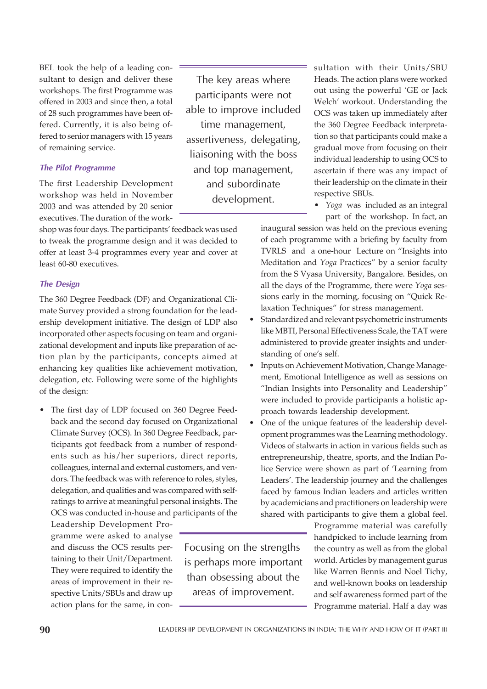BEL took the help of a leading consultant to design and deliver these workshops. The first Programme was offered in 2003 and since then, a total of 28 such programmes have been offered. Currently, it is also being offered to senior managers with 15 years of remaining service.

#### The Pilot Programme

The first Leadership Development workshop was held in November 2003 and was attended by 20 senior executives. The duration of the work-

shop was four days. The participants' feedback was used to tweak the programme design and it was decided to offer at least 3-4 programmes every year and cover at least 60-80 executives.

# The Design

The 360 Degree Feedback (DF) and Organizational Climate Survey provided a strong foundation for the leadership development initiative. The design of LDP also incorporated other aspects focusing on team and organizational development and inputs like preparation of action plan by the participants, concepts aimed at enhancing key qualities like achievement motivation, delegation, etc. Following were some of the highlights of the design:

• The first day of LDP focused on 360 Degree Feedback and the second day focused on Organizational Climate Survey (OCS). In 360 Degree Feedback, participants got feedback from a number of respondents such as his/her superiors, direct reports, colleagues, internal and external customers, and vendors. The feedback was with reference to roles, styles, delegation, and qualities and was compared with selfratings to arrive at meaningful personal insights. The OCS was conducted in-house and participants of the

Leadership Development Programme were asked to analyse and discuss the OCS results pertaining to their Unit/Department. They were required to identify the areas of improvement in their respective Units/SBUs and draw up action plans for the same, in con-

Focusing on the strengths is perhaps more important than obsessing about the areas of improvement.

The key areas where participants were not able to improve included time management, assertiveness, delegating, liaisoning with the boss and top management, and subordinate development.

sultation with their Units/SBU Heads. The action plans were worked out using the powerful 'GE or Jack Welch' workout. Understanding the OCS was taken up immediately after the 360 Degree Feedback interpretation so that participants could make a gradual move from focusing on their individual leadership to using OCS to ascertain if there was any impact of their leadership on the climate in their respective SBUs.

• *Yoga* was included as an integral part of the workshop. In fact, an

inaugural session was held on the previous evening of each programme with a briefing by faculty from TVRLS and a one-hour Lecture on "Insights into Meditation and *Yoga* Practices" by a senior faculty from the S Vyasa University, Bangalore. Besides, on all the days of the Programme, there were *Yoga* sessions early in the morning, focusing on "Quick Relaxation Techniques" for stress management.

- Standardized and relevant psychometric instruments like MBTI, Personal Effectiveness Scale, the TAT were administered to provide greater insights and understanding of one's self.
- Inputs on Achievement Motivation, Change Management, Emotional Intelligence as well as sessions on "Indian Insights into Personality and Leadership" were included to provide participants a holistic approach towards leadership development.
- One of the unique features of the leadership development programmes was the Learning methodology. Videos of stalwarts in action in various fields such as entrepreneurship, theatre, sports, and the Indian Police Service were shown as part of 'Learning from Leaders'. The leadership journey and the challenges faced by famous Indian leaders and articles written by academicians and practitioners on leadership were shared with participants to give them a global feel.

Programme material was carefully handpicked to include learning from the country as well as from the global world. Articles by management gurus like Warren Bennis and Noel Tichy, and well-known books on leadership and self awareness formed part of the Programme material. Half a day was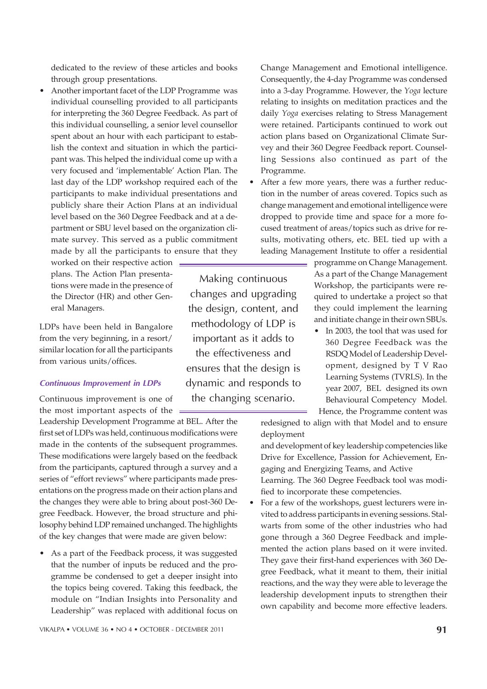dedicated to the review of these articles and books through group presentations.

Another important facet of the LDP Programme was individual counselling provided to all participants for interpreting the 360 Degree Feedback. As part of this individual counselling, a senior level counsellor spent about an hour with each participant to establish the context and situation in which the participant was. This helped the individual come up with a very focused and 'implementable' Action Plan. The last day of the LDP workshop required each of the participants to make individual presentations and publicly share their Action Plans at an individual level based on the 360 Degree Feedback and at a department or SBU level based on the organization climate survey. This served as a public commitment made by all the participants to ensure that they

worked on their respective action plans. The Action Plan presentations were made in the presence of the Director (HR) and other General Managers.

LDPs have been held in Bangalore from the very beginning, in a resort/ similar location for all the participants from various units/offices.

#### Continuous Improvement in LDPs

Continuous improvement is one of the most important aspects of the  $=$ 

Leadership Development Programme at BEL. After the first set of LDPs was held, continuous modifications were made in the contents of the subsequent programmes. These modifications were largely based on the feedback from the participants, captured through a survey and a series of "effort reviews" where participants made presentations on the progress made on their action plans and the changes they were able to bring about post-360 Degree Feedback. However, the broad structure and philosophy behind LDP remained unchanged. The highlights of the key changes that were made are given below:

• As a part of the Feedback process, it was suggested that the number of inputs be reduced and the programme be condensed to get a deeper insight into the topics being covered. Taking this feedback, the module on "Indian Insights into Personality and Leadership" was replaced with additional focus on

Change Management and Emotional intelligence. Consequently, the 4-day Programme was condensed into a 3-day Programme. However, the *Yoga* lecture relating to insights on meditation practices and the daily *Yoga* exercises relating to Stress Management were retained. Participants continued to work out action plans based on Organizational Climate Survey and their 360 Degree Feedback report. Counselling Sessions also continued as part of the Programme.

• After a few more years, there was a further reduction in the number of areas covered. Topics such as change management and emotional intelligence were dropped to provide time and space for a more focused treatment of areas/topics such as drive for results, motivating others, etc. BEL tied up with a leading Management Institute to offer a residential

Making continuous changes and upgrading the design, content, and methodology of LDP is important as it adds to the effectiveness and ensures that the design is dynamic and responds to the changing scenario.

programme on Change Management. As a part of the Change Management Workshop, the participants were required to undertake a project so that they could implement the learning and initiate change in their own SBUs.

• In 2003, the tool that was used for 360 Degree Feedback was the RSDQ Model of Leadership Development, designed by T V Rao Learning Systems (TVRLS). In the year 2007, BEL designed its own Behavioural Competency Model. Hence, the Programme content was

redesigned to align with that Model and to ensure deployment

and development of key leadership competencies like Drive for Excellence, Passion for Achievement, Engaging and Energizing Teams, and Active Learning. The 360 Degree Feedback tool was modified to incorporate these competencies.

For a few of the workshops, guest lecturers were invited to address participants in evening sessions. Stalwarts from some of the other industries who had gone through a 360 Degree Feedback and implemented the action plans based on it were invited. They gave their first-hand experiences with 360 Degree Feedback, what it meant to them, their initial reactions, and the way they were able to leverage the leadership development inputs to strengthen their own capability and become more effective leaders.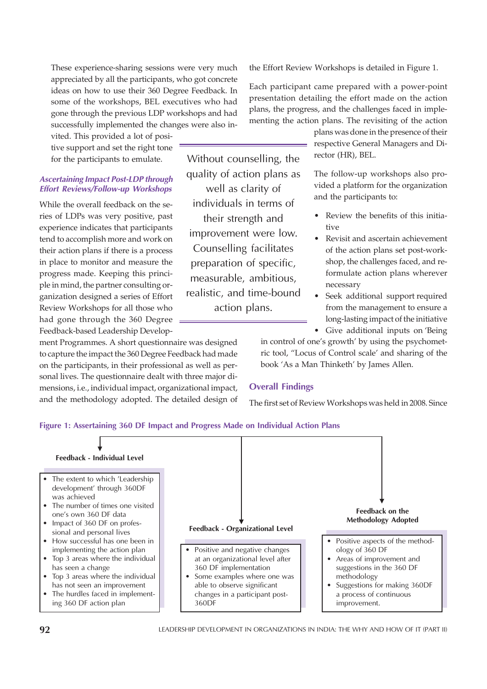These experience-sharing sessions were very much appreciated by all the participants, who got concrete ideas on how to use their 360 Degree Feedback. In some of the workshops, BEL executives who had gone through the previous LDP workshops and had successfully implemented the changes were also in-

vited. This provided a lot of positive support and set the right tone for the participants to emulate.

# Ascertaining Impact Post-LDP through Effort Reviews/Follow-up Workshops

While the overall feedback on the series of LDPs was very positive, past experience indicates that participants tend to accomplish more and work on their action plans if there is a process in place to monitor and measure the progress made. Keeping this principle in mind, the partner consulting organization designed a series of Effort Review Workshops for all those who had gone through the 360 Degree Feedback-based Leadership Develop-

ment Programmes. A short questionnaire was designed to capture the impact the 360 Degree Feedback had made on the participants, in their professional as well as personal lives. The questionnaire dealt with three major dimensions, i.e., individual impact, organizational impact, and the methodology adopted. The detailed design of

Without counselling, the quality of action plans as well as clarity of individuals in terms of their strength and improvement were low. Counselling facilitates preparation of specific, measurable, ambitious, realistic, and time-bound action plans.

the Effort Review Workshops is detailed in Figure 1.

Each participant came prepared with a power-point presentation detailing the effort made on the action plans, the progress, and the challenges faced in implementing the action plans. The revisiting of the action

> plans was done in the presence of their respective General Managers and Director (HR), BEL.

> The follow-up workshops also provided a platform for the organization and the participants to:

- Review the benefits of this initiative
- Revisit and ascertain achievement of the action plans set post-workshop, the challenges faced, and reformulate action plans wherever necessary
- Seek additional support required from the management to ensure a long-lasting impact of the initiative
- Give additional inputs on 'Being

in control of one's growth' by using the psychometric tool, "Locus of Control scale' and sharing of the book 'As a Man Thinketh' by James Allen.

# Overall Findings

The first set of Review Workshops was held in 2008. Since



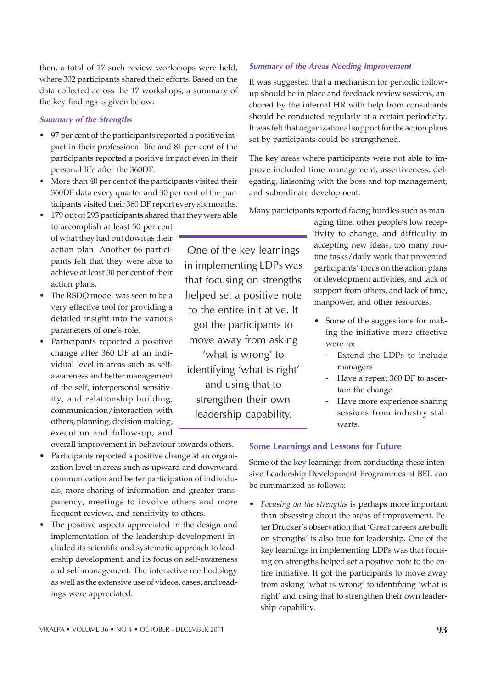then, a total of 17 such review workshops were held, where 302 participants shared their efforts. Based on the data collected across the 17 workshops, a summary of the key findings is given below:

## Summary of the Strengths

- 97 per cent of the participants reported a positive impact in their professional life and 81 per cent of the participants reported a positive impact even in their personal life after the 360DF.
- More than 40 per cent of the participants visited their 360DF data every quarter and 30 per cent of the participants visited their 360 DF report every six months.
- 179 out of 293 participants shared that they were able to accomplish at least 50 per cent of what they had put down as their action plan. Another 66 participants felt that they were able to achieve at least 30 per cent of their action plans.
- The RSDQ model was seen to be a very effective tool for providing a detailed insight into the various parameters of one's role.
- Participants reported a positive change after 360 DF at an individual level in areas such as selfawareness and better management of the self, interpersonal sensitivity, and relationship building, communication/interaction with others, planning, decision making, execution and follow-up, and

overall improvement in behaviour towards others.

- Participants reported a positive change at an organization level in areas such as upward and downward communication and better participation of individuals, more sharing of information and greater transparency, meetings to involve others and more frequent reviews, and sensitivity to others.
- The positive aspects appreciated in the design and implementation of the leadership development included its scientific and systematic approach to leadership development, and its focus on self-awareness and self-management. The interactive methodology as well as the extensive use of videos, cases, and readings were appreciated.

# One of the key learnings in implementing LDPs was that focusing on strengths helped set a positive note to the entire initiative. It got the participants to move away from asking 'what is wrong' to identifying 'what is right'

and using that to strengthen their own leadership capability.

# Summary of the Areas Needing Improvement

It was suggested that a mechanism for periodic followup should be in place and feedback review sessions, anchored by the internal HR with help from consultants should be conducted regularly at a certain periodicity. It was felt that organizational support for the action plans set by participants could be strengthened.

The key areas where participants were not able to improve included time management, assertiveness, delegating, liaisoning with the boss and top management, and subordinate development.

Many participants reported facing hurdles such as man-

aging time, other people's low receptivity to change, and difficulty in accepting new ideas, too many routine tasks/daily work that prevented participants' focus on the action plans or development activities, and lack of support from others, and lack of time, manpower, and other resources.

- Some of the suggestions for making the initiative more effective were to:
	- Extend the LDPs to include managers
	- Have a repeat 360 DF to ascertain the change
	- Have more experience sharing sessions from industry stalwarts.

# Some Learnings and Lessons for Future

Some of the key learnings from conducting these intensive Leadership Development Programmes at BEL can be summarized as follows:

ï *Focusing on the strengths* is perhaps more important than obsessing about the areas of improvement. Peter Drucker's observation that 'Great careers are built on strengths' is also true for leadership. One of the key learnings in implementing LDPs was that focusing on strengths helped set a positive note to the entire initiative. It got the participants to move away from asking 'what is wrong' to identifying 'what is right' and using that to strengthen their own leadership capability.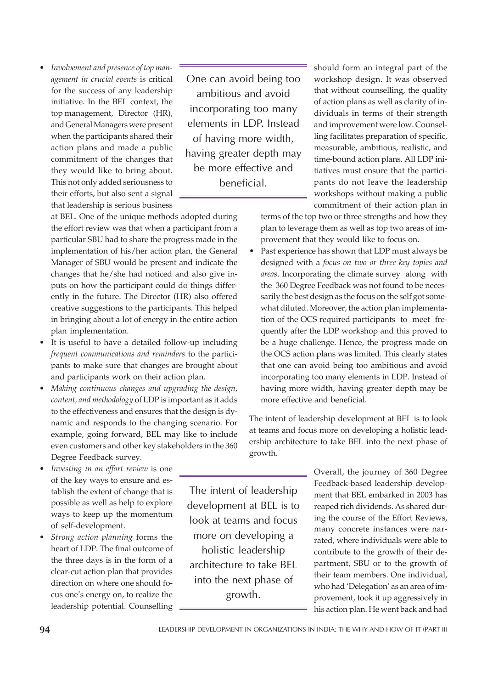Involvement and presence of top man*agement in crucial events* is critical for the success of any leadership initiative. In the BEL context, the top management, Director (HR), and General Managers were present when the participants shared their action plans and made a public commitment of the changes that they would like to bring about. This not only added seriousness to their efforts, but also sent a signal that leadership is serious business

One can avoid being too ambitious and avoid incorporating too many elements in LDP. Instead of having more width, having greater depth may be more effective and beneficial.

at BEL. One of the unique methods adopted during the effort review was that when a participant from a particular SBU had to share the progress made in the implementation of his/her action plan, the General Manager of SBU would be present and indicate the changes that he/she had noticed and also give inputs on how the participant could do things differently in the future. The Director (HR) also offered creative suggestions to the participants. This helped in bringing about a lot of energy in the entire action plan implementation.

- It is useful to have a detailed follow-up including *frequent communications and reminders* to the participants to make sure that changes are brought about and participants work on their action plan.
- ï *Making continuous changes and upgrading the design, content, and methodology* of LDP is important as it adds to the effectiveness and ensures that the design is dynamic and responds to the changing scenario. For example, going forward, BEL may like to include even customers and other key stakeholders in the 360 Degree Feedback survey.
- Investing in an effort review is one of the key ways to ensure and establish the extent of change that is possible as well as help to explore ways to keep up the momentum of self-development.
- Strong action planning forms the heart of LDP. The final outcome of the three days is in the form of a clear-cut action plan that provides direction on where one should focus one's energy on, to realize the leadership potential. Counselling

The intent of leadership development at BEL is to look at teams and focus more on developing a holistic leadership architecture to take BEL into the next phase of growth.

should form an integral part of the workshop design. It was observed that without counselling, the quality of action plans as well as clarity of individuals in terms of their strength and improvement were low. Counselling facilitates preparation of specific, measurable, ambitious, realistic, and time-bound action plans. All LDP initiatives must ensure that the participants do not leave the leadership workshops without making a public commitment of their action plan in

terms of the top two or three strengths and how they plan to leverage them as well as top two areas of improvement that they would like to focus on.

Past experience has shown that LDP must always be designed with a *focus on two or three key topics and areas*. Incorporating the climate survey along with the 360 Degree Feedback was not found to be necessarily the best design as the focus on the self got somewhat diluted. Moreover, the action plan implementation of the OCS required participants to meet frequently after the LDP workshop and this proved to be a huge challenge. Hence, the progress made on the OCS action plans was limited. This clearly states that one can avoid being too ambitious and avoid incorporating too many elements in LDP. Instead of having more width, having greater depth may be more effective and beneficial.

The intent of leadership development at BEL is to look at teams and focus more on developing a holistic leadership architecture to take BEL into the next phase of growth.

> Overall, the journey of 360 Degree Feedback-based leadership development that BEL embarked in 2003 has reaped rich dividends. As shared during the course of the Effort Reviews, many concrete instances were narrated, where individuals were able to contribute to the growth of their department, SBU or to the growth of their team members. One individual, who had 'Delegation' as an area of improvement, took it up aggressively in his action plan. He went back and had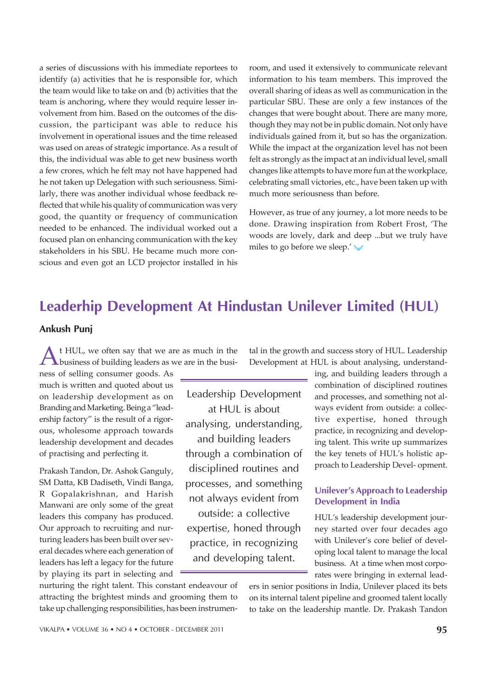a series of discussions with his immediate reportees to identify (a) activities that he is responsible for, which the team would like to take on and (b) activities that the team is anchoring, where they would require lesser involvement from him. Based on the outcomes of the discussion, the participant was able to reduce his involvement in operational issues and the time released was used on areas of strategic importance. As a result of this, the individual was able to get new business worth a few crores, which he felt may not have happened had he not taken up Delegation with such seriousness. Similarly, there was another individual whose feedback reflected that while his quality of communication was very good, the quantity or frequency of communication needed to be enhanced. The individual worked out a focused plan on enhancing communication with the key stakeholders in his SBU. He became much more conscious and even got an LCD projector installed in his room, and used it extensively to communicate relevant information to his team members. This improved the overall sharing of ideas as well as communication in the particular SBU. These are only a few instances of the changes that were bought about. There are many more, though they may not be in public domain. Not only have individuals gained from it, but so has the organization. While the impact at the organization level has not been felt as strongly as the impact at an individual level, small changes like attempts to have more fun at the workplace, celebrating small victories, etc., have been taken up with much more seriousness than before.

However, as true of any journey, a lot more needs to be done. Drawing inspiration from Robert Frost, 'The woods are lovely, dark and deep ...but we truly have miles to go before we sleep.'

# Leaderhip Development At Hindustan Unilever Limited (HUL)

# Ankush Punj

 $A<sup>t</sup> HUL$ , we often say that we are as much in the busi-<br>business of building leaders as we are in the busit HUL, we often say that we are as much in the

ness of selling consumer goods. As much is written and quoted about us on leadership development as on Branding and Marketing. Being a "leadership factory" is the result of a rigorous, wholesome approach towards leadership development and decades of practising and perfecting it.

Prakash Tandon, Dr. Ashok Ganguly, SM Datta, KB Dadiseth, Vindi Banga, R Gopalakrishnan, and Harish Manwani are only some of the great leaders this company has produced. Our approach to recruiting and nurturing leaders has been built over several decades where each generation of leaders has left a legacy for the future by playing its part in selecting and

Leadership Development at HUL is about analysing, understanding, and building leaders through a combination of disciplined routines and processes, and something not always evident from outside: a collective expertise, honed through practice, in recognizing and developing talent.

tal in the growth and success story of HUL. Leadership Development at HUL is about analysing, understand-

> ing, and building leaders through a combination of disciplined routines and processes, and something not always evident from outside: a collective expertise, honed through practice, in recognizing and developing talent. This write up summarizes the key tenets of HUL's holistic approach to Leadership Devel- opment.

# Unilever's Approach to Leadership Development in India

HUL's leadership development journey started over four decades ago with Unilever's core belief of developing local talent to manage the local business. At a time when most corporates were bringing in external lead-

nurturing the right talent. This constant endeavour of attracting the brightest minds and grooming them to take up challenging responsibilities, has been instrumeners in senior positions in India, Unilever placed its bets on its internal talent pipeline and groomed talent locally to take on the leadership mantle. Dr. Prakash Tandon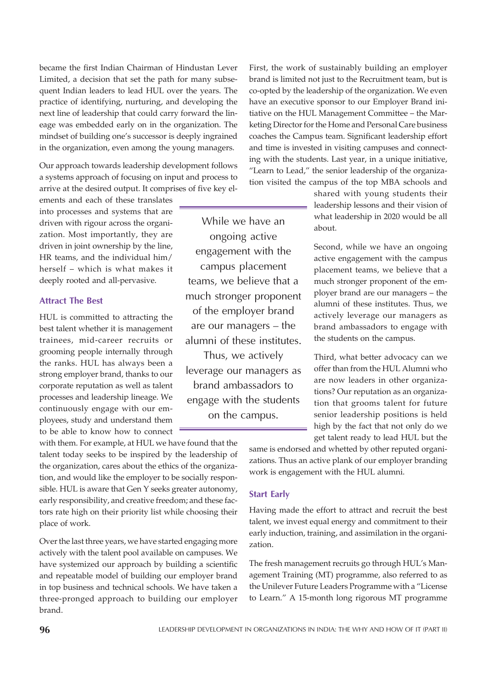became the first Indian Chairman of Hindustan Lever Limited, a decision that set the path for many subsequent Indian leaders to lead HUL over the years. The practice of identifying, nurturing, and developing the next line of leadership that could carry forward the lineage was embedded early on in the organization. The mindset of building one's successor is deeply ingrained in the organization, even among the young managers.

Our approach towards leadership development follows a systems approach of focusing on input and process to arrive at the desired output. It comprises of five key el-

ements and each of these translates into processes and systems that are driven with rigour across the organization. Most importantly, they are driven in joint ownership by the line, HR teams, and the individual him/ herself – which is what makes it deeply rooted and all-pervasive.

# Attract The Best

HUL is committed to attracting the best talent whether it is management trainees, mid-career recruits or grooming people internally through the ranks. HUL has always been a strong employer brand, thanks to our corporate reputation as well as talent processes and leadership lineage. We continuously engage with our employees, study and understand them to be able to know how to connect

with them. For example, at HUL we have found that the talent today seeks to be inspired by the leadership of the organization, cares about the ethics of the organization, and would like the employer to be socially responsible. HUL is aware that Gen Y seeks greater autonomy, early responsibility, and creative freedom; and these factors rate high on their priority list while choosing their place of work.

Over the last three years, we have started engaging more actively with the talent pool available on campuses. We have systemized our approach by building a scientific and repeatable model of building our employer brand in top business and technical schools. We have taken a three-pronged approach to building our employer brand.

While we have an ongoing active engagement with the campus placement teams, we believe that a much stronger proponent of the employer brand are our managers – the alumni of these institutes.

Thus, we actively leverage our managers as brand ambassadors to engage with the students on the campus.

First, the work of sustainably building an employer brand is limited not just to the Recruitment team, but is co-opted by the leadership of the organization. We even have an executive sponsor to our Employer Brand initiative on the HUL Management Committee – the Marketing Director for the Home and Personal Care business coaches the Campus team. Significant leadership effort and time is invested in visiting campuses and connecting with the students. Last year, in a unique initiative, "Learn to Lead," the senior leadership of the organization visited the campus of the top MBA schools and

> shared with young students their leadership lessons and their vision of what leadership in 2020 would be all about.

> Second, while we have an ongoing active engagement with the campus placement teams, we believe that a much stronger proponent of the employer brand are our managers – the alumni of these institutes. Thus, we actively leverage our managers as brand ambassadors to engage with the students on the campus.

> Third, what better advocacy can we offer than from the HUL Alumni who are now leaders in other organizations? Our reputation as an organization that grooms talent for future senior leadership positions is held high by the fact that not only do we get talent ready to lead HUL but the

same is endorsed and whetted by other reputed organizations. Thus an active plank of our employer branding work is engagement with the HUL alumni.

# Start Early

Having made the effort to attract and recruit the best talent, we invest equal energy and commitment to their early induction, training, and assimilation in the organization.

The fresh management recruits go through HUL's Management Training (MT) programme, also referred to as the Unilever Future Leaders Programme with a "License to Learn." A 15-month long rigorous MT programme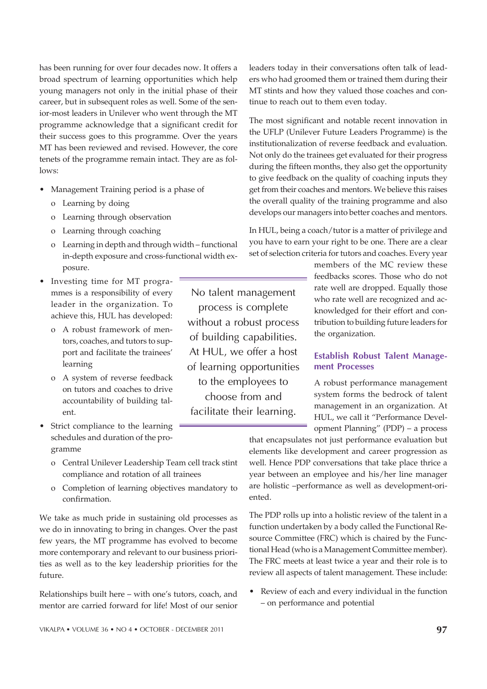has been running for over four decades now. It offers a broad spectrum of learning opportunities which help young managers not only in the initial phase of their career, but in subsequent roles as well. Some of the senior-most leaders in Unilever who went through the MT programme acknowledge that a significant credit for their success goes to this programme. Over the years MT has been reviewed and revised. However, the core tenets of the programme remain intact. They are as follows:

- Management Training period is a phase of
	- o Learning by doing
	- o Learning through observation
	- o Learning through coaching
	- o Learning in depth and through width functional in-depth exposure and cross-functional width exposure.
- Investing time for MT programmes is a responsibility of every leader in the organization. To achieve this, HUL has developed:
	- o A robust framework of mentors, coaches, and tutors to support and facilitate the trainees' learning
	- o A system of reverse feedback on tutors and coaches to drive accountability of building talent.
- Strict compliance to the learning schedules and duration of the programme
	- o Central Unilever Leadership Team cell track stint compliance and rotation of all trainees
	- o Completion of learning objectives mandatory to confirmation.

We take as much pride in sustaining old processes as we do in innovating to bring in changes. Over the past few years, the MT programme has evolved to become more contemporary and relevant to our business priorities as well as to the key leadership priorities for the future.

Relationships built here – with one's tutors, coach, and mentor are carried forward for life! Most of our senior

No talent management process is complete without a robust process of building capabilities. At HUL, we offer a host of learning opportunities to the employees to choose from and facilitate their learning.

leaders today in their conversations often talk of leaders who had groomed them or trained them during their MT stints and how they valued those coaches and continue to reach out to them even today.

The most significant and notable recent innovation in the UFLP (Unilever Future Leaders Programme) is the institutionalization of reverse feedback and evaluation. Not only do the trainees get evaluated for their progress during the fifteen months, they also get the opportunity to give feedback on the quality of coaching inputs they get from their coaches and mentors. We believe this raises the overall quality of the training programme and also develops our managers into better coaches and mentors.

In HUL, being a coach/tutor is a matter of privilege and you have to earn your right to be one. There are a clear set of selection criteria for tutors and coaches. Every year

> members of the MC review these feedbacks scores. Those who do not rate well are dropped. Equally those who rate well are recognized and acknowledged for their effort and contribution to building future leaders for the organization.

# Establish Robust Talent Management Processes

A robust performance management system forms the bedrock of talent management in an organization. At HUL, we call it "Performance Development Planning" (PDP) – a process

that encapsulates not just performance evaluation but elements like development and career progression as well. Hence PDP conversations that take place thrice a year between an employee and his/her line manager are holistic –performance as well as development-oriented.

The PDP rolls up into a holistic review of the talent in a function undertaken by a body called the Functional Resource Committee (FRC) which is chaired by the Functional Head (who is a Management Committee member). The FRC meets at least twice a year and their role is to review all aspects of talent management. These include:

Review of each and every individual in the function – on performance and potential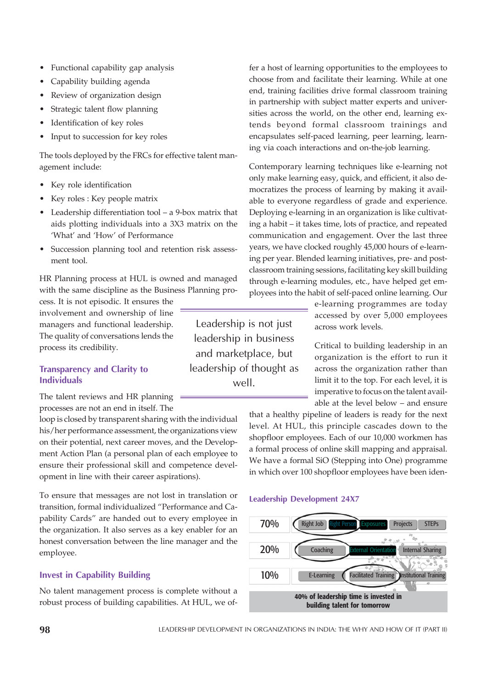- Capability building agenda
- Review of organization design
- Strategic talent flow planning
- Identification of key roles
- Input to succession for key roles

The tools deployed by the FRCs for effective talent management include:

- Key role identification
- Key roles : Key people matrix
- Leadership differentiation tool a 9-box matrix that aids plotting individuals into a 3X3 matrix on the 'What' and 'How' of Performance
- Succession planning tool and retention risk assessment tool.

HR Planning process at HUL is owned and managed with the same discipline as the Business Planning pro-

cess. It is not episodic. It ensures the involvement and ownership of line managers and functional leadership. The quality of conversations lends the process its credibility.

# Transparency and Clarity to Individuals

The talent reviews and HR planning processes are not an end in itself. The

loop is closed by transparent sharing with the individual his/her performance assessment, the organizations view on their potential, next career moves, and the Development Action Plan (a personal plan of each employee to ensure their professional skill and competence development in line with their career aspirations).

To ensure that messages are not lost in translation or transition, formal individualized "Performance and Capability Cards" are handed out to every employee in the organization. It also serves as a key enabler for an honest conversation between the line manager and the employee.

# Invest in Capability Building

No talent management process is complete without a robust process of building capabilities. At HUL, we of-

Leadership is not just leadership in business and marketplace, but leadership of thought as well.

fer a host of learning opportunities to the employees to choose from and facilitate their learning. While at one end, training facilities drive formal classroom training in partnership with subject matter experts and universities across the world, on the other end, learning extends beyond formal classroom trainings and encapsulates self-paced learning, peer learning, learning via coach interactions and on-the-job learning.

Contemporary learning techniques like e-learning not only make learning easy, quick, and efficient, it also democratizes the process of learning by making it available to everyone regardless of grade and experience. Deploying e-learning in an organization is like cultivating a habit – it takes time, lots of practice, and repeated communication and engagement. Over the last three years, we have clocked roughly 45,000 hours of e-learning per year. Blended learning initiatives, pre- and postclassroom training sessions, facilitating key skill building through e-learning modules, etc., have helped get employees into the habit of self-paced online learning. Our

> e-learning programmes are today accessed by over 5,000 employees across work levels.

Critical to building leadership in an organization is the effort to run it across the organization rather than limit it to the top. For each level, it is imperative to focus on the talent available at the level below – and ensure

that a healthy pipeline of leaders is ready for the next level. At HUL, this principle cascades down to the shopfloor employees. Each of our 10,000 workmen has a formal process of online skill mapping and appraisal. We have a formal SiO (Stepping into One) programme in which over 100 shopfloor employees have been iden-

#### Leadership Development 24X7

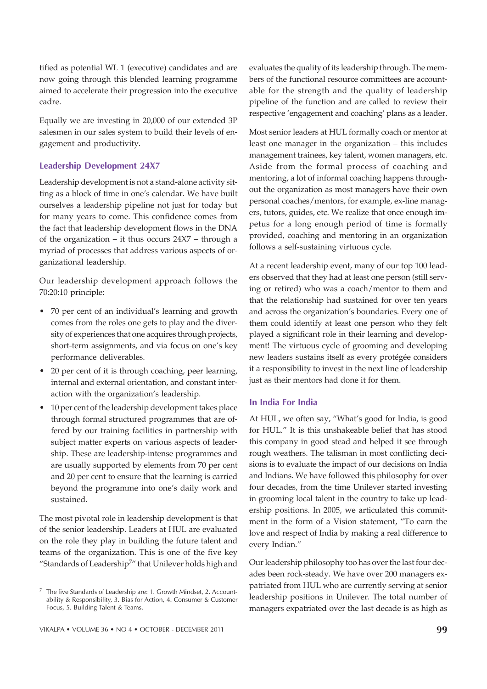tified as potential WL 1 (executive) candidates and are now going through this blended learning programme aimed to accelerate their progression into the executive cadre.

Equally we are investing in 20,000 of our extended 3P salesmen in our sales system to build their levels of engagement and productivity.

# Leadership Development 24X7

Leadership development is not a stand-alone activity sitting as a block of time in one's calendar. We have built ourselves a leadership pipeline not just for today but for many years to come. This confidence comes from the fact that leadership development flows in the DNA of the organization – it thus occurs 24X7 – through a myriad of processes that address various aspects of organizational leadership.

Our leadership development approach follows the 70:20:10 principle:

- 70 per cent of an individual's learning and growth comes from the roles one gets to play and the diversity of experiences that one acquires through projects, short-term assignments, and via focus on one's key performance deliverables.
- 20 per cent of it is through coaching, peer learning, internal and external orientation, and constant interaction with the organization's leadership.
- 10 per cent of the leadership development takes place through formal structured programmes that are offered by our training facilities in partnership with subject matter experts on various aspects of leadership. These are leadership-intense programmes and are usually supported by elements from 70 per cent and 20 per cent to ensure that the learning is carried beyond the programme into one's daily work and sustained.

The most pivotal role in leadership development is that of the senior leadership. Leaders at HUL are evaluated on the role they play in building the future talent and teams of the organization. This is one of the five key "Standards of Leadership<sup>7</sup>" that Unilever holds high and evaluates the quality of its leadership through. The members of the functional resource committees are accountable for the strength and the quality of leadership pipeline of the function and are called to review their respective 'engagement and coaching' plans as a leader.

Most senior leaders at HUL formally coach or mentor at least one manager in the organization – this includes management trainees, key talent, women managers, etc. Aside from the formal process of coaching and mentoring, a lot of informal coaching happens throughout the organization as most managers have their own personal coaches/mentors, for example, ex-line managers, tutors, guides, etc. We realize that once enough impetus for a long enough period of time is formally provided, coaching and mentoring in an organization follows a self-sustaining virtuous cycle.

At a recent leadership event, many of our top 100 leaders observed that they had at least one person (still serving or retired) who was a coach/mentor to them and that the relationship had sustained for over ten years and across the organization's boundaries. Every one of them could identify at least one person who they felt played a significant role in their learning and development! The virtuous cycle of grooming and developing new leaders sustains itself as every protégée considers it a responsibility to invest in the next line of leadership just as their mentors had done it for them.

# In India For India

At HUL, we often say, "What's good for India, is good for HUL." It is this unshakeable belief that has stood this company in good stead and helped it see through rough weathers. The talisman in most conflicting decisions is to evaluate the impact of our decisions on India and Indians. We have followed this philosophy for over four decades, from the time Unilever started investing in grooming local talent in the country to take up leadership positions. In 2005, we articulated this commitment in the form of a Vision statement, "To earn the love and respect of India by making a real difference to every Indian."

Our leadership philosophy too has over the last four decades been rock-steady. We have over 200 managers expatriated from HUL who are currently serving at senior leadership positions in Unilever. The total number of managers expatriated over the last decade is as high as

The five Standards of Leadership are: 1. Growth Mindset, 2. Accountability & Responsibility, 3. Bias for Action, 4. Consumer & Customer Focus, 5. Building Talent & Teams.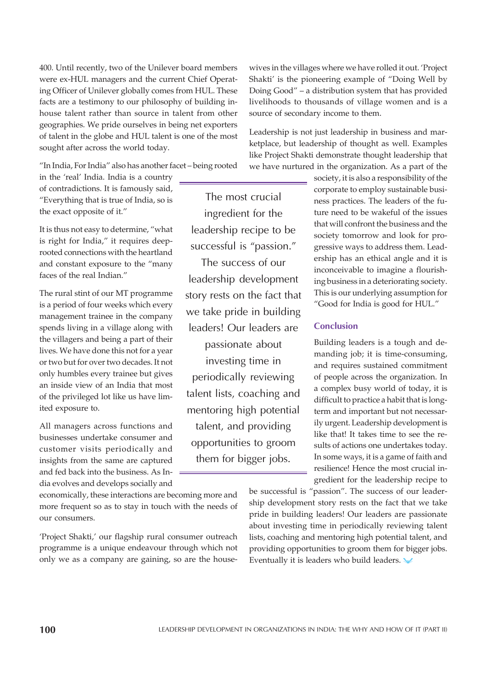400. Until recently, two of the Unilever board members were ex-HUL managers and the current Chief Operating Officer of Unilever globally comes from HUL. These facts are a testimony to our philosophy of building inhouse talent rather than source in talent from other geographies. We pride ourselves in being net exporters of talent in the globe and HUL talent is one of the most sought after across the world today.

"In India, For India" also has another facet – being rooted

in the 'real' India. India is a country of contradictions. It is famously said, "Everything that is true of India, so is the exact opposite of it."

It is thus not easy to determine, "what is right for India," it requires deeprooted connections with the heartland and constant exposure to the "many faces of the real Indian."

The rural stint of our MT programme is a period of four weeks which every management trainee in the company spends living in a village along with the villagers and being a part of their lives. We have done this not for a year or two but for over two decades. It not only humbles every trainee but gives an inside view of an India that most of the privileged lot like us have limited exposure to.

All managers across functions and businesses undertake consumer and customer visits periodically and insights from the same are captured and fed back into the business. As India evolves and develops socially and

economically, these interactions are becoming more and more frequent so as to stay in touch with the needs of our consumers.

'Project Shakti,' our flagship rural consumer outreach programme is a unique endeavour through which not only we as a company are gaining, so are the house-

The most crucial ingredient for the leadership recipe to be successful is "passion."

The success of our leadership development story rests on the fact that we take pride in building leaders! Our leaders are

passionate about investing time in periodically reviewing talent lists, coaching and mentoring high potential talent, and providing opportunities to groom them for bigger jobs.

wives in the villages where we have rolled it out. 'Project Shakti' is the pioneering example of "Doing Well by Doing Good" – a distribution system that has provided livelihoods to thousands of village women and is a source of secondary income to them.

Leadership is not just leadership in business and marketplace, but leadership of thought as well. Examples like Project Shakti demonstrate thought leadership that we have nurtured in the organization. As a part of the

> society, it is also a responsibility of the corporate to employ sustainable business practices. The leaders of the future need to be wakeful of the issues that will confront the business and the society tomorrow and look for progressive ways to address them. Leadership has an ethical angle and it is inconceivable to imagine a flourishing business in a deteriorating society. This is our underlying assumption for "Good for India is good for HUL."

# **Conclusion**

Building leaders is a tough and demanding job; it is time-consuming, and requires sustained commitment of people across the organization. In a complex busy world of today, it is difficult to practice a habit that is longterm and important but not necessarily urgent. Leadership development is like that! It takes time to see the results of actions one undertakes today. In some ways, it is a game of faith and resilience! Hence the most crucial ingredient for the leadership recipe to

be successful is "passion". The success of our leadership development story rests on the fact that we take pride in building leaders! Our leaders are passionate about investing time in periodically reviewing talent lists, coaching and mentoring high potential talent, and providing opportunities to groom them for bigger jobs. Eventually it is leaders who build leaders.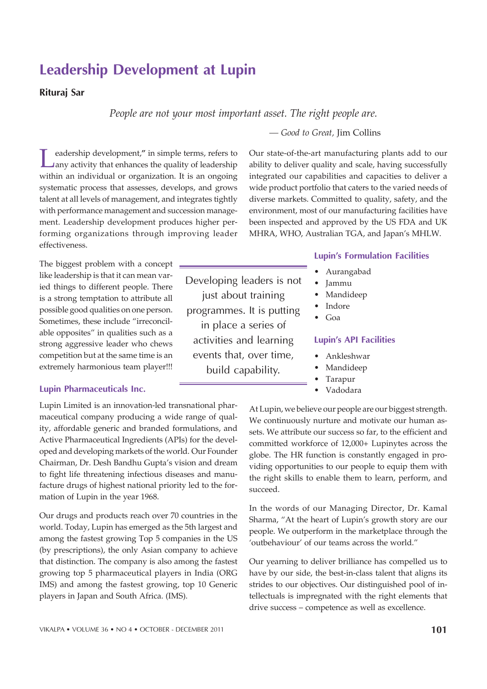VIKALPA • VOLUME 36 • NO 4 • OCTOBER - DECEMBER 2011 **101** 

# Leadership Development at Lupin

# Rituraj Sar

*People are not your most important asset. The right people are.*

*— Good to Great,* Jim Collins

Our state-of-the-art manufacturing plants add to our ability to deliver quality and scale, having successfully integrated our capabilities and capacities to deliver a wide product portfolio that caters to the varied needs of diverse markets. Committed to quality, safety, and the environment, most of our manufacturing facilities have been inspected and approved by the US FDA and UK MHRA, WHO, Australian TGA, and Japan's MHLW.

Leadership development," in simple terms, refers to any activity that enhances the quality of leadership within an individual or organization. It is an ongoing eadership development,**"** in simple terms, refers to any activity that enhances the quality of leadership systematic process that assesses, develops, and grows talent at all levels of management, and integrates tightly with performance management and succession management. Leadership development produces higher performing organizations through improving leader effectiveness.

The biggest problem with a concept like leadership is that it can mean varied things to different people. There is a strong temptation to attribute all possible good qualities on one person. Sometimes, these include "irreconcilable opposites" in qualities such as a strong aggressive leader who chews competition but at the same time is an extremely harmonious team player!!!

# Lupin Pharmaceuticals Inc.

Lupin Limited is an innovation-led transnational pharmaceutical company producing a wide range of quality, affordable generic and branded formulations, and Active Pharmaceutical Ingredients (APIs) for the developed and developing markets of the world. Our Founder Chairman, Dr. Desh Bandhu Gupta's vision and dream to fight life threatening infectious diseases and manufacture drugs of highest national priority led to the formation of Lupin in the year 1968.

Our drugs and products reach over 70 countries in the world. Today, Lupin has emerged as the 5th largest and among the fastest growing Top 5 companies in the US (by prescriptions), the only Asian company to achieve that distinction. The company is also among the fastest growing top 5 pharmaceutical players in India (ORG IMS) and among the fastest growing, top 10 Generic players in Japan and South Africa. (IMS).

Developing leaders is not just about training programmes. It is putting in place a series of activities and learning events that, over time, build capability.

# Lupin's Formulation Facilities

- Aurangabad
- ï Jammu
- **Mandideep**
- **Indore**
- Goa

# Lupin's API Facilities

- ï Ankleshwar
- **Mandideep**
- **Tarapur**
- **Vadodara**

At Lupin, we believe our people are our biggest strength. We continuously nurture and motivate our human assets. We attribute our success so far, to the efficient and committed workforce of 12,000+ Lupinytes across the globe. The HR function is constantly engaged in providing opportunities to our people to equip them with the right skills to enable them to learn, perform, and succeed.

In the words of our Managing Director, Dr. Kamal Sharma, "At the heart of Lupin's growth story are our people. We outperform in the marketplace through the 'outbehaviour' of our teams across the world."

Our yearning to deliver brilliance has compelled us to have by our side, the best-in-class talent that aligns its strides to our objectives. Our distinguished pool of intellectuals is impregnated with the right elements that drive success – competence as well as excellence.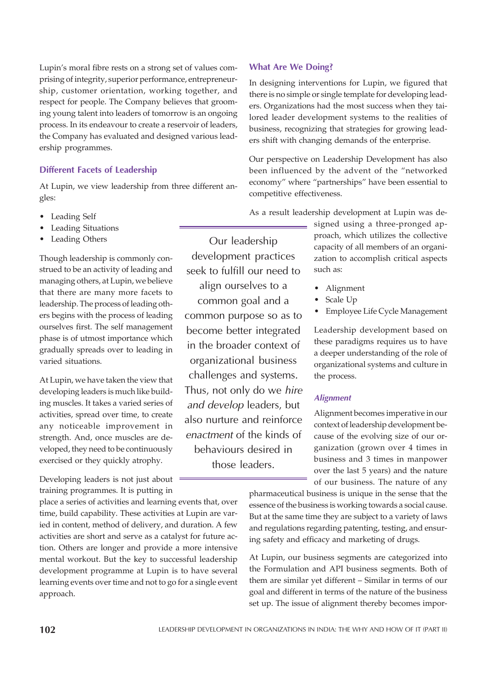Lupin's moral fibre rests on a strong set of values comprising of integrity, superior performance, entrepreneurship, customer orientation, working together, and respect for people. The Company believes that grooming young talent into leaders of tomorrow is an ongoing process. In its endeavour to create a reservoir of leaders, the Company has evaluated and designed various leadership programmes.

# Different Facets of Leadership

At Lupin, we view leadership from three different angles:

- Leading Self
- Leading Situations
- Leading Others

Though leadership is commonly construed to be an activity of leading and managing others, at Lupin, we believe that there are many more facets to leadership. The process of leading others begins with the process of leading ourselves first. The self management phase is of utmost importance which gradually spreads over to leading in varied situations.

At Lupin, we have taken the view that developing leaders is much like building muscles. It takes a varied series of activities, spread over time, to create any noticeable improvement in strength. And, once muscles are developed, they need to be continuously exercised or they quickly atrophy.

Developing leaders is not just about training programmes. It is putting in

place a series of activities and learning events that, over time, build capability. These activities at Lupin are varied in content, method of delivery, and duration. A few activities are short and serve as a catalyst for future action. Others are longer and provide a more intensive mental workout. But the key to successful leadership development programme at Lupin is to have several learning events over time and not to go for a single event approach.

# Our leadership development practices seek to fulfill our need to align ourselves to a common goal and a common purpose so as to become better integrated in the broader context of organizational business challenges and systems. Thus, not only do we hire and develop leaders, but also nurture and reinforce enactment of the kinds of

behaviours desired in those leaders.

# What Are We Doing?

In designing interventions for Lupin, we figured that there is no simple or single template for developing leaders. Organizations had the most success when they tailored leader development systems to the realities of business, recognizing that strategies for growing leaders shift with changing demands of the enterprise.

Our perspective on Leadership Development has also been influenced by the advent of the "networked economy" where "partnerships" have been essential to competitive effectiveness.

As a result leadership development at Lupin was de-

signed using a three-pronged approach, which utilizes the collective capacity of all members of an organization to accomplish critical aspects such as:

- **Alignment**
- Scale Up
- Employee Life Cycle Management

Leadership development based on these paradigms requires us to have a deeper understanding of the role of organizational systems and culture in the process.

# **Alignment**

Alignment becomes imperative in our context of leadership development because of the evolving size of our organization (grown over 4 times in business and 3 times in manpower over the last 5 years) and the nature of our business. The nature of any

pharmaceutical business is unique in the sense that the essence of the business is working towards a social cause. But at the same time they are subject to a variety of laws and regulations regarding patenting, testing, and ensuring safety and efficacy and marketing of drugs.

At Lupin, our business segments are categorized into the Formulation and API business segments. Both of them are similar yet different – Similar in terms of our goal and different in terms of the nature of the business set up. The issue of alignment thereby becomes impor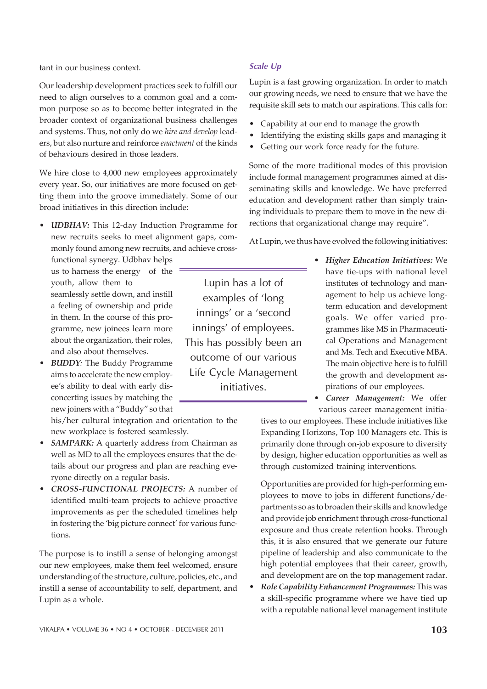tant in our business context.

Our leadership development practices seek to fulfill our need to align ourselves to a common goal and a common purpose so as to become better integrated in the broader context of organizational business challenges and systems. Thus, not only do we *hire and develop* leaders, but also nurture and reinforce *enactment* of the kinds of behaviours desired in those leaders.

We hire close to 4,000 new employees approximately every year. So, our initiatives are more focused on getting them into the groove immediately. Some of our broad initiatives in this direction include:

*UDBHAV:* This 12-day Induction Programme for new recruits seeks to meet alignment gaps, commonly found among new recruits, and achieve cross-

functional synergy. Udbhav helps us to harness the energy of the youth, allow them to seamlessly settle down, and instill a feeling of ownership and pride in them. In the course of this programme, new joinees learn more about the organization, their roles, and also about themselves.

**BUDDY**: The Buddy Programme aims to accelerate the new employee's ability to deal with early disconcerting issues by matching the new joiners with a "Buddy" so that

his/her cultural integration and orientation to the new workplace is fostered seamlessly.

- SAMPARK: A quarterly address from Chairman as well as MD to all the employees ensures that the details about our progress and plan are reaching everyone directly on a regular basis.
- ï *CROSS-FUNCTIONAL PROJECTS:* A number of identified multi-team projects to achieve proactive improvements as per the scheduled timelines help in fostering the 'big picture connect' for various functions.

The purpose is to instill a sense of belonging amongst our new employees, make them feel welcomed, ensure understanding of the structure, culture, policies, etc., and instill a sense of accountability to self, department, and Lupin as a whole.

# Scale Up

Lupin has a lot of examples of 'long innings' or a 'second innings' of employees. This has possibly been an outcome of our various Life Cycle Management initiatives.

Lupin is a fast growing organization. In order to match our growing needs, we need to ensure that we have the requisite skill sets to match our aspirations. This calls for:

- Capability at our end to manage the growth
- Identifying the existing skills gaps and managing it
- Getting our work force ready for the future.

Some of the more traditional modes of this provision include formal management programmes aimed at disseminating skills and knowledge. We have preferred education and development rather than simply training individuals to prepare them to move in the new directions that organizational change may require".

At Lupin, we thus have evolved the following initiatives:

ï *Higher Education Initiatives:* We have tie-ups with national level institutes of technology and management to help us achieve longterm education and development goals. We offer varied programmes like MS in Pharmaceutical Operations and Management and Ms. Tech and Executive MBA. The main objective here is to fulfill the growth and development aspirations of our employees.

Career Management: We offer various career management initia-

tives to our employees. These include initiatives like Expanding Horizons, Top 100 Managers etc. This is primarily done through on-job exposure to diversity by design, higher education opportunities as well as through customized training interventions.

Opportunities are provided for high-performing employees to move to jobs in different functions/departments so as to broaden their skills and knowledge and provide job enrichment through cross-functional exposure and thus create retention hooks. Through this, it is also ensured that we generate our future pipeline of leadership and also communicate to the high potential employees that their career, growth, and development are on the top management radar.

**•** Role Capability Enhancement Programmes: This was a skill-specific programme where we have tied up with a reputable national level management institute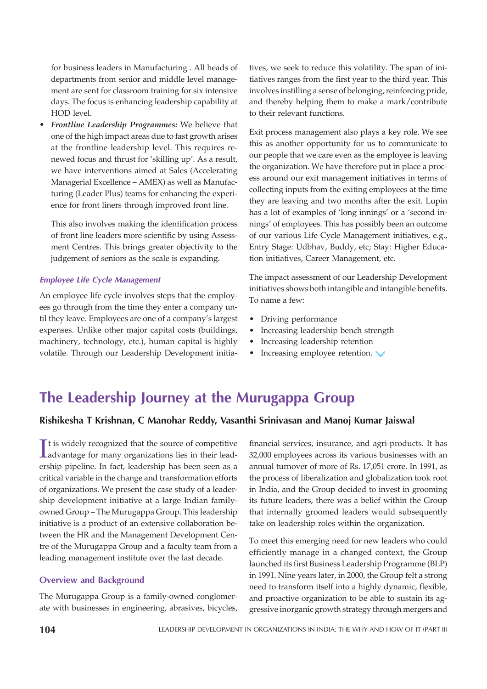for business leaders in Manufacturing . All heads of departments from senior and middle level management are sent for classroom training for six intensive days. The focus is enhancing leadership capability at HOD level.

Frontline Leadership Programmes: We believe that one of the high impact areas due to fast growth arises at the frontline leadership level. This requires renewed focus and thrust for 'skilling up'. As a result, we have interventions aimed at Sales (Accelerating Managerial Excellence – AMEX) as well as Manufacturing (Leader Plus) teams for enhancing the experience for front liners through improved front line.

This also involves making the identification process of front line leaders more scientific by using Assessment Centres. This brings greater objectivity to the judgement of seniors as the scale is expanding.

#### Employee Life Cycle Management

An employee life cycle involves steps that the employees go through from the time they enter a company until they leave. Employees are one of a company's largest expenses. Unlike other major capital costs (buildings, machinery, technology, etc.), human capital is highly volatile. Through our Leadership Development initia-

tives, we seek to reduce this volatility. The span of initiatives ranges from the first year to the third year. This involves instilling a sense of belonging, reinforcing pride, and thereby helping them to make a mark/contribute to their relevant functions.

Exit process management also plays a key role. We see this as another opportunity for us to communicate to our people that we care even as the employee is leaving the organization. We have therefore put in place a process around our exit management initiatives in terms of collecting inputs from the exiting employees at the time they are leaving and two months after the exit. Lupin has a lot of examples of 'long innings' or a 'second innings' of employees. This has possibly been an outcome of our various Life Cycle Management initiatives, e.g., Entry Stage: Udbhav, Buddy, etc; Stay: Higher Education initiatives, Career Management, etc.

The impact assessment of our Leadership Development initiatives shows both intangible and intangible benefits. To name a few:

- Driving performance
- Increasing leadership bench strength
- Increasing leadership retention
- Increasing employee retention.

# The Leadership Journey at the Murugappa Group

# Rishikesha T Krishnan, C Manohar Reddy, Vasanthi Srinivasan and Manoj Kumar Jaiswal

It is widely recognized that the source of competitive<br>advantage for many organizations lies in their leadt is widely recognized that the source of competitive ership pipeline. In fact, leadership has been seen as a critical variable in the change and transformation efforts of organizations. We present the case study of a leadership development initiative at a large Indian familyowned Group – The Murugappa Group. This leadership initiative is a product of an extensive collaboration between the HR and the Management Development Centre of the Murugappa Group and a faculty team from a leading management institute over the last decade.

# Overview and Background

The Murugappa Group is a family-owned conglomerate with businesses in engineering, abrasives, bicycles,

financial services, insurance, and agri-products. It has 32,000 employees across its various businesses with an annual turnover of more of Rs. 17,051 crore. In 1991, as the process of liberalization and globalization took root in India, and the Group decided to invest in grooming its future leaders, there was a belief within the Group that internally groomed leaders would subsequently take on leadership roles within the organization.

To meet this emerging need for new leaders who could efficiently manage in a changed context, the Group launched its first Business Leadership Programme (BLP) in 1991. Nine years later, in 2000, the Group felt a strong need to transform itself into a highly dynamic, flexible, and proactive organization to be able to sustain its aggressive inorganic growth strategy through mergers and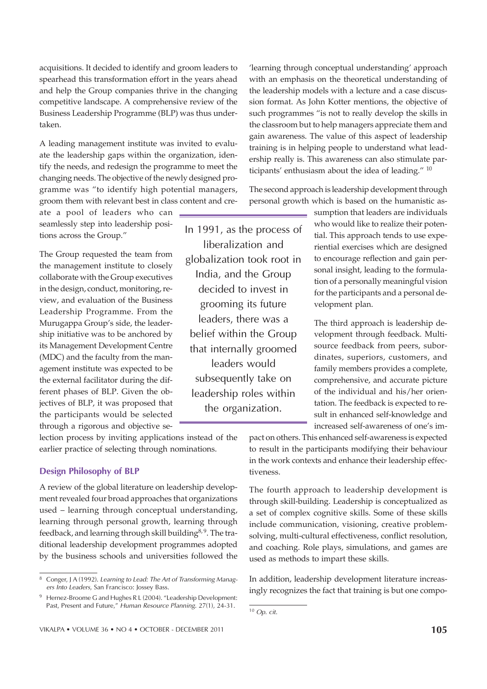acquisitions. It decided to identify and groom leaders to spearhead this transformation effort in the years ahead and help the Group companies thrive in the changing competitive landscape. A comprehensive review of the Business Leadership Programme (BLP) was thus undertaken.

A leading management institute was invited to evaluate the leadership gaps within the organization, identify the needs, and redesign the programme to meet the changing needs. The objective of the newly designed programme was "to identify high potential managers, groom them with relevant best in class content and cre-

ate a pool of leaders who can seamlessly step into leadership positions across the Group."

The Group requested the team from the management institute to closely collaborate with the Group executives in the design, conduct, monitoring, review, and evaluation of the Business Leadership Programme. From the Murugappa Group's side, the leadership initiative was to be anchored by its Management Development Centre (MDC) and the faculty from the management institute was expected to be the external facilitator during the different phases of BLP. Given the objectives of BLP, it was proposed that the participants would be selected through a rigorous and objective se-

lection process by inviting applications instead of the earlier practice of selecting through nominations.

# Design Philosophy of BLP

A review of the global literature on leadership development revealed four broad approaches that organizations used – learning through conceptual understanding, learning through personal growth, learning through feedback, and learning through skill building<sup>8,9</sup>. The traditional leadership development programmes adopted by the business schools and universities followed the

'learning through conceptual understanding' approach with an emphasis on the theoretical understanding of the leadership models with a lecture and a case discussion format. As John Kotter mentions, the objective of such programmes "is not to really develop the skills in the classroom but to help managers appreciate them and gain awareness. The value of this aspect of leadership training is in helping people to understand what leadership really is. This awareness can also stimulate participants' enthusiasm about the idea of leading." <sup>10</sup>

The second approach is leadership development through personal growth which is based on the humanistic as-

In 1991, as the process of liberalization and globalization took root in India, and the Group decided to invest in grooming its future leaders, there was a belief within the Group that internally groomed leaders would subsequently take on leadership roles within the organization.

sumption that leaders are individuals who would like to realize their potential. This approach tends to use experiential exercises which are designed to encourage reflection and gain personal insight, leading to the formulation of a personally meaningful vision for the participants and a personal development plan.

The third approach is leadership development through feedback. Multisource feedback from peers, subordinates, superiors, customers, and family members provides a complete, comprehensive, and accurate picture of the individual and his/her orientation. The feedback is expected to result in enhanced self-knowledge and increased self-awareness of one's im-

pact on others. This enhanced self-awareness is expected to result in the participants modifying their behaviour in the work contexts and enhance their leadership effectiveness.

The fourth approach to leadership development is through skill-building. Leadership is conceptualized as a set of complex cognitive skills. Some of these skills include communication, visioning, creative problemsolving, multi-cultural effectiveness, conflict resolution, and coaching. Role plays, simulations, and games are used as methods to impart these skills.

In addition, leadership development literature increasingly recognizes the fact that training is but one compo-

<sup>8</sup> Conger, J A (1992). *Learning to Lead: The Art of Transforming Managers Into Leaders*, San Francisco: Jossey Bass.

<sup>&</sup>lt;sup>9</sup> Hernez-Broome G and Hughes R L (2004). "Leadership Development: Past, Present and Future," *Human Resource Planning*. 27(1), 24-31.

<sup>10</sup> *Op. cit.*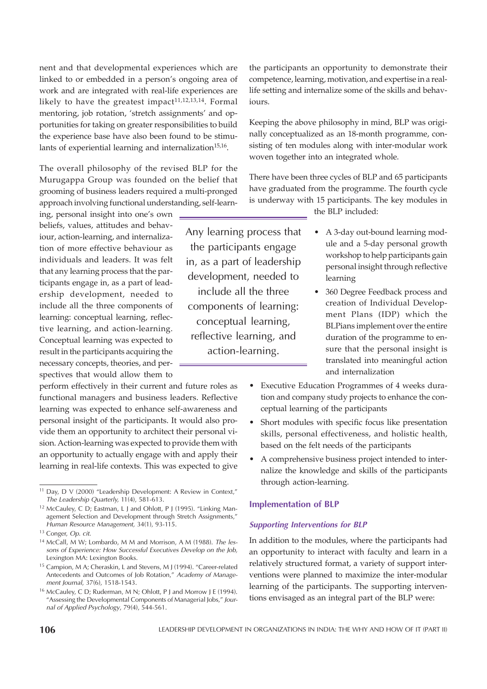nent and that developmental experiences which are linked to or embedded in a person's ongoing area of work and are integrated with real-life experiences are likely to have the greatest impact $11,12,13,14$ . Formal mentoring, job rotation, 'stretch assignments' and opportunities for taking on greater responsibilities to build the experience base have also been found to be stimulants of experiential learning and internalization $^{15,16}$ .

The overall philosophy of the revised BLP for the Murugappa Group was founded on the belief that grooming of business leaders required a multi-pronged approach involving functional understanding, self-learn-

ing, personal insight into one's own beliefs, values, attitudes and behaviour, action-learning, and internalization of more effective behaviour as individuals and leaders. It was felt that any learning process that the participants engage in, as a part of leadership development, needed to include all the three components of learning: conceptual learning, reflective learning, and action-learning. Conceptual learning was expected to result in the participants acquiring the necessary concepts, theories, and perspectives that would allow them to

perform effectively in their current and future roles as functional managers and business leaders. Reflective learning was expected to enhance self-awareness and personal insight of the participants. It would also provide them an opportunity to architect their personal vision. Action-learning was expected to provide them with an opportunity to actually engage with and apply their learning in real-life contexts. This was expected to give

Any learning process that the participants engage in, as a part of leadership development, needed to include all the three components of learning: conceptual learning, reflective learning, and action-learning.

the participants an opportunity to demonstrate their competence, learning, motivation, and expertise in a reallife setting and internalize some of the skills and behaviours.

Keeping the above philosophy in mind, BLP was originally conceptualized as an 18-month programme, consisting of ten modules along with inter-modular work woven together into an integrated whole.

There have been three cycles of BLP and 65 participants have graduated from the programme. The fourth cycle is underway with 15 participants. The key modules in the BLP included:

learning

• A 3-day out-bound learning module and a 5-day personal growth workshop to help participants gain personal insight through reflective

- 360 Degree Feedback process and creation of Individual Development Plans (IDP) which the BLPians implement over the entire duration of the programme to ensure that the personal insight is translated into meaningful action and internalization
- Executive Education Programmes of 4 weeks duration and company study projects to enhance the conceptual learning of the participants
- Short modules with specific focus like presentation skills, personal effectiveness, and holistic health, based on the felt needs of the participants
- A comprehensive business project intended to internalize the knowledge and skills of the participants through action-learning.

# Implementation of BLP

#### Supporting Interventions for BLP

In addition to the modules, where the participants had an opportunity to interact with faculty and learn in a relatively structured format, a variety of support interventions were planned to maximize the inter-modular learning of the participants. The supporting interventions envisaged as an integral part of the BLP were:

<sup>11</sup> Day, D V (2000) "Leadership Development: A Review in Context," *The Leadership Quarterly,* 11(4), 581-613.

<sup>&</sup>lt;sup>12</sup> McCauley, C D; Eastman, L J and Ohlott, P J (1995). "Linking Management Selection and Development through Stretch Assignments," *Human Resource Management,* 34(1), 93-115.

<sup>13</sup> Conger, *Op. cit.*

<sup>14</sup> McCall, M W; Lombardo, M M and Morrison, A M (1988). *The lessons of Experience: How Successful Executives Develop on the Job,* Lexington MA: Lexington Books.

<sup>15</sup> Campion, M A; Cheraskin, L and Stevens, M J (1994). "Career-related Antecedents and Outcomes of Job Rotation," *Academy of Management Journal*, 37(6), 1518-1543.

<sup>16</sup> McCauley, C D; Ruderman, M N; Ohlott, P J and Morrow J E (1994). "Assessing the Developmental Components of Managerial Jobs," *Journal of Applied Psychology*, 79(4), 544-561.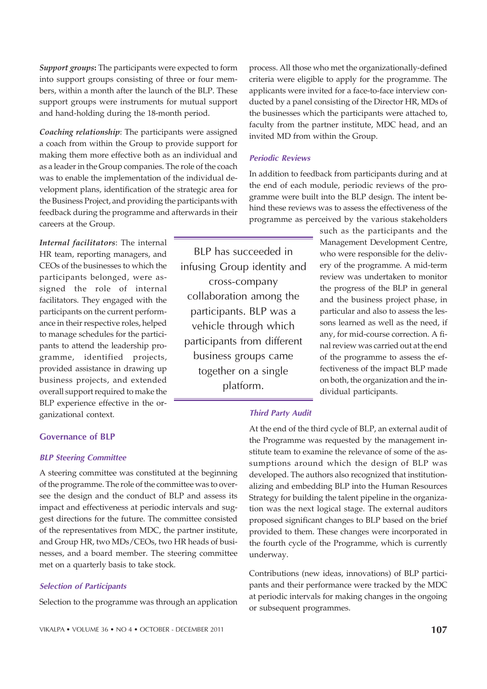*Support groups***:** The participants were expected to form into support groups consisting of three or four members, within a month after the launch of the BLP. These support groups were instruments for mutual support and hand-holding during the 18-month period.

*Coaching relationship*: The participants were assigned a coach from within the Group to provide support for making them more effective both as an individual and as a leader in the Group companies. The role of the coach was to enable the implementation of the individual development plans, identification of the strategic area for the Business Project, and providing the participants with feedback during the programme and afterwards in their careers at the Group.

*Internal facilitators*: The internal HR team, reporting managers, and CEOs of the businesses to which the participants belonged, were assigned the role of internal facilitators. They engaged with the participants on the current performance in their respective roles, helped to manage schedules for the participants to attend the leadership programme, identified projects, provided assistance in drawing up business projects, and extended overall support required to make the BLP experience effective in the organizational context.

BLP has succeeded in infusing Group identity and cross-company collaboration among the participants. BLP was a vehicle through which participants from different business groups came together on a single platform.

process. All those who met the organizationally-defined criteria were eligible to apply for the programme. The applicants were invited for a face-to-face interview conducted by a panel consisting of the Director HR, MDs of the businesses which the participants were attached to, faculty from the partner institute, MDC head, and an invited MD from within the Group.

#### Periodic Reviews

In addition to feedback from participants during and at the end of each module, periodic reviews of the programme were built into the BLP design. The intent behind these reviews was to assess the effectiveness of the programme as perceived by the various stakeholders

> such as the participants and the Management Development Centre, who were responsible for the delivery of the programme. A mid-term review was undertaken to monitor the progress of the BLP in general and the business project phase, in particular and also to assess the lessons learned as well as the need, if any, for mid-course correction. A final review was carried out at the end of the programme to assess the effectiveness of the impact BLP made on both, the organization and the individual participants.

## Third Party Audit

#### Governance of BLP

#### BLP Steering Committee

A steering committee was constituted at the beginning of the programme. The role of the committee was to oversee the design and the conduct of BLP and assess its impact and effectiveness at periodic intervals and suggest directions for the future. The committee consisted of the representatives from MDC, the partner institute, and Group HR, two MDs/CEOs, two HR heads of businesses, and a board member. The steering committee met on a quarterly basis to take stock.

#### Selection of Participants

Selection to the programme was through an application

At the end of the third cycle of BLP, an external audit of the Programme was requested by the management institute team to examine the relevance of some of the assumptions around which the design of BLP was developed. The authors also recognized that institutionalizing and embedding BLP into the Human Resources Strategy for building the talent pipeline in the organization was the next logical stage. The external auditors proposed significant changes to BLP based on the brief provided to them. These changes were incorporated in the fourth cycle of the Programme, which is currently underway.

Contributions (new ideas, innovations) of BLP participants and their performance were tracked by the MDC at periodic intervals for making changes in the ongoing or subsequent programmes.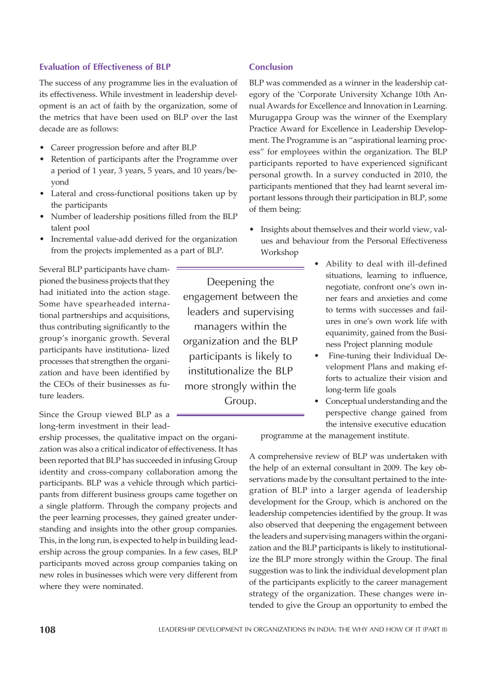# Evaluation of Effectiveness of BLP

The success of any programme lies in the evaluation of its effectiveness. While investment in leadership development is an act of faith by the organization, some of the metrics that have been used on BLP over the last decade are as follows:

- Career progression before and after BLP
- Retention of participants after the Programme over a period of 1 year, 3 years, 5 years, and 10 years/beyond
- Lateral and cross-functional positions taken up by the participants
- Number of leadership positions filled from the BLP talent pool
- Incremental value-add derived for the organization from the projects implemented as a part of BLP.

Several BLP participants have championed the business projects that they had initiated into the action stage. Some have spearheaded international partnerships and acquisitions, thus contributing significantly to the group's inorganic growth. Several participants have institutiona- lized processes that strengthen the organization and have been identified by the CEOs of their businesses as future leaders.

Since the Group viewed BLP as a long-term investment in their lead-

ership processes, the qualitative impact on the organization was also a critical indicator of effectiveness. It has been reported that BLP has succeeded in infusing Group identity and cross-company collaboration among the participants. BLP was a vehicle through which participants from different business groups came together on a single platform. Through the company projects and the peer learning processes, they gained greater understanding and insights into the other group companies. This, in the long run, is expected to help in building leadership across the group companies. In a few cases, BLP participants moved across group companies taking on new roles in businesses which were very different from where they were nominated.

Deepening the engagement between the leaders and supervising managers within the organization and the BLP participants is likely to institutionalize the BLP more strongly within the Group.

#### Conclusion

BLP was commended as a winner in the leadership category of the 'Corporate University Xchange 10th Annual Awards for Excellence and Innovation in Learning. Murugappa Group was the winner of the Exemplary Practice Award for Excellence in Leadership Development. The Programme is an "aspirational learning process" for employees within the organization. The BLP participants reported to have experienced significant personal growth. In a survey conducted in 2010, the participants mentioned that they had learnt several important lessons through their participation in BLP, some of them being:

- Insights about themselves and their world view, values and behaviour from the Personal Effectiveness Workshop
	- Ability to deal with ill-defined situations, learning to influence, negotiate, confront one's own inner fears and anxieties and come to terms with successes and failures in one's own work life with equanimity, gained from the Business Project planning module
	- Fine-tuning their Individual Development Plans and making efforts to actualize their vision and long-term life goals
	- Conceptual understanding and the perspective change gained from the intensive executive education

programme at the management institute.

A comprehensive review of BLP was undertaken with the help of an external consultant in 2009. The key observations made by the consultant pertained to the integration of BLP into a larger agenda of leadership development for the Group, which is anchored on the leadership competencies identified by the group. It was also observed that deepening the engagement between the leaders and supervising managers within the organization and the BLP participants is likely to institutionalize the BLP more strongly within the Group. The final suggestion was to link the individual development plan of the participants explicitly to the career management strategy of the organization. These changes were intended to give the Group an opportunity to embed the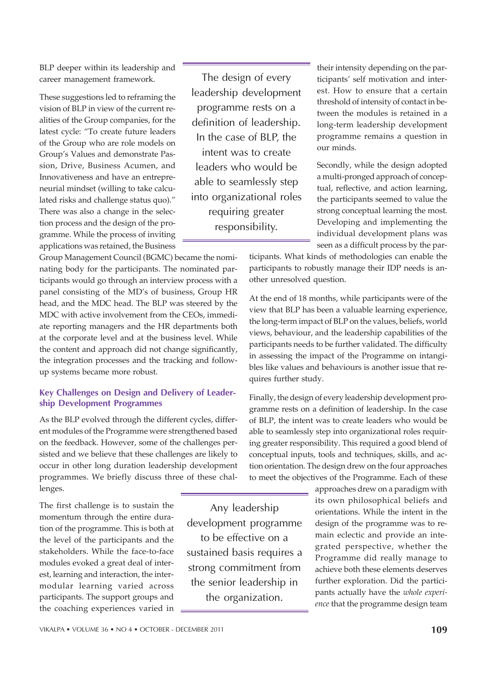BLP deeper within its leadership and career management framework.

These suggestions led to reframing the vision of BLP in view of the current realities of the Group companies, for the latest cycle: "To create future leaders of the Group who are role models on Group's Values and demonstrate Passion, Drive, Business Acumen, and Innovativeness and have an entrepreneurial mindset (willing to take calculated risks and challenge status quo)." There was also a change in the selection process and the design of the programme. While the process of inviting applications was retained, the Business

The design of every leadership development programme rests on a definition of leadership. In the case of BLP, the intent was to create leaders who would be able to seamlessly step into organizational roles requiring greater responsibility.

their intensity depending on the participants' self motivation and interest. How to ensure that a certain threshold of intensity of contact in between the modules is retained in a long-term leadership development programme remains a question in our minds.

Secondly, while the design adopted a multi-pronged approach of conceptual, reflective, and action learning, the participants seemed to value the strong conceptual learning the most. Developing and implementing the individual development plans was seen as a difficult process by the par-

ticipants. What kinds of methodologies can enable the participants to robustly manage their IDP needs is another unresolved question.

At the end of 18 months, while participants were of the view that BLP has been a valuable learning experience, the long-term impact of BLP on the values, beliefs, world views, behaviour, and the leadership capabilities of the participants needs to be further validated. The difficulty in assessing the impact of the Programme on intangibles like values and behaviours is another issue that requires further study.

Finally, the design of every leadership development programme rests on a definition of leadership. In the case of BLP, the intent was to create leaders who would be able to seamlessly step into organizational roles requiring greater responsibility. This required a good blend of conceptual inputs, tools and techniques, skills, and action orientation. The design drew on the four approaches to meet the objectives of the Programme. Each of these

> approaches drew on a paradigm with its own philosophical beliefs and orientations. While the intent in the design of the programme was to remain eclectic and provide an integrated perspective, whether the Programme did really manage to achieve both these elements deserves further exploration. Did the participants actually have the *whole experience* that the programme design team

Group Management Council (BGMC) became the nominating body for the participants. The nominated participants would go through an interview process with a panel consisting of the MD's of business, Group HR head, and the MDC head. The BLP was steered by the MDC with active involvement from the CEOs, immediate reporting managers and the HR departments both at the corporate level and at the business level. While the content and approach did not change significantly, the integration processes and the tracking and followup systems became more robust.

# Key Challenges on Design and Delivery of Leadership Development Programmes

As the BLP evolved through the different cycles, different modules of the Programme were strengthened based on the feedback. However, some of the challenges persisted and we believe that these challenges are likely to occur in other long duration leadership development programmes. We briefly discuss three of these challenges.

The first challenge is to sustain the momentum through the entire duration of the programme. This is both at the level of the participants and the stakeholders. While the face-to-face modules evoked a great deal of interest, learning and interaction, the intermodular learning varied across participants. The support groups and the coaching experiences varied in

Any leadership development programme to be effective on a sustained basis requires a strong commitment from the senior leadership in the organization.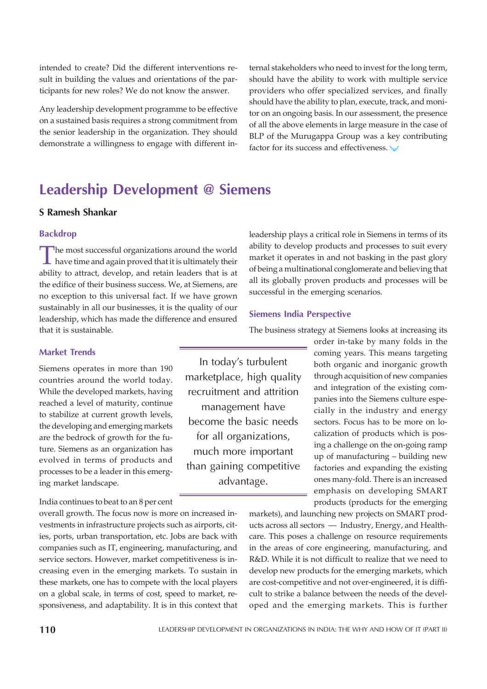intended to create? Did the different interventions result in building the values and orientations of the participants for new roles? We do not know the answer.

Any leadership development programme to be effective on a sustained basis requires a strong commitment from the senior leadership in the organization. They should demonstrate a willingness to engage with different in-

ternal stakeholders who need to invest for the long term, should have the ability to work with multiple service providers who offer specialized services, and finally should have the ability to plan, execute, track, and monitor on an ongoing basis. In our assessment, the presence of all the above elements in large measure in the case of BLP of the Murugappa Group was a key contributing factor for its success and effectiveness.

# Leadership Development @ Siemens

# S Ramesh Shankar

## Backdrop

The most successful organizations around the world<br>have time and again proved that it is ultimately their<br>ability to attract, develop, and retain leaders that is at The most successful organizations around the world have time and again proved that it is ultimately their the edifice of their business success. We, at Siemens, are no exception to this universal fact. If we have grown sustainably in all our businesses, it is the quality of our leadership, which has made the difference and ensured that it is sustainable.

# Market Trends

Siemens operates in more than 190 countries around the world today. While the developed markets, having reached a level of maturity, continue to stabilize at current growth levels, the developing and emerging markets are the bedrock of growth for the future. Siemens as an organization has evolved in terms of products and processes to be a leader in this emerging market landscape.

India continues to beat to an 8 per cent

overall growth. The focus now is more on increased investments in infrastructure projects such as airports, cities, ports, urban transportation, etc. Jobs are back with companies such as IT, engineering, manufacturing, and service sectors. However, market competitiveness is increasing even in the emerging markets. To sustain in these markets, one has to compete with the local players on a global scale, in terms of cost, speed to market, responsiveness, and adaptability. It is in this context that leadership plays a critical role in Siemens in terms of its ability to develop products and processes to suit every market it operates in and not basking in the past glory of being a multinational conglomerate and believing that all its globally proven products and processes will be successful in the emerging scenarios.

#### Siemens India Perspective

In today's turbulent marketplace, high quality recruitment and attrition management have become the basic needs

for all organizations, much more important than gaining competitive advantage.

The business strategy at Siemens looks at increasing its

order in-take by many folds in the coming years. This means targeting both organic and inorganic growth through acquisition of new companies and integration of the existing companies into the Siemens culture especially in the industry and energy sectors. Focus has to be more on localization of products which is posing a challenge on the on-going ramp up of manufacturing – building new factories and expanding the existing ones many-fold. There is an increased emphasis on developing SMART products (products for the emerging

markets), and launching new projects on SMART products across all sectors — Industry, Energy, and Healthcare. This poses a challenge on resource requirements in the areas of core engineering, manufacturing, and R&D. While it is not difficult to realize that we need to develop new products for the emerging markets, which are cost-competitive and not over-engineered, it is difficult to strike a balance between the needs of the developed and the emerging markets. This is further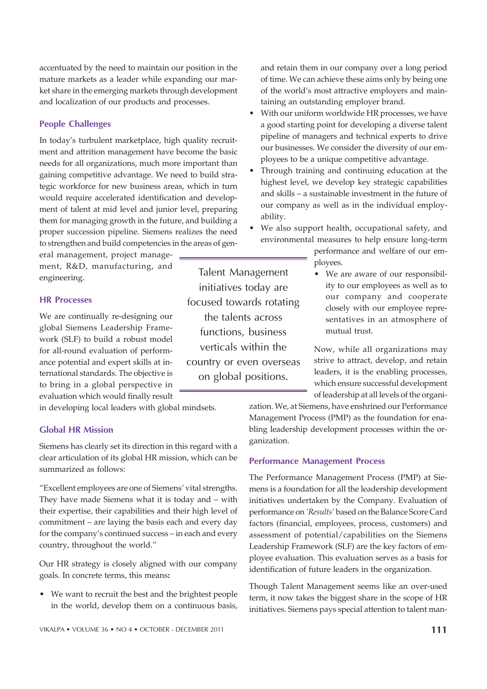accentuated by the need to maintain our position in the mature markets as a leader while expanding our market share in the emerging markets through development and localization of our products and processes.

# People Challenges

In today's turbulent marketplace, high quality recruitment and attrition management have become the basic needs for all organizations, much more important than gaining competitive advantage. We need to build strategic workforce for new business areas, which in turn would require accelerated identification and development of talent at mid level and junior level, preparing them for managing growth in the future, and building a proper succession pipeline. Siemens realizes the need to strengthen and build competencies in the areas of gen-

eral management, project management, R&D, manufacturing, and engineering.

#### HR Processes

We are continually re-designing our global Siemens Leadership Framework (SLF) to build a robust model for all-round evaluation of performance potential and expert skills at international standards. The objective is to bring in a global perspective in evaluation which would finally result

in developing local leaders with global mindsets.

# Global HR Mission

Siemens has clearly set its direction in this regard with a clear articulation of its global HR mission, which can be summarized as follows:

"Excellent employees are one of Siemens' vital strengths. They have made Siemens what it is today and – with their expertise, their capabilities and their high level of commitment – are laying the basis each and every day for the company's continued success – in each and every country, throughout the world."

Our HR strategy is closely aligned with our company goals. In concrete terms, this means**:**

• We want to recruit the best and the brightest people in the world, develop them on a continuous basis,

Talent Management initiatives today are focused towards rotating the talents across functions, business verticals within the country or even overseas on global positions.

and retain them in our company over a long period of time. We can achieve these aims only by being one of the world's most attractive employers and maintaining an outstanding employer brand.

- With our uniform worldwide HR processes, we have a good starting point for developing a diverse talent pipeline of managers and technical experts to drive our businesses. We consider the diversity of our employees to be a unique competitive advantage.
- Through training and continuing education at the highest level, we develop key strategic capabilities and skills – a sustainable investment in the future of our company as well as in the individual employability.
- We also support health, occupational safety, and environmental measures to help ensure long-term

performance and welfare of our employees.

• We are aware of our responsibility to our employees as well as to our company and cooperate closely with our employee representatives in an atmosphere of mutual trust.

Now, while all organizations may strive to attract, develop, and retain leaders, it is the enabling processes, which ensure successful development of leadership at all levels of the organi-

zation. We, at Siemens, have enshrined our Performance Management Process (PMP) as the foundation for enabling leadership development processes within the organization.

# Performance Management Process

The Performance Management Process (PMP) at Siemens is a foundation for all the leadership development initiatives undertaken by the Company. Evaluation of performance on *'Results'* based on the Balance Score Card factors (financial, employees, process, customers) and assessment of potential/capabilities on the Siemens Leadership Framework (SLF) are the key factors of employee evaluation. This evaluation serves as a basis for identification of future leaders in the organization.

Though Talent Management seems like an over-used term, it now takes the biggest share in the scope of HR initiatives. Siemens pays special attention to talent man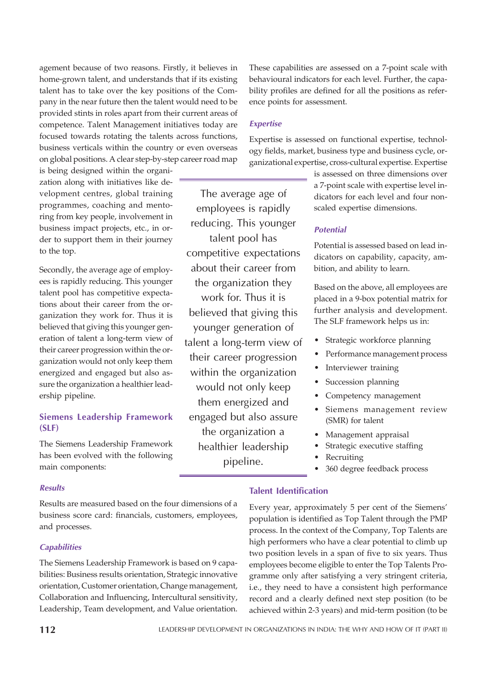agement because of two reasons. Firstly, it believes in home-grown talent, and understands that if its existing talent has to take over the key positions of the Company in the near future then the talent would need to be provided stints in roles apart from their current areas of competence. Talent Management initiatives today are focused towards rotating the talents across functions, business verticals within the country or even overseas on global positions. A clear step-by-step career road map

is being designed within the organization along with initiatives like development centres, global training programmes, coaching and mentoring from key people, involvement in business impact projects, etc., in order to support them in their journey to the top.

Secondly, the average age of employees is rapidly reducing. This younger talent pool has competitive expectations about their career from the organization they work for. Thus it is believed that giving this younger generation of talent a long-term view of their career progression within the organization would not only keep them energized and engaged but also assure the organization a healthier leadership pipeline.

# Siemens Leadership Framework (SLF)

The Siemens Leadership Framework has been evolved with the following main components:

The average age of employees is rapidly reducing. This younger talent pool has competitive expectations about their career from the organization they work for. Thus it is believed that giving this younger generation of talent a long-term view of their career progression within the organization would not only keep them energized and engaged but also assure the organization a healthier leadership pipeline.

These capabilities are assessed on a 7-point scale with behavioural indicators for each level. Further, the capability profiles are defined for all the positions as reference points for assessment.

# **Expertise**

Expertise is assessed on functional expertise, technology fields, market, business type and business cycle, organizational expertise, cross-cultural expertise. Expertise

> is assessed on three dimensions over a 7-point scale with expertise level indicators for each level and four nonscaled expertise dimensions.

# **Potential**

Potential is assessed based on lead indicators on capability, capacity, ambition, and ability to learn.

Based on the above, all employees are placed in a 9-box potential matrix for further analysis and development. The SLF framework helps us in:

- Strategic workforce planning
- Performance management process
- Interviewer training
- Succession planning
- Competency management
- **•** Siemens management review (SMR) for talent
- Management appraisal
- Strategic executive staffing
- Recruiting
- 360 degree feedback process

#### Results

Results are measured based on the four dimensions of a business score card: financials, customers, employees, and processes.

#### **Capabilities**

The Siemens Leadership Framework is based on 9 capabilities: Business results orientation, Strategic innovative orientation, Customer orientation, Change management, Collaboration and Influencing, Intercultural sensitivity, Leadership, Team development, and Value orientation.

## Talent Identification

Every year, approximately 5 per cent of the Siemens' population is identified as Top Talent through the PMP process. In the context of the Company, Top Talents are high performers who have a clear potential to climb up two position levels in a span of five to six years. Thus employees become eligible to enter the Top Talents Programme only after satisfying a very stringent criteria, i.e., they need to have a consistent high performance record and a clearly defined next step position (to be achieved within 2-3 years) and mid-term position (to be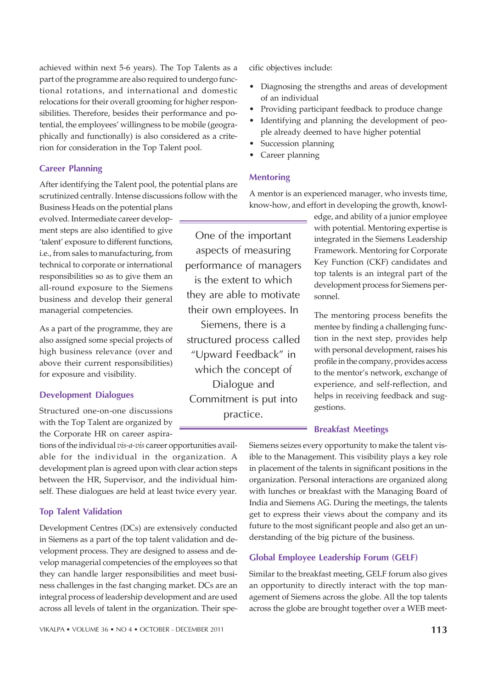achieved within next 5-6 years). The Top Talents as a part of the programme are also required to undergo functional rotations, and international and domestic relocations for their overall grooming for higher responsibilities. Therefore, besides their performance and potential, the employees' willingness to be mobile (geographically and functionally) is also considered as a criterion for consideration in the Top Talent pool.

# Career Planning

After identifying the Talent pool, the potential plans are scrutinized centrally. Intense discussions follow with the

Business Heads on the potential plans evolved. Intermediate career development steps are also identified to give 'talent' exposure to different functions, i.e., from sales to manufacturing, from technical to corporate or international responsibilities so as to give them an all-round exposure to the Siemens business and develop their general managerial competencies.

As a part of the programme, they are also assigned some special projects of high business relevance (over and above their current responsibilities) for exposure and visibility.

#### Development Dialogues

Structured one-on-one discussions with the Top Talent are organized by the Corporate HR on career aspira-

tions of the individual *vis-a-vis* career opportunities available for the individual in the organization. A development plan is agreed upon with clear action steps between the HR, Supervisor, and the individual himself. These dialogues are held at least twice every year.

## Top Talent Validation

Development Centres (DCs) are extensively conducted in Siemens as a part of the top talent validation and development process. They are designed to assess and develop managerial competencies of the employees so that they can handle larger responsibilities and meet business challenges in the fast changing market. DCs are an integral process of leadership development and are used across all levels of talent in the organization. Their spe-

VIKALPA • VOLUME 36 • NO 4 • OCTOBER - DECEMBER 2011 113

cific objectives include:

- Diagnosing the strengths and areas of development of an individual
- Providing participant feedback to produce change
- Identifying and planning the development of people already deemed to have higher potential
- Succession planning
- Career planning

## Mentoring

A mentor is an experienced manager, who invests time, know-how, and effort in developing the growth, knowl-

One of the important aspects of measuring performance of managers is the extent to which they are able to motivate their own employees. In Siemens, there is a structured process called "Upward Feedback" in which the concept of Dialogue and Commitment is put into practice.

edge, and ability of a junior employee with potential. Mentoring expertise is integrated in the Siemens Leadership Framework. Mentoring for Corporate Key Function (CKF) candidates and top talents is an integral part of the development process for Siemens personnel.

The mentoring process benefits the mentee by finding a challenging function in the next step, provides help with personal development, raises his profile in the company, provides access to the mentor's network, exchange of experience, and self-reflection, and helps in receiving feedback and suggestions.

#### Breakfast Meetings

Siemens seizes every opportunity to make the talent visible to the Management. This visibility plays a key role in placement of the talents in significant positions in the organization. Personal interactions are organized along with lunches or breakfast with the Managing Board of India and Siemens AG. During the meetings, the talents get to express their views about the company and its future to the most significant people and also get an understanding of the big picture of the business.

# Global Employee Leadership Forum (GELF)

Similar to the breakfast meeting, GELF forum also gives an opportunity to directly interact with the top management of Siemens across the globe. All the top talents across the globe are brought together over a WEB meet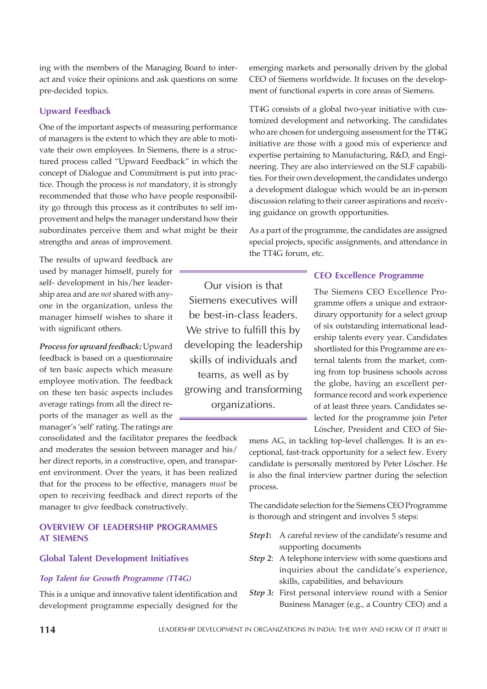ing with the members of the Managing Board to interact and voice their opinions and ask questions on some pre-decided topics.

# Upward Feedback

One of the important aspects of measuring performance of managers is the extent to which they are able to motivate their own employees. In Siemens, there is a structured process called "Upward Feedback" in which the concept of Dialogue and Commitment is put into practice. Though the process is *not* mandatory, it is strongly recommended that those who have people responsibility go through this process as it contributes to self improvement and helps the manager understand how their subordinates perceive them and what might be their strengths and areas of improvement.

The results of upward feedback are used by manager himself, purely for self- development in his/her leadership area and are *not* shared with anyone in the organization, unless the manager himself wishes to share it with significant others.

*Process for upward feedback:* Upward feedback is based on a questionnaire of ten basic aspects which measure employee motivation. The feedback on these ten basic aspects includes average ratings from all the direct reports of the manager as well as the manager's 'self' rating. The ratings are

consolidated and the facilitator prepares the feedback and moderates the session between manager and his/ her direct reports, in a constructive, open, and transparent environment. Over the years, it has been realized that for the process to be effective, managers *must* be open to receiving feedback and direct reports of the manager to give feedback constructively.

# OVERVIEW OF LEADERSHIP PROGRAMMES AT SIEMENS

#### Global Talent Development Initiatives

#### Top Talent for Growth Programme (TT4G)

This is a unique and innovative talent identification and development programme especially designed for the emerging markets and personally driven by the global CEO of Siemens worldwide. It focuses on the development of functional experts in core areas of Siemens.

TT4G consists of a global two-year initiative with customized development and networking. The candidates who are chosen for undergoing assessment for the TT4G initiative are those with a good mix of experience and expertise pertaining to Manufacturing, R&D, and Engineering. They are also interviewed on the SLF capabilities. For their own development, the candidates undergo a development dialogue which would be an in-person discussion relating to their career aspirations and receiving guidance on growth opportunities.

As a part of the programme, the candidates are assigned special projects, specific assignments, and attendance in the TT4G forum, etc.

# CEO Excellence Programme

The Siemens CEO Excellence Programme offers a unique and extraordinary opportunity for a select group of six outstanding international leadership talents every year. Candidates shortlisted for this Programme are external talents from the market, coming from top business schools across the globe, having an excellent performance record and work experience of at least three years. Candidates selected for the programme join Peter Löscher, President and CEO of Sie-

mens AG, in tackling top-level challenges. It is an exceptional, fast-track opportunity for a select few. Every candidate is personally mentored by Peter Löscher. He is also the final interview partner during the selection process.

The candidate selection for the Siemens CEO Programme is thorough and stringent and involves 5 steps:

- *Step1***:** A careful review of the candidate's resume and supporting documents
- *Step 2*: A telephone interview with some questions and inquiries about the candidate's experience, skills, capabilities, and behaviours
- *Step 3:* First personal interview round with a Senior Business Manager (e.g., a Country CEO) and a

Siemens executives will be best-in-class leaders. We strive to fulfill this by developing the leadership skills of individuals and teams, as well as by growing and transforming organizations.

Our vision is that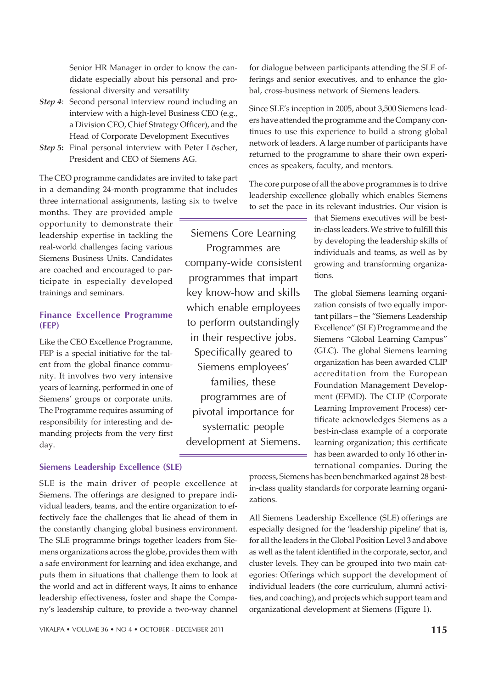ticipate in especially developed trainings and seminars.

Senior HR Manager in order to know the candidate especially about his personal and pro-

interview with a high-level Business CEO (e.g., a Division CEO, Chief Strategy Officer), and the Head of Corporate Development Executives *Step 5***:** Final personal interview with Peter Löscher, President and CEO of Siemens AG.

fessional diversity and versatility *Step 4:* Second personal interview round including an

The CEO programme candidates are invited to take part in a demanding 24-month programme that includes three international assignments, lasting six to twelve

# Finance Excellence Programme (FEP)

months. They are provided ample opportunity to demonstrate their leadership expertise in tackling the real-world challenges facing various Siemens Business Units. Candidates are coached and encouraged to par-

Like the CEO Excellence Programme, FEP is a special initiative for the talent from the global finance community. It involves two very intensive years of learning, performed in one of Siemens' groups or corporate units. The Programme requires assuming of responsibility for interesting and demanding projects from the very first day.

# Siemens Leadership Excellence (SLE)

SLE is the main driver of people excellence at Siemens. The offerings are designed to prepare individual leaders, teams, and the entire organization to effectively face the challenges that lie ahead of them in the constantly changing global business environment. The SLE programme brings together leaders from Siemens organizations across the globe, provides them with a safe environment for learning and idea exchange, and puts them in situations that challenge them to look at the world and act in different ways, It aims to enhance leadership effectiveness, foster and shape the Company's leadership culture, to provide a two-way channel for dialogue between participants attending the SLE offerings and senior executives, and to enhance the global, cross-business network of Siemens leaders.

Since SLE's inception in 2005, about 3,500 Siemens leaders have attended the programme and the Company continues to use this experience to build a strong global network of leaders. A large number of participants have returned to the programme to share their own experiences as speakers, faculty, and mentors.

The core purpose of all the above programmes is to drive leadership excellence globally which enables Siemens to set the pace in its relevant industries. Our vision is

Siemens Core Learning Programmes are company-wide consistent programmes that impart key know-how and skills which enable employees to perform outstandingly in their respective jobs. Specifically geared to Siemens employees' families, these programmes are of pivotal importance for systematic people development at Siemens.

that Siemens executives will be bestin-class leaders. We strive to fulfill this by developing the leadership skills of individuals and teams, as well as by growing and transforming organizations.

The global Siemens learning organization consists of two equally important pillars – the "Siemens Leadership Excellence" (SLE) Programme and the Siemens "Global Learning Campus" (GLC). The global Siemens learning organization has been awarded CLIP accreditation from the European Foundation Management Development (EFMD). The CLIP (Corporate Learning Improvement Process) certificate acknowledges Siemens as a best-in-class example of a corporate learning organization; this certificate has been awarded to only 16 other international companies. During the

process, Siemens has been benchmarked against 28 bestin-class quality standards for corporate learning organizations.

All Siemens Leadership Excellence (SLE) offerings are especially designed for the 'leadership pipeline' that is, for all the leaders in the Global Position Level 3 and above as well as the talent identified in the corporate, sector, and cluster levels. They can be grouped into two main categories: Offerings which support the development of individual leaders (the core curriculum, alumni activities, and coaching), and projects which support team and organizational development at Siemens (Figure 1).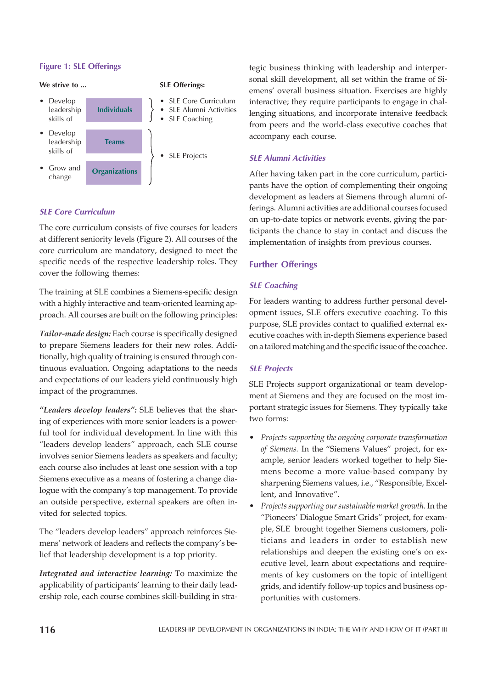# Figure 1: SLE Offerings



# SLE Core Curriculum

The core curriculum consists of five courses for leaders at different seniority levels (Figure 2). All courses of the core curriculum are mandatory, designed to meet the specific needs of the respective leadership roles. They cover the following themes:

The training at SLE combines a Siemens-specific design with a highly interactive and team-oriented learning approach. All courses are built on the following principles:

*Tailor-made design:* Each course is specifically designed to prepare Siemens leaders for their new roles. Additionally, high quality of training is ensured through continuous evaluation. Ongoing adaptations to the needs and expectations of our leaders yield continuously high impact of the programmes.

*"Leaders develop leaders":* SLE believes that the sharing of experiences with more senior leaders is a powerful tool for individual development. In line with this "leaders develop leaders" approach, each SLE course involves senior Siemens leaders as speakers and faculty; each course also includes at least one session with a top Siemens executive as a means of fostering a change dialogue with the company's top management. To provide an outside perspective, external speakers are often invited for selected topics.

The "leaders develop leaders" approach reinforces Siemens' network of leaders and reflects the company's belief that leadership development is a top priority.

*Integrated and interactive learning:* To maximize the applicability of participants' learning to their daily leadership role, each course combines skill-building in stra-

tegic business thinking with leadership and interpersonal skill development, all set within the frame of Siemens' overall business situation. Exercises are highly interactive; they require participants to engage in challenging situations, and incorporate intensive feedback from peers and the world-class executive coaches that accompany each course.

#### SLE Alumni Activities

After having taken part in the core curriculum, participants have the option of complementing their ongoing development as leaders at Siemens through alumni offerings. Alumni activities are additional courses focused on up-to-date topics or network events, giving the participants the chance to stay in contact and discuss the implementation of insights from previous courses.

#### Further Offerings

#### SLE Coaching

For leaders wanting to address further personal development issues, SLE offers executive coaching. To this purpose, SLE provides contact to qualified external executive coaches with in-depth Siemens experience based on a tailored matching and the specific issue of the coachee.

#### SLE Projects

SLE Projects support organizational or team development at Siemens and they are focused on the most important strategic issues for Siemens. They typically take two forms:

- ï *Projects supporting the ongoing corporate transformation of Siemens.* In the "Siemens Values" project, for example, senior leaders worked together to help Siemens become a more value-based company by sharpening Siemens values, i.e., "Responsible, Excellent, and Innovative".
- ï *Projects supporting our sustainable market growth.* In the "Pioneers' Dialogue Smart Grids" project, for example, SLE brought together Siemens customers, politicians and leaders in order to establish new relationships and deepen the existing one's on executive level, learn about expectations and requirements of key customers on the topic of intelligent grids, and identify follow-up topics and business opportunities with customers.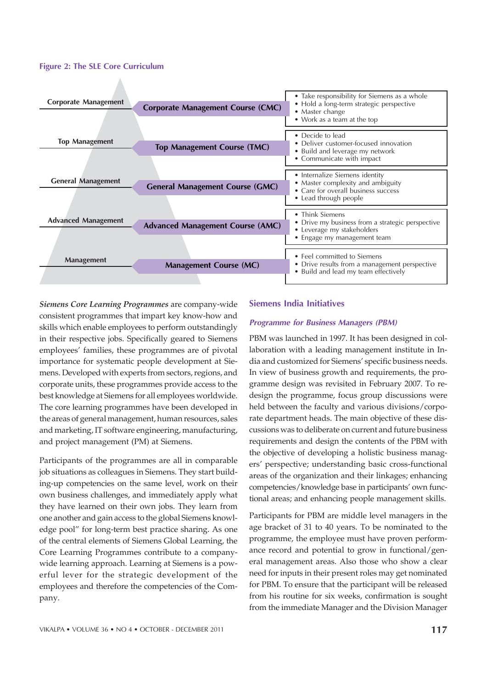#### Figure 2: The SLE Core Curriculum



*Siemens Core Learning Programmes* are company-wide consistent programmes that impart key know-how and skills which enable employees to perform outstandingly in their respective jobs. Specifically geared to Siemens employees' families, these programmes are of pivotal importance for systematic people development at Siemens. Developed with experts from sectors, regions, and corporate units, these programmes provide access to the best knowledge at Siemens for all employees worldwide. The core learning programmes have been developed in the areas of general management, human resources, sales and marketing, IT software engineering, manufacturing, and project management (PM) at Siemens.

Participants of the programmes are all in comparable job situations as colleagues in Siemens. They start building-up competencies on the same level, work on their own business challenges, and immediately apply what they have learned on their own jobs. They learn from one another and gain access to the global Siemens knowledge pool" for long-term best practice sharing. As one of the central elements of Siemens Global Learning, the Core Learning Programmes contribute to a companywide learning approach. Learning at Siemens is a powerful lever for the strategic development of the employees and therefore the competencies of the Company.

# Siemens India Initiatives

#### Programme for Business Managers (PBM)

PBM was launched in 1997. It has been designed in collaboration with a leading management institute in India and customized for Siemens' specific business needs. In view of business growth and requirements, the programme design was revisited in February 2007. To redesign the programme, focus group discussions were held between the faculty and various divisions/corporate department heads. The main objective of these discussions was to deliberate on current and future business requirements and design the contents of the PBM with the objective of developing a holistic business managers' perspective; understanding basic cross-functional areas of the organization and their linkages; enhancing competencies/knowledge base in participants' own functional areas; and enhancing people management skills.

Participants for PBM are middle level managers in the age bracket of 31 to 40 years. To be nominated to the programme, the employee must have proven performance record and potential to grow in functional/general management areas. Also those who show a clear need for inputs in their present roles may get nominated for PBM. To ensure that the participant will be released from his routine for six weeks, confirmation is sought from the immediate Manager and the Division Manager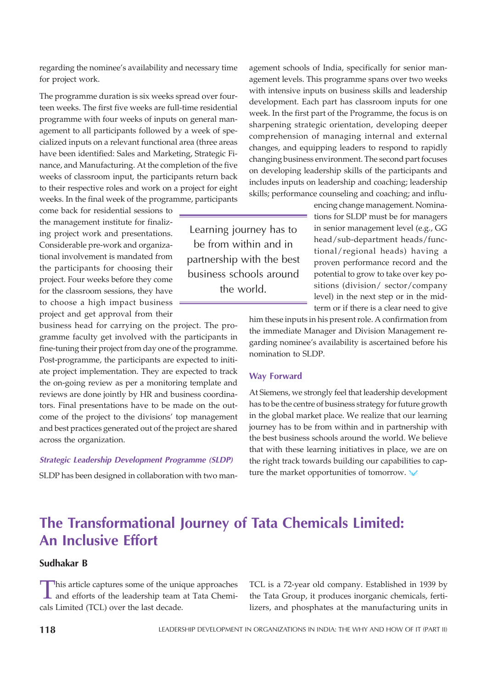regarding the nominee's availability and necessary time for project work.

The programme duration is six weeks spread over fourteen weeks. The first five weeks are full-time residential programme with four weeks of inputs on general management to all participants followed by a week of specialized inputs on a relevant functional area (three areas have been identified: Sales and Marketing, Strategic Finance, and Manufacturing. At the completion of the five weeks of classroom input, the participants return back to their respective roles and work on a project for eight weeks. In the final week of the programme, participants

come back for residential sessions to the management institute for finalizing project work and presentations. Considerable pre-work and organizational involvement is mandated from the participants for choosing their project. Four weeks before they come for the classroom sessions, they have to choose a high impact business project and get approval from their

business head for carrying on the project. The programme faculty get involved with the participants in fine-tuning their project from day one of the programme. Post-programme, the participants are expected to initiate project implementation. They are expected to track the on-going review as per a monitoring template and reviews are done jointly by HR and business coordinators. Final presentations have to be made on the outcome of the project to the divisions' top management and best practices generated out of the project are shared across the organization.

#### Strategic Leadership Development Programme (SLDP)

SLDP has been designed in collaboration with two man-

agement schools of India, specifically for senior management levels. This programme spans over two weeks with intensive inputs on business skills and leadership development. Each part has classroom inputs for one week. In the first part of the Programme, the focus is on sharpening strategic orientation, developing deeper comprehension of managing internal and external changes, and equipping leaders to respond to rapidly changing business environment. The second part focuses on developing leadership skills of the participants and includes inputs on leadership and coaching; leadership skills; performance counseling and coaching; and influ-

> encing change management. Nominations for SLDP must be for managers in senior management level (e.g., GG head/sub-department heads/functional/regional heads) having a proven performance record and the potential to grow to take over key positions (division/ sector/company level) in the next step or in the midterm or if there is a clear need to give

him these inputs in his present role. A confirmation from the immediate Manager and Division Management regarding nominee's availability is ascertained before his nomination to SLDP.

#### Way Forward

Learning journey has to be from within and in partnership with the best business schools around the world.

> At Siemens, we strongly feel that leadership development has to be the centre of business strategy for future growth in the global market place. We realize that our learning journey has to be from within and in partnership with the best business schools around the world. We believe that with these learning initiatives in place, we are on the right track towards building our capabilities to capture the market opportunities of tomorrow.

# The Transformational Journey of Tata Chemicals Limited: An Inclusive Effort

# Sudhakar B

This article captures some of the unique approaches<br>and efforts of the leadership team at Tata Chemi-This article captures some of the unique approaches cals Limited (TCL) over the last decade.

TCL is a 72-year old company. Established in 1939 by the Tata Group, it produces inorganic chemicals, fertilizers, and phosphates at the manufacturing units in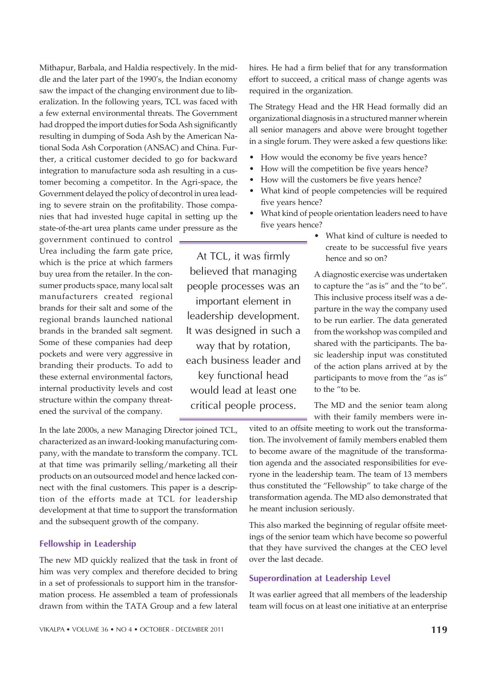Mithapur, Barbala, and Haldia respectively. In the middle and the later part of the 1990's, the Indian economy saw the impact of the changing environment due to liberalization. In the following years, TCL was faced with a few external environmental threats. The Government had dropped the import duties for Soda Ash significantly resulting in dumping of Soda Ash by the American National Soda Ash Corporation (ANSAC) and China. Further, a critical customer decided to go for backward integration to manufacture soda ash resulting in a customer becoming a competitor. In the Agri-space, the Government delayed the policy of decontrol in urea leading to severe strain on the profitability. Those companies that had invested huge capital in setting up the state-of-the-art urea plants came under pressure as the

government continued to control Urea including the farm gate price, which is the price at which farmers buy urea from the retailer. In the consumer products space, many local salt manufacturers created regional brands for their salt and some of the regional brands launched national brands in the branded salt segment. Some of these companies had deep pockets and were very aggressive in branding their products. To add to these external environmental factors, internal productivity levels and cost structure within the company threatened the survival of the company.

In the late 2000s, a new Managing Director joined TCL, characterized as an inward-looking manufacturing company, with the mandate to transform the company. TCL at that time was primarily selling/marketing all their products on an outsourced model and hence lacked connect with the final customers. This paper is a description of the efforts made at TCL for leadership development at that time to support the transformation and the subsequent growth of the company.

#### Fellowship in Leadership

The new MD quickly realized that the task in front of him was very complex and therefore decided to bring in a set of professionals to support him in the transformation process. He assembled a team of professionals drawn from within the TATA Group and a few lateral hires. He had a firm belief that for any transformation effort to succeed, a critical mass of change agents was required in the organization.

The Strategy Head and the HR Head formally did an organizational diagnosis in a structured manner wherein all senior managers and above were brought together in a single forum. They were asked a few questions like:

- How would the economy be five years hence?
- How will the competition be five years hence?
- How will the customers be five years hence?

At TCL, it was firmly believed that managing people processes was an important element in leadership development. It was designed in such a way that by rotation, each business leader and key functional head would lead at least one critical people process.

- What kind of people competencies will be required five years hence?
- What kind of people orientation leaders need to have five years hence?
	- What kind of culture is needed to create to be successful five years hence and so on?

A diagnostic exercise was undertaken to capture the "as is" and the "to be". This inclusive process itself was a departure in the way the company used to be run earlier. The data generated from the workshop was compiled and shared with the participants. The basic leadership input was constituted of the action plans arrived at by the participants to move from the "as is" to the "to be.

The MD and the senior team along with their family members were in-

vited to an offsite meeting to work out the transformation. The involvement of family members enabled them to become aware of the magnitude of the transformation agenda and the associated responsibilities for everyone in the leadership team. The team of 13 members thus constituted the "Fellowship" to take charge of the transformation agenda. The MD also demonstrated that he meant inclusion seriously.

This also marked the beginning of regular offsite meetings of the senior team which have become so powerful that they have survived the changes at the CEO level over the last decade.

## Superordination at Leadership Level

It was earlier agreed that all members of the leadership team will focus on at least one initiative at an enterprise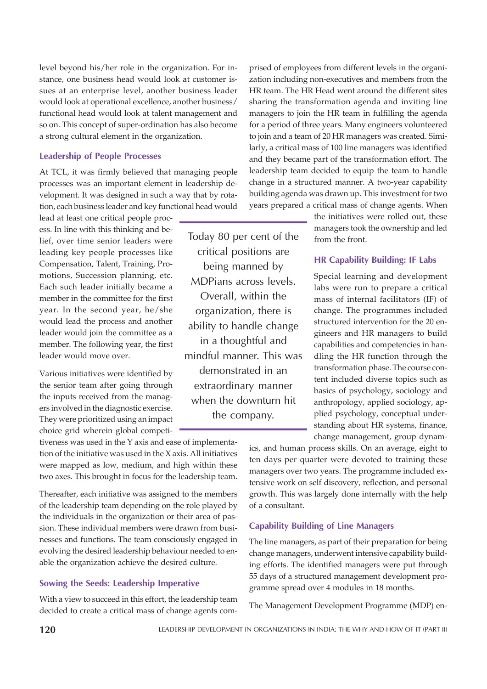level beyond his/her role in the organization. For instance, one business head would look at customer issues at an enterprise level, another business leader would look at operational excellence, another business/ functional head would look at talent management and so on. This concept of super-ordination has also become a strong cultural element in the organization.

# Leadership of People Processes

At TCL, it was firmly believed that managing people processes was an important element in leadership development. It was designed in such a way that by rotation, each business leader and key functional head would

lead at least one critical people process. In line with this thinking and belief, over time senior leaders were leading key people processes like Compensation, Talent, Training, Promotions, Succession planning, etc. Each such leader initially became a member in the committee for the first year. In the second year, he/she would lead the process and another leader would join the committee as a member. The following year, the first leader would move over.

Various initiatives were identified by the senior team after going through the inputs received from the managers involved in the diagnostic exercise. They were prioritized using an impact choice grid wherein global competi-

tiveness was used in the Y axis and ease of implementation of the initiative was used in the X axis. All initiatives were mapped as low, medium, and high within these two axes. This brought in focus for the leadership team.

Thereafter, each initiative was assigned to the members of the leadership team depending on the role played by the individuals in the organization or their area of passion. These individual members were drawn from businesses and functions. The team consciously engaged in evolving the desired leadership behaviour needed to enable the organization achieve the desired culture.

# Sowing the Seeds: Leadership Imperative

With a view to succeed in this effort, the leadership team decided to create a critical mass of change agents com-

Today 80 per cent of the critical positions are being manned by MDPians across levels. Overall, within the organization, there is ability to handle change in a thoughtful and mindful manner. This was demonstrated in an extraordinary manner when the downturn hit the company.

prised of employees from different levels in the organization including non-executives and members from the HR team. The HR Head went around the different sites sharing the transformation agenda and inviting line managers to join the HR team in fulfilling the agenda for a period of three years. Many engineers volunteered to join and a team of 20 HR managers was created. Similarly, a critical mass of 100 line managers was identified and they became part of the transformation effort. The leadership team decided to equip the team to handle change in a structured manner. A two-year capability building agenda was drawn up. This investment for two years prepared a critical mass of change agents. When

> the initiatives were rolled out, these managers took the ownership and led from the front.

# HR Capability Building: IF Labs

Special learning and development labs were run to prepare a critical mass of internal facilitators (IF) of change. The programmes included structured intervention for the 20 engineers and HR managers to build capabilities and competencies in handling the HR function through the transformation phase. The course content included diverse topics such as basics of psychology, sociology and anthropology, applied sociology, applied psychology, conceptual understanding about HR systems, finance, change management, group dynam-

ics, and human process skills. On an average, eight to ten days per quarter were devoted to training these managers over two years. The programme included extensive work on self discovery, reflection, and personal growth. This was largely done internally with the help of a consultant.

# Capability Building of Line Managers

The line managers, as part of their preparation for being change managers, underwent intensive capability building efforts. The identified managers were put through 55 days of a structured management development programme spread over 4 modules in 18 months.

The Management Development Programme (MDP) en-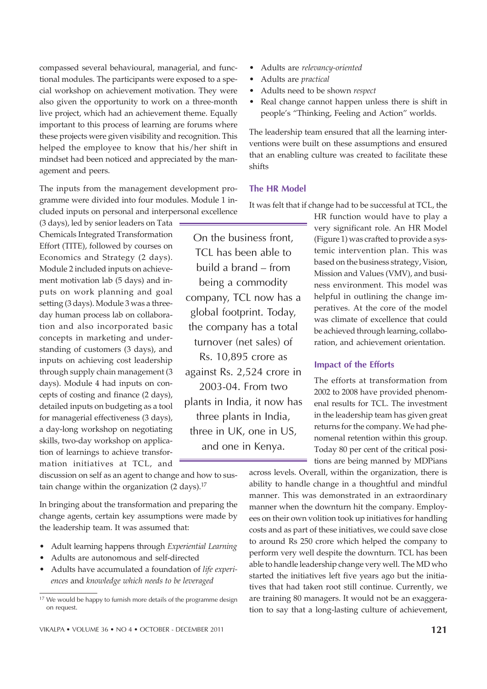compassed several behavioural, managerial, and functional modules. The participants were exposed to a special workshop on achievement motivation. They were also given the opportunity to work on a three-month live project, which had an achievement theme. Equally important to this process of learning are forums where these projects were given visibility and recognition. This helped the employee to know that his/her shift in mindset had been noticed and appreciated by the management and peers.

The inputs from the management development programme were divided into four modules. Module 1 included inputs on personal and interpersonal excellence

(3 days), led by senior leaders on Tata Chemicals Integrated Transformation Effort (TITE), followed by courses on Economics and Strategy (2 days). Module 2 included inputs on achievement motivation lab (5 days) and inputs on work planning and goal setting (3 days). Module 3 was a threeday human process lab on collaboration and also incorporated basic concepts in marketing and understanding of customers (3 days), and inputs on achieving cost leadership through supply chain management (3 days). Module 4 had inputs on concepts of costing and finance (2 days), detailed inputs on budgeting as a tool for managerial effectiveness (3 days), a day-long workshop on negotiating skills, two-day workshop on application of learnings to achieve transformation initiatives at TCL, and

On the business front, TCL has been able to build a brand – from being a commodity company, TCL now has a global footprint. Today, the company has a total turnover (net sales) of Rs. 10,895 crore as against Rs. 2,524 crore in 2003-04. From two plants in India, it now has three plants in India, three in UK, one in US, and one in Kenya.

ï Adults are *relevancy-oriented*

- ï Adults are *practical*
- ï Adults need to be shown *respect*
- Real change cannot happen unless there is shift in people's "Thinking, Feeling and Action" worlds.

The leadership team ensured that all the learning interventions were built on these assumptions and ensured that an enabling culture was created to facilitate these shifts

# The HR Model

It was felt that if change had to be successful at TCL, the

HR function would have to play a very significant role. An HR Model (Figure 1) was crafted to provide a systemic intervention plan. This was based on the business strategy, Vision, Mission and Values (VMV), and business environment. This model was helpful in outlining the change imperatives. At the core of the model was climate of excellence that could be achieved through learning, collaboration, and achievement orientation.

# Impact of the Efforts

The efforts at transformation from 2002 to 2008 have provided phenomenal results for TCL. The investment in the leadership team has given great returns for the company. We had phenomenal retention within this group. Today 80 per cent of the critical positions are being manned by MDPians

discussion on self as an agent to change and how to sustain change within the organization  $(2 \text{ days})$ .<sup>17</sup>

In bringing about the transformation and preparing the change agents, certain key assumptions were made by the leadership team. It was assumed that:

- ï Adult learning happens through *Experiential Learning*
- Adults are autonomous and self-directed
- Adults have accumulated a foundation of *life experiences* and *knowledge which needs to be leveraged*

ability to handle change in a thoughtful and mindful manner. This was demonstrated in an extraordinary manner when the downturn hit the company. Employees on their own volition took up initiatives for handling costs and as part of these initiatives, we could save close to around Rs 250 crore which helped the company to perform very well despite the downturn. TCL has been able to handle leadership change very well. The MD who started the initiatives left five years ago but the initiatives that had taken root still continue. Currently, we are training 80 managers. It would not be an exaggeration to say that a long-lasting culture of achievement,

across levels. Overall, within the organization, there is

<sup>&</sup>lt;sup>17</sup> We would be happy to furnish more details of the programme design on request.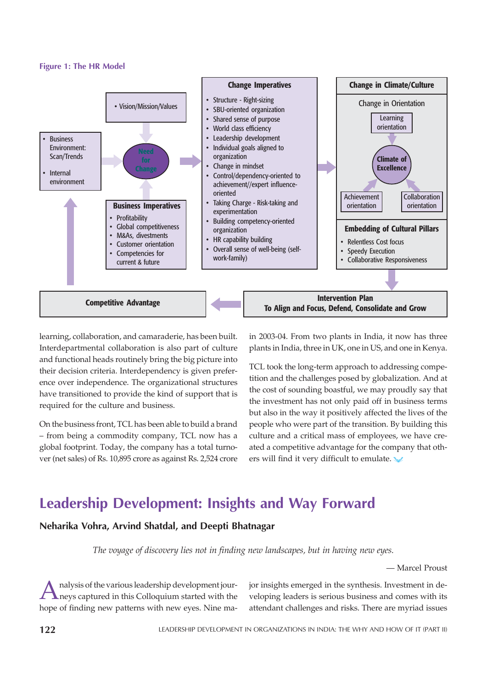## Figure 1: The HR Model



learning, collaboration, and camaraderie, has been built. Interdepartmental collaboration is also part of culture and functional heads routinely bring the big picture into their decision criteria. Interdependency is given preference over independence. The organizational structures have transitioned to provide the kind of support that is required for the culture and business.

On the business front, TCL has been able to build a brand – from being a commodity company, TCL now has a global footprint. Today, the company has a total turnover (net sales) of Rs. 10,895 crore as against Rs. 2,524 crore in 2003-04. From two plants in India, it now has three plants in India, three in UK, one in US, and one in Kenya.

TCL took the long-term approach to addressing competition and the challenges posed by globalization. And at the cost of sounding boastful, we may proudly say that the investment has not only paid off in business terms but also in the way it positively affected the lives of the people who were part of the transition. By building this culture and a critical mass of employees, we have created a competitive advantage for the company that others will find it very difficult to emulate.

# Leadership Development: Insights and Way Forward

# Neharika Vohra, Arvind Shatdal, and Deepti Bhatnagar

*The voyage of discovery lies not in finding new landscapes, but in having new eyes.*

— Marcel Proust

A nalysis of the various leadership development jour-<br>heys captured in this Colloquium started with the<br>hope of finding new patterns with new eyes. Nine manalysis of the various leadership development journeys captured in this Colloquium started with the jor insights emerged in the synthesis. Investment in developing leaders is serious business and comes with its attendant challenges and risks. There are myriad issues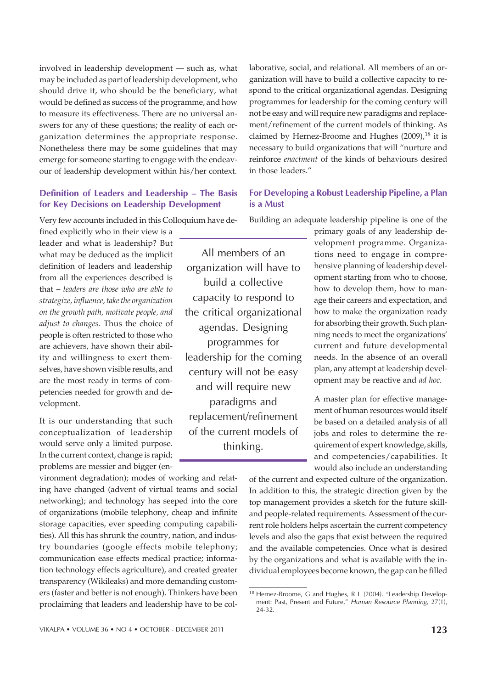involved in leadership development — such as, what may be included as part of leadership development, who should drive it, who should be the beneficiary, what would be defined as success of the programme, and how to measure its effectiveness. There are no universal answers for any of these questions; the reality of each organization determines the appropriate response. Nonetheless there may be some guidelines that may emerge for someone starting to engage with the endeavour of leadership development within his/her context.

# Definition of Leaders and Leadership – The Basis for Key Decisions on Leadership Development

Very few accounts included in this Colloquium have de-

fined explicitly who in their view is a leader and what is leadership? But what may be deduced as the implicit definition of leaders and leadership from all the experiences described is that – *leaders are those who are able to strategize, influence, take the organization on the growth path, motivate people, and adjust to changes*. Thus the choice of people is often restricted to those who are achievers, have shown their ability and willingness to exert themselves, have shown visible results, and are the most ready in terms of competencies needed for growth and development.

It is our understanding that such conceptualization of leadership would serve only a limited purpose. In the current context, change is rapid; problems are messier and bigger (en-

vironment degradation); modes of working and relating have changed (advent of virtual teams and social networking); and technology has seeped into the core of organizations (mobile telephony, cheap and infinite storage capacities, ever speeding computing capabilities). All this has shrunk the country, nation, and industry boundaries (google effects mobile telephony; communication ease effects medical practice; information technology effects agriculture), and created greater transparency (Wikileaks) and more demanding customers (faster and better is not enough). Thinkers have been proclaiming that leaders and leadership have to be col-

All members of an organization will have to build a collective capacity to respond to the critical organizational agendas. Designing programmes for leadership for the coming century will not be easy and will require new paradigms and replacement/refinement of the current models of thinking.

laborative, social, and relational. All members of an organization will have to build a collective capacity to respond to the critical organizational agendas. Designing programmes for leadership for the coming century will not be easy and will require new paradigms and replacement/refinement of the current models of thinking. As claimed by Hernez-Broome and Hughes  $(2009)$ ,<sup>18</sup> it is necessary to build organizations that will "nurture and reinforce *enactment* of the kinds of behaviours desired in those leaders."

# For Developing a Robust Leadership Pipeline, a Plan is a Must

Building an adequate leadership pipeline is one of the

primary goals of any leadership development programme. Organizations need to engage in comprehensive planning of leadership development starting from who to choose, how to develop them, how to manage their careers and expectation, and how to make the organization ready for absorbing their growth. Such planning needs to meet the organizations' current and future developmental needs. In the absence of an overall plan, any attempt at leadership development may be reactive and *ad hoc.*

A master plan for effective management of human resources would itself be based on a detailed analysis of all jobs and roles to determine the requirement of expert knowledge, skills, and competencies/capabilities. It would also include an understanding

of the current and expected culture of the organization. In addition to this, the strategic direction given by the top management provides a sketch for the future skilland people-related requirements. Assessment of the current role holders helps ascertain the current competency levels and also the gaps that exist between the required and the available competencies. Once what is desired by the organizations and what is available with the individual employees become known, the gap can be filled

<sup>&</sup>lt;sup>18</sup> Hernez-Broome, G and Hughes, R L (2004). "Leadership Development: Past, Present and Future," Human Resource Planning, 27(1), 24-32.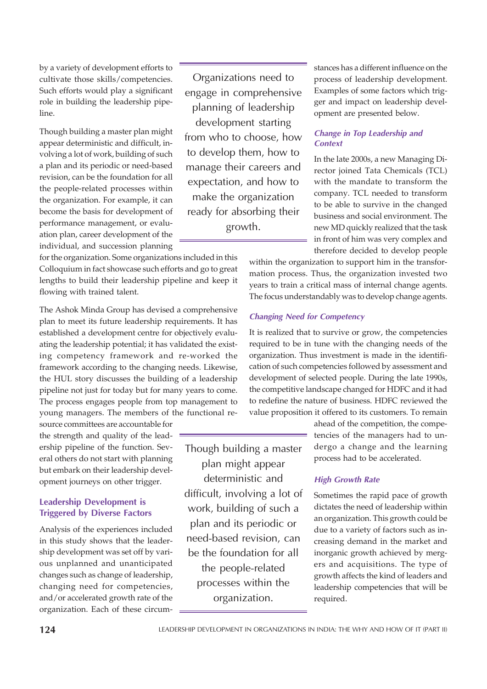by a variety of development efforts to cultivate those skills/competencies. Such efforts would play a significant role in building the leadership pipeline.

Though building a master plan might appear deterministic and difficult, involving a lot of work, building of such a plan and its periodic or need-based revision, can be the foundation for all the people-related processes within the organization. For example, it can become the basis for development of performance management, or evaluation plan, career development of the individual, and succession planning

for the organization. Some organizations included in this Colloquium in fact showcase such efforts and go to great lengths to build their leadership pipeline and keep it flowing with trained talent.

The Ashok Minda Group has devised a comprehensive plan to meet its future leadership requirements. It has established a development centre for objectively evaluating the leadership potential; it has validated the existing competency framework and re-worked the framework according to the changing needs. Likewise, the HUL story discusses the building of a leadership pipeline not just for today but for many years to come. The process engages people from top management to young managers. The members of the functional re-

source committees are accountable for the strength and quality of the leadership pipeline of the function. Several others do not start with planning but embark on their leadership development journeys on other trigger.

# Leadership Development is Triggered by Diverse Factors

Analysis of the experiences included in this study shows that the leadership development was set off by various unplanned and unanticipated changes such as change of leadership, changing need for competencies, and/or accelerated growth rate of the organization. Each of these circum-

Organizations need to engage in comprehensive planning of leadership development starting from who to choose, how to develop them, how to manage their careers and expectation, and how to make the organization ready for absorbing their growth.

Though building a master plan might appear deterministic and difficult, involving a lot of work, building of such a plan and its periodic or need-based revision, can be the foundation for all the people-related processes within the organization.

stances has a different influence on the process of leadership development. Examples of some factors which trigger and impact on leadership development are presented below.

# Change in Top Leadership and **Context**

In the late 2000s, a new Managing Director joined Tata Chemicals (TCL) with the mandate to transform the company. TCL needed to transform to be able to survive in the changed business and social environment. The new MD quickly realized that the task in front of him was very complex and therefore decided to develop people

within the organization to support him in the transformation process. Thus, the organization invested two years to train a critical mass of internal change agents. The focus understandably was to develop change agents.

# Changing Need for Competency

It is realized that to survive or grow, the competencies required to be in tune with the changing needs of the organization. Thus investment is made in the identification of such competencies followed by assessment and development of selected people. During the late 1990s, the competitive landscape changed for HDFC and it had to redefine the nature of business. HDFC reviewed the value proposition it offered to its customers. To remain

> ahead of the competition, the competencies of the managers had to undergo a change and the learning process had to be accelerated.

# High Growth Rate

Sometimes the rapid pace of growth dictates the need of leadership within an organization. This growth could be due to a variety of factors such as increasing demand in the market and inorganic growth achieved by mergers and acquisitions. The type of growth affects the kind of leaders and leadership competencies that will be required.

LEADERSHIP DEVELOPMENT IN ORGANIZATIONS IN INDIA: THE WHY AND HOW OF IT (PART II)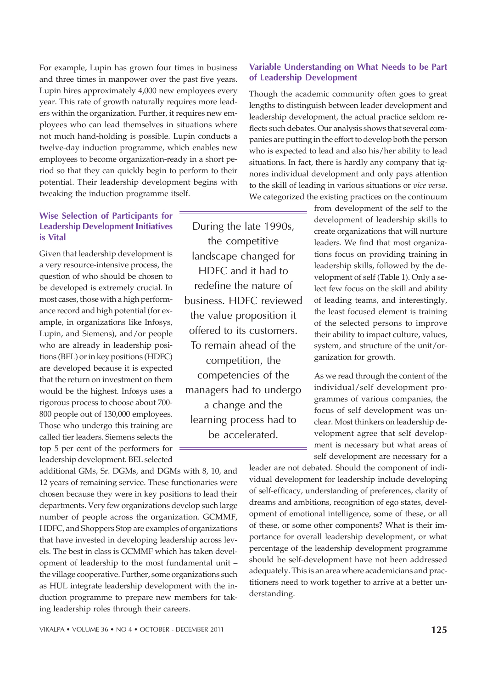For example, Lupin has grown four times in business and three times in manpower over the past five years. Lupin hires approximately 4,000 new employees every year. This rate of growth naturally requires more leaders within the organization. Further, it requires new employees who can lead themselves in situations where not much hand-holding is possible. Lupin conducts a twelve-day induction programme, which enables new employees to become organization-ready in a short period so that they can quickly begin to perform to their potential. Their leadership development begins with tweaking the induction programme itself.

# Wise Selection of Participants for Leadership Development Initiatives is Vital

Given that leadership development is a very resource-intensive process, the question of who should be chosen to be developed is extremely crucial. In most cases, those with a high performance record and high potential (for example, in organizations like Infosys, Lupin, and Siemens), and/or people who are already in leadership positions (BEL) or in key positions (HDFC) are developed because it is expected that the return on investment on them would be the highest. Infosys uses a rigorous process to choose about 700- 800 people out of 130,000 employees. Those who undergo this training are called tier leaders. Siemens selects the top 5 per cent of the performers for leadership development. BEL selected

additional GMs, Sr. DGMs, and DGMs with 8, 10, and 12 years of remaining service. These functionaries were chosen because they were in key positions to lead their departments. Very few organizations develop such large number of people across the organization. GCMMF, HDFC, and Shoppers Stop are examples of organizations that have invested in developing leadership across levels. The best in class is GCMMF which has taken development of leadership to the most fundamental unit – the village cooperative. Further, some organizations such as HUL integrate leadership development with the induction programme to prepare new members for taking leadership roles through their careers.

During the late 1990s, the competitive landscape changed for HDFC and it had to redefine the nature of business. HDFC reviewed the value proposition it offered to its customers. To remain ahead of the competition, the competencies of the managers had to undergo a change and the learning process had to be accelerated.

# Variable Understanding on What Needs to be Part of Leadership Development

Though the academic community often goes to great lengths to distinguish between leader development and leadership development, the actual practice seldom reflects such debates. Our analysis shows that several companies are putting in the effort to develop both the person who is expected to lead and also his/her ability to lead situations. In fact, there is hardly any company that ignores individual development and only pays attention to the skill of leading in various situations or *vice versa*. We categorized the existing practices on the continuum

> from development of the self to the development of leadership skills to create organizations that will nurture leaders. We find that most organizations focus on providing training in leadership skills, followed by the development of self (Table 1). Only a select few focus on the skill and ability of leading teams, and interestingly, the least focused element is training of the selected persons to improve their ability to impact culture, values, system, and structure of the unit/organization for growth.

> As we read through the content of the individual/self development programmes of various companies, the focus of self development was unclear. Most thinkers on leadership development agree that self development is necessary but what areas of self development are necessary for a

leader are not debated. Should the component of individual development for leadership include developing of self-efficacy, understanding of preferences, clarity of dreams and ambitions, recognition of ego states, development of emotional intelligence, some of these, or all of these, or some other components? What is their importance for overall leadership development, or what percentage of the leadership development programme should be self-development have not been addressed adequately. This is an area where academicians and practitioners need to work together to arrive at a better understanding.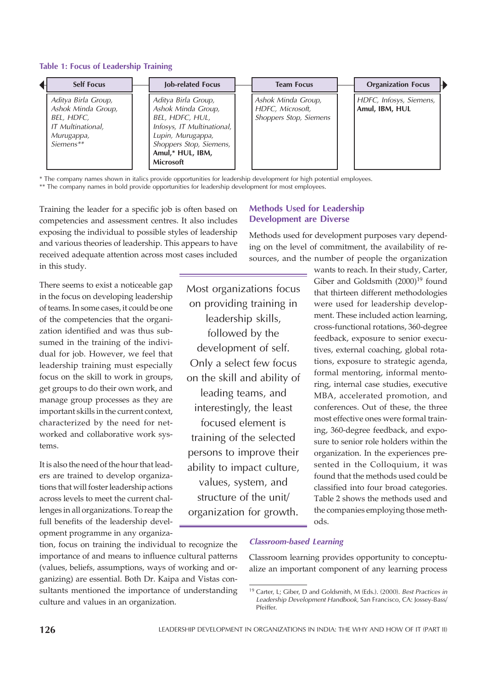#### Table 1: Focus of Leadership Training

| <b>Self Focus</b>                                                                                       | Job-related Focus                                                                                                                                                                  | <b>Team Focus</b>                                                | <b>Organization Focus</b>                 |  |
|---------------------------------------------------------------------------------------------------------|------------------------------------------------------------------------------------------------------------------------------------------------------------------------------------|------------------------------------------------------------------|-------------------------------------------|--|
| Aditya Birla Group,<br>Ashok Minda Group,<br>BEL, HDFC,<br>IT Multinational,<br>Murugappa,<br>Siemens** | Aditya Birla Group,<br>Ashok Minda Group,<br>BEL, HDFC, HUL,<br>Infosys, IT Multinational,<br>Lupin, Murugappa,<br>Shoppers Stop, Siemens,<br>Amul,* HUL, IBM,<br><b>Microsoft</b> | Ashok Minda Group,<br>HDFC, Microsoft,<br>Shoppers Stop, Siemens | HDFC, Infosys, Siemens,<br>Amul, IBM, HUL |  |

\* The company names shown in italics provide opportunities for leadership development for high potential employees.

\*\* The company names in bold provide opportunities for leadership development for most employees.

Training the leader for a specific job is often based on competencies and assessment centres. It also includes exposing the individual to possible styles of leadership and various theories of leadership. This appears to have received adequate attention across most cases included in this study.

There seems to exist a noticeable gap in the focus on developing leadership of teams. In some cases, it could be one of the competencies that the organization identified and was thus subsumed in the training of the individual for job. However, we feel that leadership training must especially focus on the skill to work in groups, get groups to do their own work, and manage group processes as they are important skills in the current context, characterized by the need for networked and collaborative work systems.

It is also the need of the hour that leaders are trained to develop organizations that will foster leadership actions across levels to meet the current challenges in all organizations. To reap the full benefits of the leadership development programme in any organiza-

tion, focus on training the individual to recognize the importance of and means to influence cultural patterns (values, beliefs, assumptions, ways of working and organizing) are essential. Both Dr. Kaipa and Vistas consultants mentioned the importance of understanding culture and values in an organization.

# Methods Used for Leadership Development are Diverse

Methods used for development purposes vary depending on the level of commitment, the availability of resources, and the number of people the organization

Most organizations focus on providing training in leadership skills, followed by the development of self. Only a select few focus on the skill and ability of leading teams, and interestingly, the least focused element is training of the selected persons to improve their ability to impact culture, values, system, and structure of the unit/ organization for growth.

wants to reach. In their study, Carter, Giber and Goldsmith  $(2000)^{19}$  found that thirteen different methodologies were used for leadership development. These included action learning, cross-functional rotations, 360-degree feedback, exposure to senior executives, external coaching, global rotations, exposure to strategic agenda, formal mentoring, informal mentoring, internal case studies, executive MBA, accelerated promotion, and conferences. Out of these, the three most effective ones were formal training, 360-degree feedback, and exposure to senior role holders within the organization. In the experiences presented in the Colloquium, it was found that the methods used could be classified into four broad categories. Table 2 shows the methods used and the companies employing those methods.

## Classroom-based Learning

Classroom learning provides opportunity to conceptualize an important component of any learning process

<sup>&</sup>lt;sup>19</sup> Carter, L; Giber, D and Goldsmith, M (Eds.). (2000). Best Practices in Leadership Development Handbook, San Francisco, CA: Jossey-Bass/ Pfeiffer.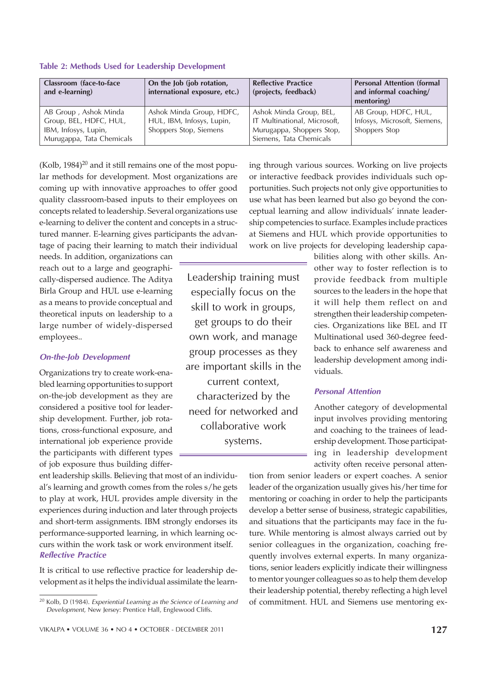| Classroom (face-to-face<br>and e-learning)                                                           | On the Job (job rotation,<br>international exposure, etc.)                      | <b>Reflective Practice</b><br>(projects, feedback)                                                              | <b>Personal Attention (formal</b><br>and informal coaching/<br>mentoring) |
|------------------------------------------------------------------------------------------------------|---------------------------------------------------------------------------------|-----------------------------------------------------------------------------------------------------------------|---------------------------------------------------------------------------|
| AB Group, Ashok Minda<br>Group, BEL, HDFC, HUL,<br>IBM, Infosys, Lupin,<br>Murugappa, Tata Chemicals | Ashok Minda Group, HDFC,<br>HUL, IBM, Infosys, Lupin,<br>Shoppers Stop, Siemens | Ashok Minda Group, BEL,<br>IT Multinational, Microsoft,<br>Murugappa, Shoppers Stop,<br>Siemens, Tata Chemicals | AB Group, HDFC, HUL,<br>Infosys, Microsoft, Siemens,<br>Shoppers Stop     |

#### Table 2: Methods Used for Leadership Development

 $(Kolb, 1984)^{20}$  and it still remains one of the most popular methods for development. Most organizations are coming up with innovative approaches to offer good quality classroom-based inputs to their employees on concepts related to leadership. Several organizations use e-learning to deliver the content and concepts in a structured manner. E-learning gives participants the advantage of pacing their learning to match their individual

needs. In addition, organizations can reach out to a large and geographically-dispersed audience. The Aditya Birla Group and HUL use e-learning as a means to provide conceptual and theoretical inputs on leadership to a large number of widely-dispersed employees..

#### On-the-Job Development

Organizations try to create work-enabled learning opportunities to support on-the-job development as they are considered a positive tool for leadership development. Further, job rotations, cross-functional exposure, and international job experience provide the participants with different types of job exposure thus building differ-

ent leadership skills. Believing that most of an individual's learning and growth comes from the roles s/he gets to play at work, HUL provides ample diversity in the experiences during induction and later through projects and short-term assignments. IBM strongly endorses its performance-supported learning, in which learning occurs within the work task or work environment itself. Reflective Practice

It is critical to use reflective practice for leadership development as it helps the individual assimilate the learn-

Leadership training must especially focus on the skill to work in groups, get groups to do their own work, and manage group processes as they are important skills in the current context,

characterized by the need for networked and collaborative work systems.

ing through various sources. Working on live projects or interactive feedback provides individuals such opportunities. Such projects not only give opportunities to use what has been learned but also go beyond the conceptual learning and allow individuals' innate leadership competencies to surface. Examples include practices at Siemens and HUL which provide opportunities to work on live projects for developing leadership capa-

> bilities along with other skills. Another way to foster reflection is to provide feedback from multiple sources to the leaders in the hope that it will help them reflect on and strengthen their leadership competencies. Organizations like BEL and IT Multinational used 360-degree feedback to enhance self awareness and leadership development among individuals.

# Personal Attention

Another category of developmental input involves providing mentoring and coaching to the trainees of leadership development. Those participating in leadership development activity often receive personal atten-

tion from senior leaders or expert coaches. A senior leader of the organization usually gives his/her time for mentoring or coaching in order to help the participants develop a better sense of business, strategic capabilities, and situations that the participants may face in the future. While mentoring is almost always carried out by senior colleagues in the organization, coaching frequently involves external experts. In many organizations, senior leaders explicitly indicate their willingness to mentor younger colleagues so as to help them develop their leadership potential, thereby reflecting a high level of commitment. HUL and Siemens use mentoring ex-

<sup>20</sup> Kolb, D (1984). Experiential Learning as the Science of Learning and Development, New Jersey: Prentice Hall, Englewood Cliffs.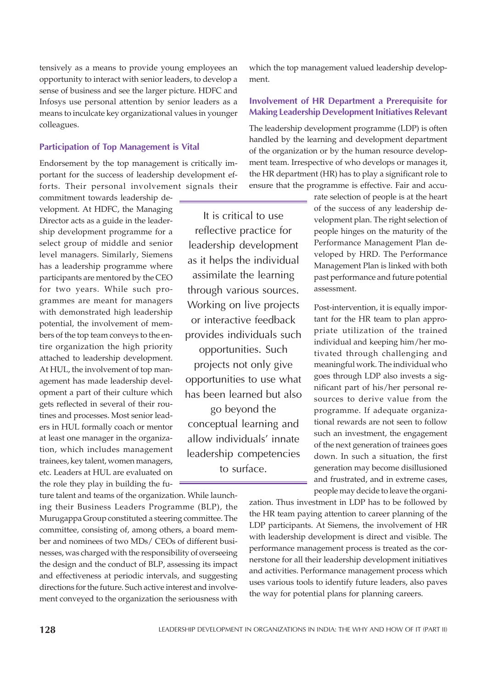tensively as a means to provide young employees an opportunity to interact with senior leaders, to develop a sense of business and see the larger picture. HDFC and Infosys use personal attention by senior leaders as a means to inculcate key organizational values in younger colleagues.

# Participation of Top Management is Vital

Endorsement by the top management is critically important for the success of leadership development efforts. Their personal involvement signals their

commitment towards leadership development. At HDFC, the Managing Director acts as a guide in the leadership development programme for a select group of middle and senior level managers. Similarly, Siemens has a leadership programme where participants are mentored by the CEO for two years. While such programmes are meant for managers with demonstrated high leadership potential, the involvement of members of the top team conveys to the entire organization the high priority attached to leadership development. At HUL, the involvement of top management has made leadership development a part of their culture which gets reflected in several of their routines and processes. Most senior leaders in HUL formally coach or mentor at least one manager in the organization, which includes management trainees, key talent, women managers, etc. Leaders at HUL are evaluated on the role they play in building the fu-

ture talent and teams of the organization. While launching their Business Leaders Programme (BLP), the Murugappa Group constituted a steering committee. The committee, consisting of, among others, a board member and nominees of two MDs/ CEOs of different businesses, was charged with the responsibility of overseeing the design and the conduct of BLP, assessing its impact and effectiveness at periodic intervals, and suggesting directions for the future. Such active interest and involvement conveyed to the organization the seriousness with which the top management valued leadership development.

# Involvement of HR Department a Prerequisite for Making Leadership Development Initiatives Relevant

The leadership development programme (LDP) is often handled by the learning and development department of the organization or by the human resource development team. Irrespective of who develops or manages it, the HR department (HR) has to play a significant role to ensure that the programme is effective. Fair and accu-

It is critical to use reflective practice for leadership development as it helps the individual assimilate the learning through various sources. Working on live projects or interactive feedback provides individuals such

opportunities. Such projects not only give opportunities to use what has been learned but also go beyond the conceptual learning and allow individuals' innate leadership competencies to surface.

rate selection of people is at the heart of the success of any leadership development plan. The right selection of people hinges on the maturity of the Performance Management Plan developed by HRD. The Performance Management Plan is linked with both past performance and future potential assessment.

Post-intervention, it is equally important for the HR team to plan appropriate utilization of the trained individual and keeping him/her motivated through challenging and meaningful work. The individual who goes through LDP also invests a significant part of his/her personal resources to derive value from the programme. If adequate organizational rewards are not seen to follow such an investment, the engagement of the next generation of trainees goes down. In such a situation, the first generation may become disillusioned and frustrated, and in extreme cases, people may decide to leave the organi-

zation. Thus investment in LDP has to be followed by the HR team paying attention to career planning of the LDP participants. At Siemens, the involvement of HR with leadership development is direct and visible. The performance management process is treated as the cornerstone for all their leadership development initiatives and activities. Performance management process which uses various tools to identify future leaders, also paves the way for potential plans for planning careers.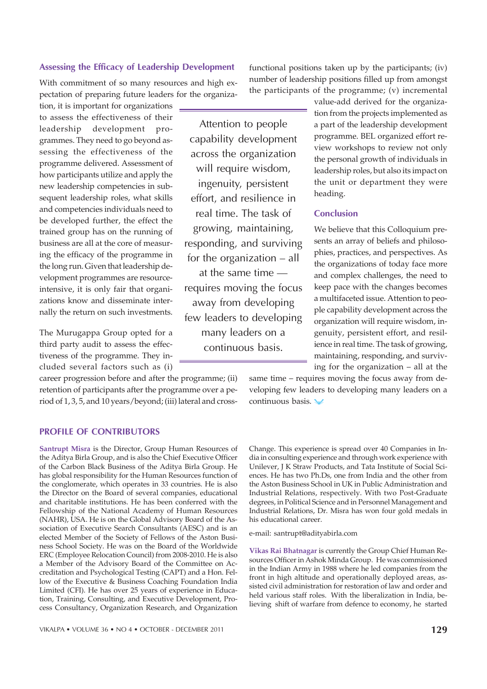#### Assessing the Efficacy of Leadership Development

With commitment of so many resources and high expectation of preparing future leaders for the organiza-

tion, it is important for organizations to assess the effectiveness of their leadership development programmes. They need to go beyond assessing the effectiveness of the programme delivered. Assessment of how participants utilize and apply the new leadership competencies in subsequent leadership roles, what skills and competencies individuals need to be developed further, the effect the trained group has on the running of business are all at the core of measuring the efficacy of the programme in the long run. Given that leadership development programmes are resourceintensive, it is only fair that organizations know and disseminate internally the return on such investments.

The Murugappa Group opted for a third party audit to assess the effectiveness of the programme. They included several factors such as (i)

career progression before and after the programme; (ii) retention of participants after the programme over a period of 1, 3, 5, and 10 years/beyond; (iii) lateral and cross-

Attention to people capability development across the organization will require wisdom, ingenuity, persistent effort, and resilience in real time. The task of growing, maintaining, responding, and surviving for the organization – all

at the same time requires moving the focus away from developing few leaders to developing many leaders on a continuous basis.

functional positions taken up by the participants; (iv) number of leadership positions filled up from amongst the participants of the programme; (v) incremental

> value-add derived for the organization from the projects implemented as a part of the leadership development programme. BEL organized effort review workshops to review not only the personal growth of individuals in leadership roles, but also its impact on the unit or department they were heading.

# Conclusion

We believe that this Colloquium presents an array of beliefs and philosophies, practices, and perspectives. As the organizations of today face more and complex challenges, the need to keep pace with the changes becomes a multifaceted issue. Attention to people capability development across the organization will require wisdom, ingenuity, persistent effort, and resilience in real time. The task of growing, maintaining, responding, and surviving for the organization – all at the

same time – requires moving the focus away from developing few leaders to developing many leaders on a continuous basis.

#### PROFILE OF CONTRIBUTORS

**Santrupt Misra** is the Director, Group Human Resources of the Aditya Birla Group, and is also the Chief Executive Officer of the Carbon Black Business of the Aditya Birla Group. He has global responsibility for the Human Resources function of the conglomerate, which operates in 33 countries. He is also the Director on the Board of several companies, educational and charitable institutions. He has been conferred with the Fellowship of the National Academy of Human Resources (NAHR), USA. He is on the Global Advisory Board of the Association of Executive Search Consultants (AESC) and is an elected Member of the Society of Fellows of the Aston Business School Society. He was on the Board of the Worldwide ERC (Employee Relocation Council) from 2008-2010. He is also a Member of the Advisory Board of the Committee on Accreditation and Psychological Testing (CAPT) and a Hon. Fellow of the Executive & Business Coaching Foundation India Limited (CFI). He has over 25 years of experience in Education, Training, Consulting, and Executive Development, Process Consultancy, Organization Research, and Organization

Change. This experience is spread over 40 Companies in India in consulting experience and through work experience with Unilever, J K Straw Products, and Tata Institute of Social Sciences. He has two Ph.Ds, one from India and the other from the Aston Business School in UK in Public Administration and Industrial Relations, respectively. With two Post-Graduate degrees, in Political Science and in Personnel Management and Industrial Relations, Dr. Misra has won four gold medals in his educational career.

e-mail: santrupt@adityabirla.com

**Vikas Rai Bhatnagar** is currently the Group Chief Human Resources Officer in Ashok Minda Group. He was commissioned in the Indian Army in 1988 where he led companies from the front in high altitude and operationally deployed areas, assisted civil administration for restoration of law and order and held various staff roles. With the liberalization in India, believing shift of warfare from defence to economy, he started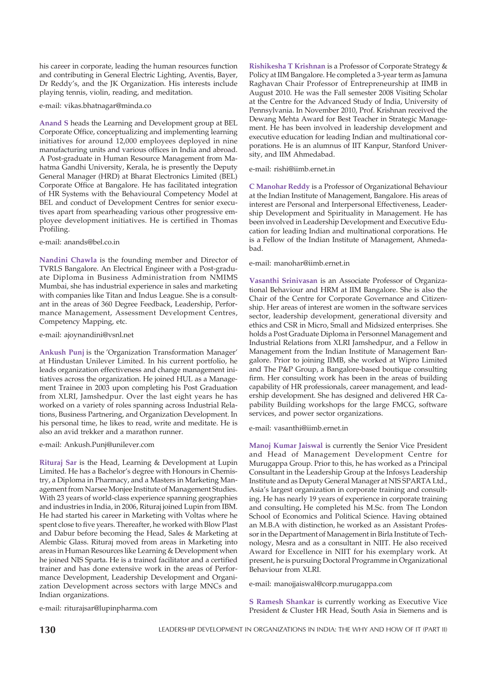his career in corporate, leading the human resources function and contributing in General Electric Lighting, Aventis, Bayer, Dr Reddy's, and the JK Organization. His interests include playing tennis, violin, reading, and meditation.

e-mail: vikas.bhatnagar@minda.co

**Anand S** heads the Learning and Development group at BEL Corporate Office, conceptualizing and implementing learning initiatives for around 12,000 employees deployed in nine manufacturing units and various offices in India and abroad. A Post-graduate in Human Resource Management from Mahatma Gandhi University, Kerala, he is presently the Deputy General Manager (HRD) at Bharat Electronics Limited (BEL) Corporate Office at Bangalore. He has facilitated integration of HR Systems with the Behavioural Competency Model at BEL and conduct of Development Centres for senior executives apart from spearheading various other progressive employee development initiatives. He is certified in Thomas Profiling.

e-mail: anands@bel.co.in

**Nandini Chawla** is the founding member and Director of TVRLS Bangalore. An Electrical Engineer with a Post-graduate Diploma in Business Administration from NMIMS Mumbai, she has industrial experience in sales and marketing with companies like Titan and Indus League. She is a consultant in the areas of 360 Degree Feedback, Leadership, Performance Management, Assessment Development Centres, Competency Mapping, etc.

e-mail: ajoynandini@vsnl.net

**Ankush Punj** is the 'Organization Transformation Manager' at Hindustan Unilever Limited. In his current portfolio, he leads organization effectiveness and change management initiatives across the organization. He joined HUL as a Management Trainee in 2003 upon completing his Post Graduation from XLRI, Jamshedpur. Over the last eight years he has worked on a variety of roles spanning across Industrial Relations, Business Partnering, and Organization Development. In his personal time, he likes to read, write and meditate. He is also an avid trekker and a marathon runner.

e-mail: Ankush.Punj@unilever.com

**Rituraj Sar** is the Head, Learning & Development at Lupin Limited. He has a Bachelor's degree with Honours in Chemistry, a Diploma in Pharmacy, and a Masters in Marketing Management from Narsee Monjee Institute of Management Studies. With 23 years of world-class experience spanning geographies and industries in India, in 2006, Rituraj joined Lupin from IBM. He had started his career in Marketing with Voltas where he spent close to five years. Thereafter, he worked with Blow Plast and Dabur before becoming the Head, Sales & Marketing at Alembic Glass. Rituraj moved from areas in Marketing into areas in Human Resources like Learning & Development when he joined NIS Sparta. He is a trained facilitator and a certified trainer and has done extensive work in the areas of Performance Development, Leadership Development and Organization Development across sectors with large MNCs and Indian organizations.

e-mail: riturajsar@lupinpharma.com

**Rishikesha T Krishnan** is a Professor of Corporate Strategy & Policy at IIM Bangalore. He completed a 3-year term as Jamuna Raghavan Chair Professor of Entrepreneurship at IIMB in August 2010. He was the Fall semester 2008 Visiting Scholar at the Centre for the Advanced Study of India, University of Pennsylvania. In November 2010, Prof. Krishnan received the Dewang Mehta Award for Best Teacher in Strategic Management. He has been involved in leadership development and executive education for leading Indian and multinational corporations. He is an alumnus of IIT Kanpur, Stanford University, and IIM Ahmedabad.

e-mail: rishi@iimb.ernet.in

**C Manohar Reddy** is a Professor of Organizational Behaviour at the Indian Institute of Management, Bangalore. His areas of interest are Personal and Interpersonal Effectiveness, Leadership Development and Spirituality in Management. He has been involved in Leadership Development and Executive Education for leading Indian and multinational corporations. He is a Fellow of the Indian Institute of Management, Ahmedabad.

e-mail: manohar@iimb.ernet.in

**Vasanthi Srinivasan** is an Associate Professor of Organizational Behaviour and HRM at IIM Bangalore. She is also the Chair of the Centre for Corporate Governance and Citizenship. Her areas of interest are women in the software services sector, leadership development, generational diversity and ethics and CSR in Micro, Small and Midsized enterprises. She holds a Post Graduate Diploma in Personnel Management and Industrial Relations from XLRI Jamshedpur, and a Fellow in Management from the Indian Institute of Management Bangalore. Prior to joining IIMB, she worked at Wipro Limited and The P&P Group, a Bangalore-based boutique consulting firm. Her consulting work has been in the areas of building capability of HR professionals, career management, and leadership development. She has designed and delivered HR Capability Building workshops for the large FMCG, software services, and power sector organizations.

e-mail: vasanthi@iimb.ernet.in

**Manoj Kumar Jaiswal** is currently the Senior Vice President and Head of Management Development Centre for Murugappa Group. Prior to this, he has worked as a Principal Consultant in the Leadership Group at the Infosys Leadership Institute and as Deputy General Manager at NIS SPARTA Ltd., Asia's largest organization in corporate training and consulting. He has nearly 19 years of experience in corporate training and consulting**.** He completed his M.Sc. from The London School of Economics and Political Science. Having obtained an M.B.A with distinction, he worked as an Assistant Professor in the Department of Management in Birla Institute of Technology, Mesra and as a consultant in NIIT. He also received Award for Excellence in NIIT for his exemplary work. At present, he is pursuing Doctoral Programme in Organizational Behaviour from XLRI.

e-mail: manojjaiswal@corp.murugappa.com

**S Ramesh Shankar** is currently working as Executive Vice President & Cluster HR Head, South Asia in Siemens and is